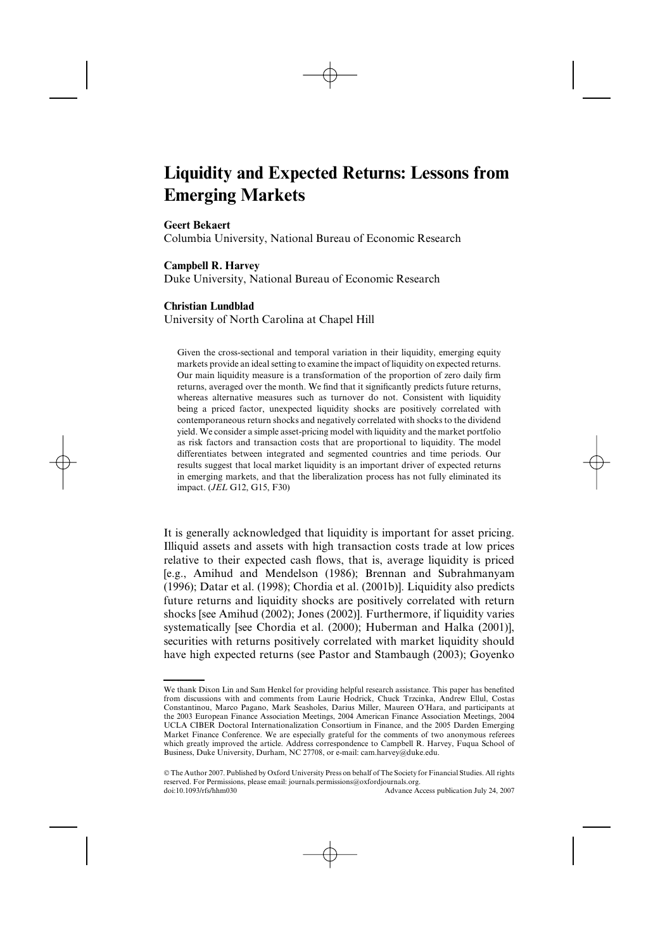# **Liquidity and Expected Returns: Lessons from Emerging Markets**

#### **Geert Bekaert**

Columbia University, National Bureau of Economic Research

### **Campbell R. Harvey**

Duke University, National Bureau of Economic Research

# **Christian Lundblad**

University of North Carolina at Chapel Hill

Given the cross-sectional and temporal variation in their liquidity, emerging equity markets provide an ideal setting to examine the impact of liquidity on expected returns. Our main liquidity measure is a transformation of the proportion of zero daily firm returns, averaged over the month. We find that it significantly predicts future returns, whereas alternative measures such as turnover do not. Consistent with liquidity being a priced factor, unexpected liquidity shocks are positively correlated with contemporaneous return shocks and negatively correlated with shocks to the dividend yield. We consider a simple asset-pricing model with liquidity and the market portfolio as risk factors and transaction costs that are proportional to liquidity. The model differentiates between integrated and segmented countries and time periods. Our results suggest that local market liquidity is an important driver of expected returns in emerging markets, and that the liberalization process has not fully eliminated its impact. (*JEL* G12, G15, F30)

It is generally acknowledged that liquidity is important for asset pricing. Illiquid assets and assets with high transaction costs trade at low prices relative to their expected cash flows, that is, average liquidity is priced [e.g., Amihud and Mendelson (1986); Brennan and Subrahmanyam (1996); Datar et al. (1998); Chordia et al. (2001b)]. Liquidity also predicts future returns and liquidity shocks are positively correlated with return shocks [see Amihud (2002); Jones (2002)]. Furthermore, if liquidity varies systematically [see Chordia et al. (2000); Huberman and Halka (2001)], securities with returns positively correlated with market liquidity should have high expected returns (see Pastor and Stambaugh (2003); Goyenko

We thank Dixon Lin and Sam Henkel for providing helpful research assistance. This paper has benefited from discussions with and comments from Laurie Hodrick, Chuck Trzcinka, Andrew Ellul, Costas Constantinou, Marco Pagano, Mark Seasholes, Darius Miller, Maureen O'Hara, and participants at the 2003 European Finance Association Meetings, 2004 American Finance Association Meetings, 2004 UCLA CIBER Doctoral Internationalization Consortium in Finance, and the 2005 Darden Emerging Market Finance Conference. We are especially grateful for the comments of two anonymous referees which greatly improved the article. Address correspondence to Campbell R. Harvey, Fuqua School of Business, Duke University, Durham, NC 27708, or e-mail: cam.harvey@duke.edu.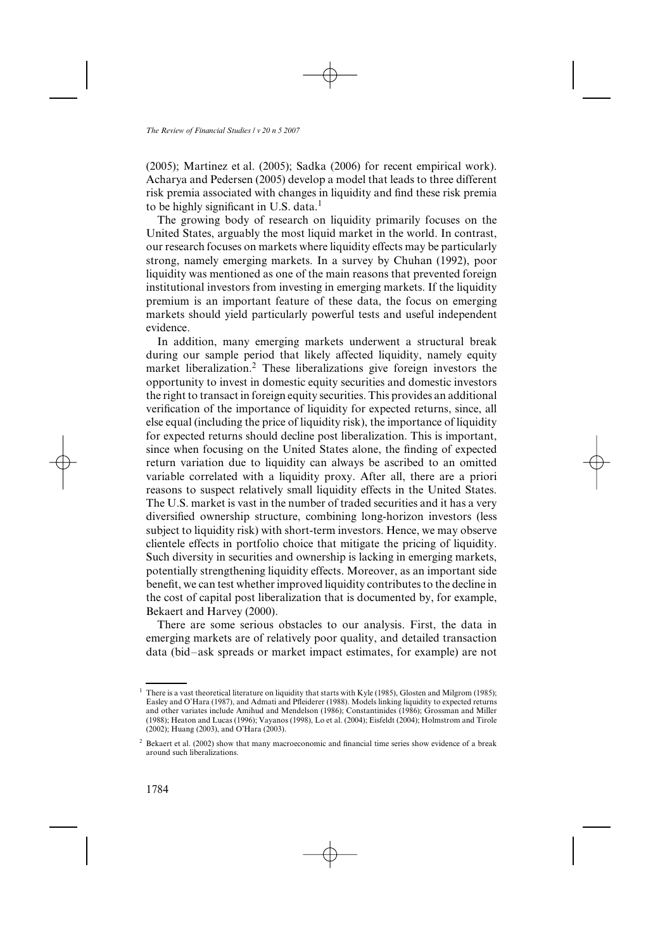(2005); Martinez et al. (2005); Sadka (2006) for recent empirical work). Acharya and Pedersen (2005) develop a model that leads to three different risk premia associated with changes in liquidity and find these risk premia to be highly significant in U.S. data. $<sup>1</sup>$ </sup>

The growing body of research on liquidity primarily focuses on the United States, arguably the most liquid market in the world. In contrast, our research focuses on markets where liquidity effects may be particularly strong, namely emerging markets. In a survey by Chuhan (1992), poor liquidity was mentioned as one of the main reasons that prevented foreign institutional investors from investing in emerging markets. If the liquidity premium is an important feature of these data, the focus on emerging markets should yield particularly powerful tests and useful independent evidence.

In addition, many emerging markets underwent a structural break during our sample period that likely affected liquidity, namely equity market liberalization.2 These liberalizations give foreign investors the opportunity to invest in domestic equity securities and domestic investors the right to transact in foreign equity securities. This provides an additional verification of the importance of liquidity for expected returns, since, all else equal (including the price of liquidity risk), the importance of liquidity for expected returns should decline post liberalization. This is important, since when focusing on the United States alone, the finding of expected return variation due to liquidity can always be ascribed to an omitted variable correlated with a liquidity proxy. After all, there are a priori reasons to suspect relatively small liquidity effects in the United States. The U.S. market is vast in the number of traded securities and it has a very diversified ownership structure, combining long-horizon investors (less subject to liquidity risk) with short-term investors. Hence, we may observe clientele effects in portfolio choice that mitigate the pricing of liquidity. Such diversity in securities and ownership is lacking in emerging markets, potentially strengthening liquidity effects. Moreover, as an important side benefit, we can test whether improved liquidity contributes to the decline in the cost of capital post liberalization that is documented by, for example, Bekaert and Harvey (2000).

There are some serious obstacles to our analysis. First, the data in emerging markets are of relatively poor quality, and detailed transaction data (bid–ask spreads or market impact estimates, for example) are not

<sup>&</sup>lt;sup>1</sup> There is a vast theoretical literature on liquidity that starts with Kyle (1985), Glosten and Milgrom (1985); Easley and O'Hara (1987), and Admati and Pfleiderer (1988). Models linking liquidity to expected returns and other variates include Amihud and Mendelson (1986); Constantinides (1986); Grossman and Miller (1988); Heaton and Lucas (1996); Vayanos (1998), Lo et al. (2004); Eisfeldt (2004); Holmstrom and Tirole (2002); Huang (2003), and O'Hara (2003).

<sup>&</sup>lt;sup>2</sup> Bekaert et al. (2002) show that many macroeconomic and financial time series show evidence of a break around such liberalizations.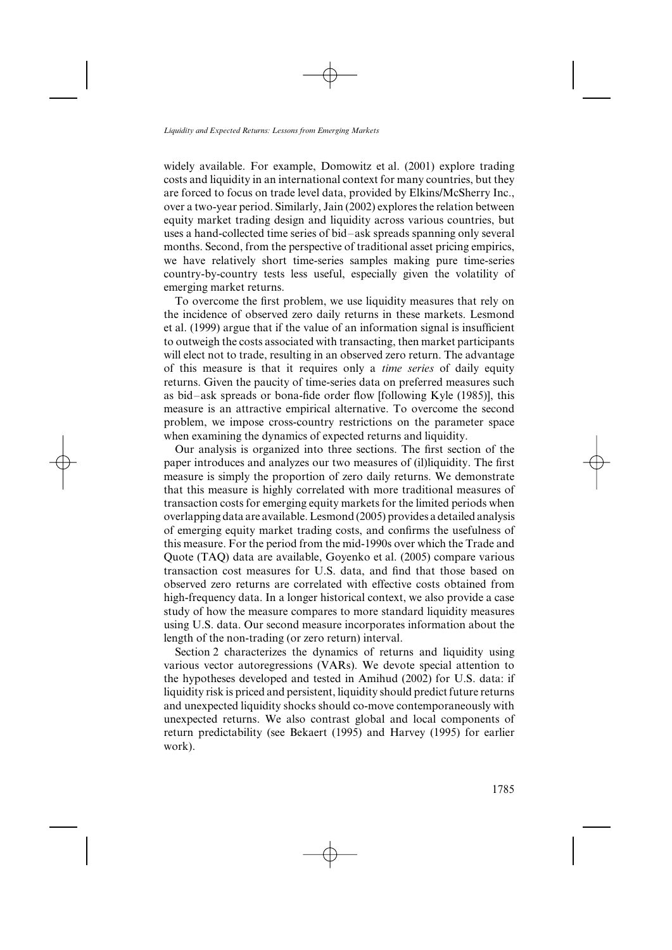widely available. For example, Domowitz et al. (2001) explore trading costs and liquidity in an international context for many countries, but they are forced to focus on trade level data, provided by Elkins/McSherry Inc., over a two-year period. Similarly, Jain (2002) explores the relation between equity market trading design and liquidity across various countries, but uses a hand-collected time series of bid–ask spreads spanning only several months. Second, from the perspective of traditional asset pricing empirics, we have relatively short time-series samples making pure time-series country-by-country tests less useful, especially given the volatility of emerging market returns.

To overcome the first problem, we use liquidity measures that rely on the incidence of observed zero daily returns in these markets. Lesmond et al. (1999) argue that if the value of an information signal is insufficient to outweigh the costs associated with transacting, then market participants will elect not to trade, resulting in an observed zero return. The advantage of this measure is that it requires only a *time series* of daily equity returns. Given the paucity of time-series data on preferred measures such as bid–ask spreads or bona-fide order flow [following Kyle (1985)], this measure is an attractive empirical alternative. To overcome the second problem, we impose cross-country restrictions on the parameter space when examining the dynamics of expected returns and liquidity.

Our analysis is organized into three sections. The first section of the paper introduces and analyzes our two measures of (il)liquidity. The first measure is simply the proportion of zero daily returns. We demonstrate that this measure is highly correlated with more traditional measures of transaction costs for emerging equity markets for the limited periods when overlapping data are available. Lesmond (2005) provides a detailed analysis of emerging equity market trading costs, and confirms the usefulness of this measure. For the period from the mid-1990s over which the Trade and Quote (TAQ) data are available, Goyenko et al. (2005) compare various transaction cost measures for U.S. data, and find that those based on observed zero returns are correlated with effective costs obtained from high-frequency data. In a longer historical context, we also provide a case study of how the measure compares to more standard liquidity measures using U.S. data. Our second measure incorporates information about the length of the non-trading (or zero return) interval.

Section 2 characterizes the dynamics of returns and liquidity using various vector autoregressions (VARs). We devote special attention to the hypotheses developed and tested in Amihud (2002) for U.S. data: if liquidity risk is priced and persistent, liquidity should predict future returns and unexpected liquidity shocks should co-move contemporaneously with unexpected returns. We also contrast global and local components of return predictability (see Bekaert (1995) and Harvey (1995) for earlier work).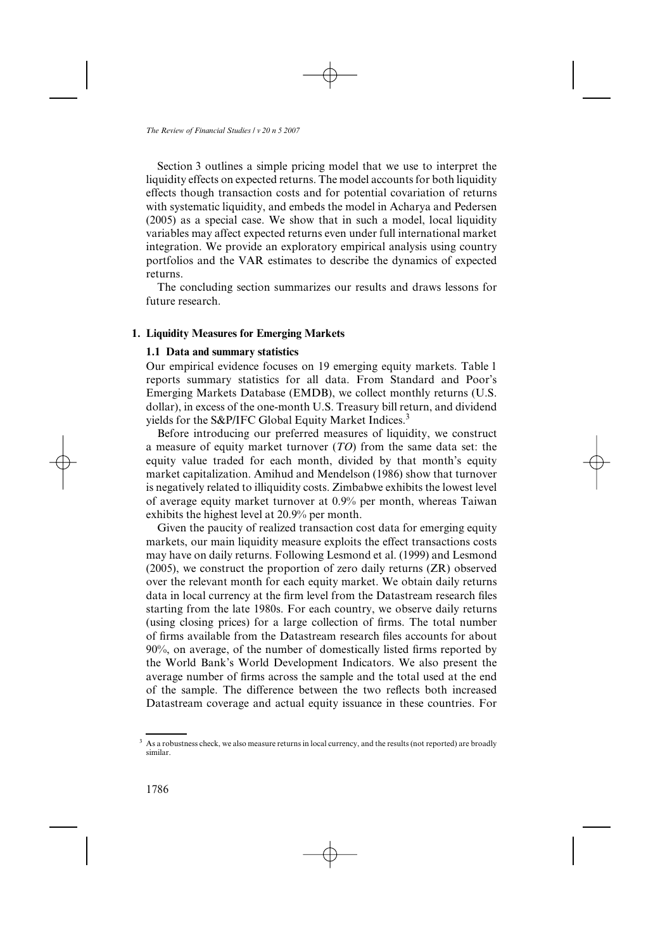Section 3 outlines a simple pricing model that we use to interpret the liquidity effects on expected returns. The model accounts for both liquidity effects though transaction costs and for potential covariation of returns with systematic liquidity, and embeds the model in Acharya and Pedersen (2005) as a special case. We show that in such a model, local liquidity variables may affect expected returns even under full international market integration. We provide an exploratory empirical analysis using country portfolios and the VAR estimates to describe the dynamics of expected returns.

The concluding section summarizes our results and draws lessons for future research.

# **1. Liquidity Measures for Emerging Markets**

#### **1.1 Data and summary statistics**

Our empirical evidence focuses on 19 emerging equity markets. Table 1 reports summary statistics for all data. From Standard and Poor's Emerging Markets Database (EMDB), we collect monthly returns (U.S. dollar), in excess of the one-month U.S. Treasury bill return, and dividend yields for the S&P/IFC Global Equity Market Indices.<sup>3</sup>

Before introducing our preferred measures of liquidity, we construct a measure of equity market turnover (*TO*) from the same data set: the equity value traded for each month, divided by that month's equity market capitalization. Amihud and Mendelson (1986) show that turnover is negatively related to illiquidity costs. Zimbabwe exhibits the lowest level of average equity market turnover at 0.9% per month, whereas Taiwan exhibits the highest level at 20.9% per month.

Given the paucity of realized transaction cost data for emerging equity markets, our main liquidity measure exploits the effect transactions costs may have on daily returns. Following Lesmond et al. (1999) and Lesmond (2005), we construct the proportion of zero daily returns (ZR) observed over the relevant month for each equity market. We obtain daily returns data in local currency at the firm level from the Datastream research files starting from the late 1980s. For each country, we observe daily returns (using closing prices) for a large collection of firms. The total number of firms available from the Datastream research files accounts for about 90%, on average, of the number of domestically listed firms reported by the World Bank's World Development Indicators. We also present the average number of firms across the sample and the total used at the end of the sample. The difference between the two reflects both increased Datastream coverage and actual equity issuance in these countries. For

<sup>&</sup>lt;sup>3</sup> As a robustness check, we also measure returns in local currency, and the results (not reported) are broadly similar.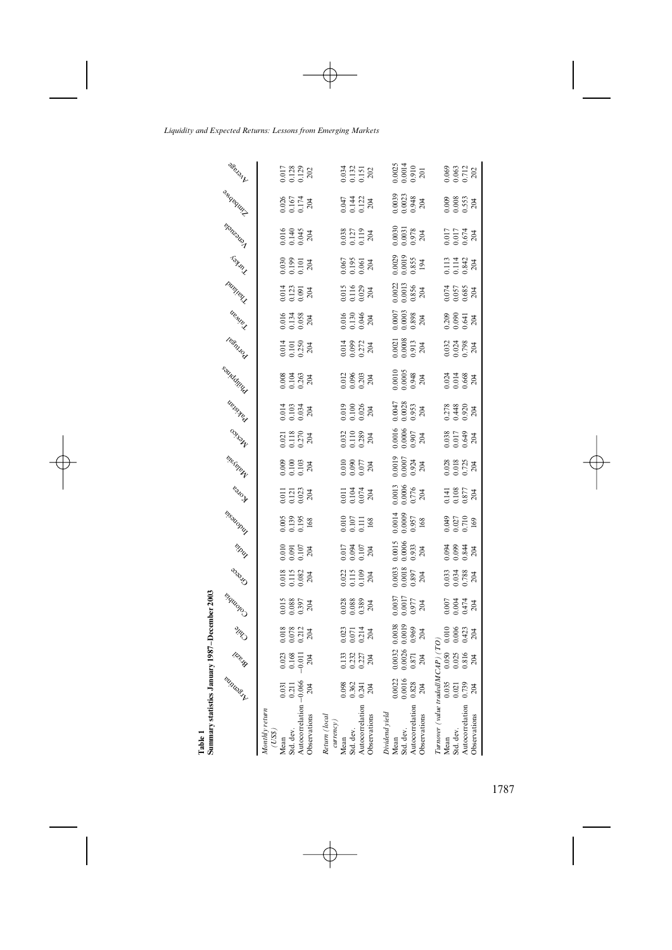| Summary statistics Januar<br>Table 1                                                            |                                                          |                                                                   |                               | ry 1987–December 2003       |                                 |                              |                          |                               |                        |                                                    |                                                          |                              |                               |                             |                               |                                  |                        |                                |                                                             |
|-------------------------------------------------------------------------------------------------|----------------------------------------------------------|-------------------------------------------------------------------|-------------------------------|-----------------------------|---------------------------------|------------------------------|--------------------------|-------------------------------|------------------------|----------------------------------------------------|----------------------------------------------------------|------------------------------|-------------------------------|-----------------------------|-------------------------------|----------------------------------|------------------------|--------------------------------|-------------------------------------------------------------|
|                                                                                                 | pundaga K                                                | <b>Maple</b>                                                      | alka                          | exputore                    | <b>Preces</b>                   | <b>ETDE</b>                  | <b>PASSIONAL</b>         | <b>BUSIC</b>                  | PRICTIPAL              | <b>ONTINO</b>                                      | UP IS UPP                                                | <sup>Suiddfillad</sup>       | Tesminod                      | UPMIR L                     | pueneur.                      | <b>TSWATCH</b>                   | <b>Promissing</b>      | a Maradian                     | <b>PARKA</b>                                                |
| Std. dev. 0.211<br>Autocorrelation -0.066<br>Monthly return<br>Observations<br>(USS)<br>Mean    | 0.031<br>204                                             | $0.023$<br>0.168<br>0.111<br>0.011                                |                               | 0.018<br>0.397<br>204       | 315<br>0113<br>002              |                              | 0.003<br>0.13<br>168     | $\frac{11}{0.023}$            | ន្ទី<br>ខេត្ត<br>ខេត្ត | $\begin{array}{c} 218 \\ 0.18 \\ 0.38 \end{array}$ | $\begin{array}{c} 14 \\ 0 \\ 0 \\ 0 \\ 0 \\ \end{array}$ |                              | <u>adox</u><br>2010<br>2010   | 0.013<br>0.038<br>0.038     | 0.013<br>0.03<br>0.03         | 36<br>0.101<br>0.101             | 0140<br>0.140<br>0.043 | 001574<br>0.1574<br>0.174      | $\begin{array}{c} 1.76 \\ 0.13 \\ 0.13 \\ 0.38 \end{array}$ |
| Autocorrelation<br>Observations<br>Return (local<br>curvey)<br>Std. dev.<br>Mean                | 0.08<br>0.362<br>0.241                                   | 33237<br>3325<br>3325                                             | 023<br>0.0714<br>2.04         | 0.028<br>0.088<br>0.389     | 0215<br>0.19<br>0.19            | 0.017<br>0.094<br>0.107      | 0.0107<br>0.111<br>168   | 11<br>0.074<br>0.074          | 00000<br>00000<br>0000 | 0.032<br>0.110<br>0.289                            | 0.00<br>0.000<br>0.000                                   | $\frac{286}{203}$            |                               |                             | $\frac{15}{100}$              | 0.067<br>0.195<br>204            | 0.038<br>0.127<br>204  | 0.14<br>0.122<br>0.122         | 033<br>0.151<br>0.151                                       |
| Autocorrelation<br>Dividend yield<br>Observations<br>Mean<br>Std. dev.                          | $\begin{array}{c} 0.0022 \\ 0.0016 \\ 0.828 \end{array}$ | $\begin{array}{c} 0.0032 \\ 0.0026 \\ 0.871 \\ 204 \end{array}$   | .003<br>೧೯೯೦<br>೧೯೯೮          | 10037<br>77600.0<br>70400.0 | 0.003<br>0.0018<br>0.897<br>204 | 0015<br>0.000<br>2033<br>204 | 0.0014<br>0.00057<br>168 | 0.0013<br>0.006<br>204<br>204 | 000733<br>000000       |                                                    | 0047<br>0028<br>2033<br>204                              | 0.000<br>0.000<br>204<br>204 | 0000<br>0.000<br>0.913<br>204 |                             | 0022<br>0.0013<br>0.856<br>27 | 0.0029<br>0.0019<br>0.855<br>194 | ಶ್ರಕ್ಷ<br>೧೯೯೦<br>೧೯೯೮ | 0.0033<br>0.0023<br>204<br>204 | ວອີຣິດ<br>ລອດ<br>ລອດ                                        |
| Turnover (value tradedlMC,<br>Autocorrelation 0.739<br><b>Observations</b><br>Mean<br>Std. dev. | $\begin{array}{c} 0.035 \\ 0.021 \end{array}$            | $\frac{AD}{10.050}$ (TO)<br>0.050 0.050<br>0.025 0<br>9.0316 1204 | <u>ី</u><br>ខេត្តដូង<br>ខេត្ត | 00373<br>0000               | 033<br>0.034<br>0.08            | ००० अस्<br>१९९३ द            | 3027<br>12027<br>160     | 141<br>0.1877<br>0.877        | 038<br>0323<br>0323    | 0.017<br>0.017<br>204<br>204                       | 0.278<br>0.448<br>0.920<br>204                           | 0.014<br>0.014<br>0.068      | 32<br>0.024<br>0.798<br>20    | <u>និទ្ធិ</u><br>ភ្នំនិន្នី | 057<br>057<br>0.685           | 1114<br>1142<br>0.182            | 0074<br>0000<br>000    | 0.008<br>0.553<br>204          | 88828<br>88828                                              |

 $\begin{array}{c} 0.0025 \\ 0.0014 \\ 0.910 \\ 201 \end{array}$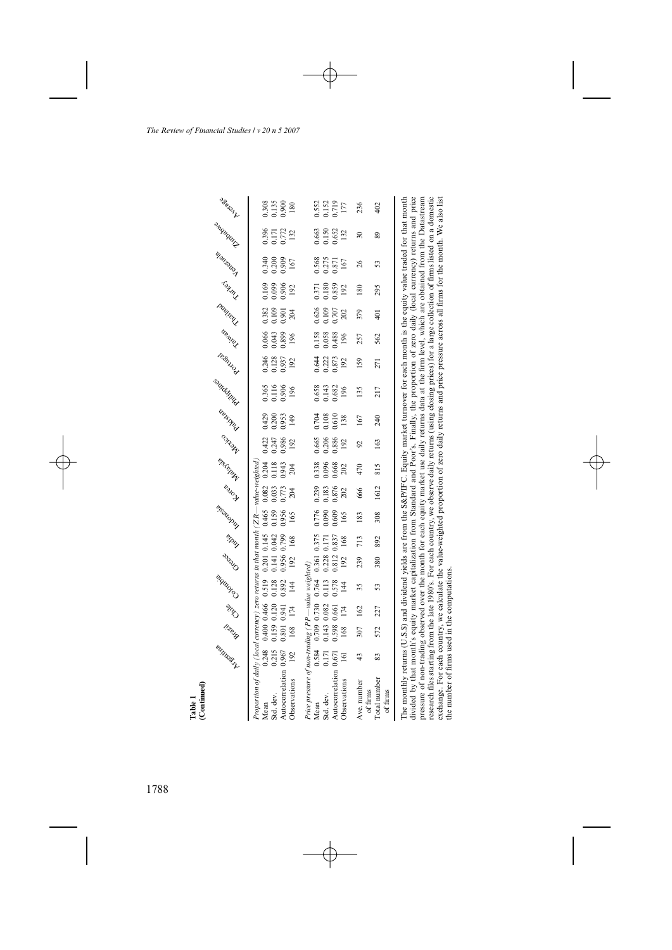| (Continued)<br>Table I                                                                                                                                                                                                                                                                                                                                                                                                                                                                                                                                                                                                                              |              |                                            |                                           |                                      |                                |                                |                                |                                |                                |                                |                                |                                |                                       |                                 |                                |                                |                                |                                |
|-----------------------------------------------------------------------------------------------------------------------------------------------------------------------------------------------------------------------------------------------------------------------------------------------------------------------------------------------------------------------------------------------------------------------------------------------------------------------------------------------------------------------------------------------------------------------------------------------------------------------------------------------------|--------------|--------------------------------------------|-------------------------------------------|--------------------------------------|--------------------------------|--------------------------------|--------------------------------|--------------------------------|--------------------------------|--------------------------------|--------------------------------|--------------------------------|---------------------------------------|---------------------------------|--------------------------------|--------------------------------|--------------------------------|--------------------------------|
| eminesh                                                                                                                                                                                                                                                                                                                                                                                                                                                                                                                                                                                                                                             | llzeig       | e duite                                    | <b>Explorer</b>                           | <b>Preces</b>                        | enda.                          | <b>PASSIONA</b>                | <b>BUSICS</b>                  | ens Genety                     | <b>OSHION</b>                  | UPISHAR                        | s <sub>suiddinid</sub> a       | resnuod                        | UPMICL                                | Pueneux                         | TayInt                         | <b>Powering</b>                | <b>SMOROUM</b>                 | <b>Musical</b>                 |
| Proportion of daily (local currency) zero returns in that month ( $ZR$ -value-weighted<br>0.248<br>0.215<br>0.967<br>192<br>Autocorrelation<br>Observations<br>Std. dev.<br>Mean                                                                                                                                                                                                                                                                                                                                                                                                                                                                    | 0.801<br>168 | 0.400 0.466<br>0.159 0.120<br>0.941<br>174 | 0.519<br>0.128<br>0.892<br>144            | 0.201 0.145<br>0.956<br>0.141<br>192 | 0.042<br>0.799<br>168          | 0.465<br>0.159<br>0.956<br>165 | 0.082<br>0.033<br>0.773<br>204 | 0.204<br>0.118<br>0.943<br>204 | 0.247<br>0.986<br>192          | 0.429<br>0.953<br>0.200<br>149 | 0.365<br>0.116<br>0.906<br>196 | 0.246<br>0.128<br>0.937<br>192 | 0.066<br>0.043<br>0.899<br>196        | 0.382<br>091.09<br>0.901<br>204 | 0.169<br>0.099<br>0.906<br>192 | 0.909<br>0.340<br>0.200<br>167 | 0.772<br>0.396<br>).I7I<br>132 | 0.135<br>0.308<br>0.900<br>180 |
| Price pressure of non-trading ( $PP$ —value weighted)<br>0.584<br>0.171<br>0.671<br>161<br>Autocorrelation<br>Observations<br>Std. dev.<br>Mean                                                                                                                                                                                                                                                                                                                                                                                                                                                                                                     | 0.598<br>168 | 0.709 0.730<br>0.143 0.082<br>0.661<br>174 | 0.764<br>0.113<br>0.578<br>$\frac{14}{4}$ | 0.228<br>0.812<br>0.361<br>192       | 0.375<br>0.837<br>168<br>0.171 | 0.776<br>0.090<br>0.609<br>165 | 0.239<br>0.876<br>1183<br>202  | 0.338<br>0.096<br>0.668<br>202 | 0.665<br>0.206<br>0.886<br>192 | 0.704<br>0.108<br>0.610<br>138 | 0.658<br>0.143<br>0.682<br>196 | 0.873<br>0.644<br>0.222<br>192 | 0.158<br>0.058<br>0.488<br><b>961</b> | 0.626<br>001(<br>0.707<br>202   | 0.859<br>0.180<br>0.371<br>192 | 0.568<br>0.275<br>0.871<br>167 | 0.652<br>0.663<br>0.150<br>132 | 0.719<br>0.552<br>1.52<br>177  |
| 43<br>83<br>Total number<br>Ave. number<br>of firms<br>of firms                                                                                                                                                                                                                                                                                                                                                                                                                                                                                                                                                                                     | 572<br>507   | 162<br>227                                 | 35<br>53                                  | 239<br>380                           | 713<br>892                     | 308<br>183                     | 1612<br>666                    | 815<br>470                     | 163<br>92                      | 167<br>240                     | 217<br>135                     | 159<br>271                     | 562<br>257                            | 379<br>$\overline{401}$         | 295<br>180                     | 26<br>53                       | R<br>89                        | 236<br>402                     |
| research files starting from the late 1980's. For each country, we observe daily returns (using olosing prices) for a large collection of firms listed on a domestic<br>divided by that month's equity market capitalization from Standard and Poor's. Finally, the proportion of zero daily (local currency) returns and price<br>The monthly returns (U.S.S) and dividend yields are from the S&P/IFC. Equity market turnover for each month is the equity value traded for that month<br>pressure of non-trading observed over the month for each equity market use daily returns data at the firm level, which are obtained from the Datastream |              |                                            |                                           |                                      |                                |                                |                                |                                |                                |                                |                                |                                |                                       |                                 |                                |                                |                                |                                |

research hies starting from the late 1980's. For each country, we observe daily returns (using closing prices) for a large collection of hrms listed on a domestic<br>exchange. For each country, we calculate the value-weighted research files starting from the late 1980's. For each country, we observe daily returns (using closing prices) for a large collection of firms listed on a domestic exchange. For each country, we calculate the value-weighted proportion of zero daily returns and price pressure across all firms for the month. We also list the number of firms used in the computations. the number of firms used in the computations.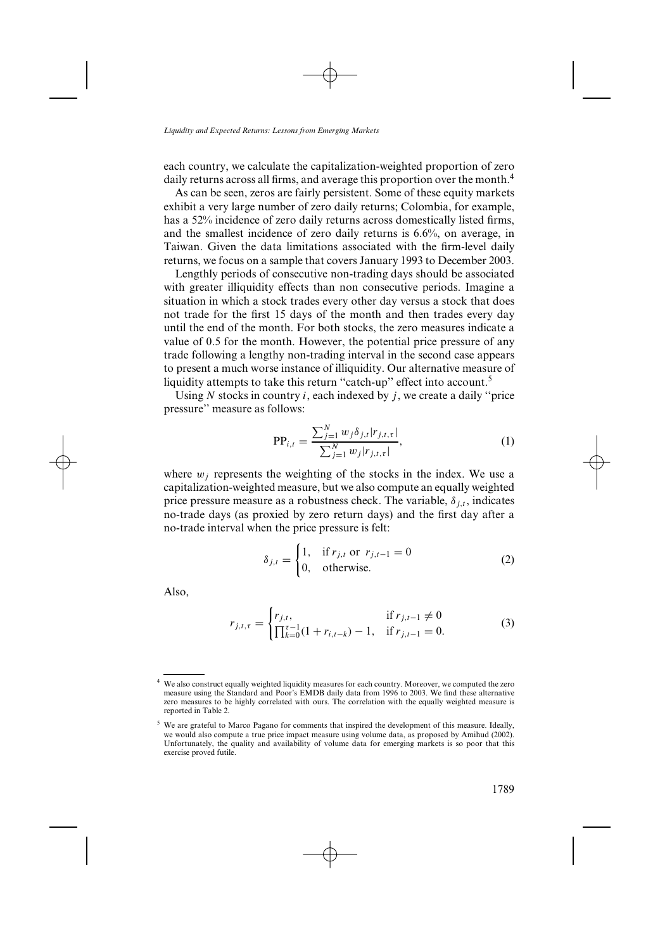each country, we calculate the capitalization-weighted proportion of zero daily returns across all firms, and average this proportion over the month.<sup>4</sup>

As can be seen, zeros are fairly persistent. Some of these equity markets exhibit a very large number of zero daily returns; Colombia, for example, has a 52% incidence of zero daily returns across domestically listed firms, and the smallest incidence of zero daily returns is 6.6%, on average, in Taiwan. Given the data limitations associated with the firm-level daily returns, we focus on a sample that covers January 1993 to December 2003.

Lengthly periods of consecutive non-trading days should be associated with greater illiquidity effects than non consecutive periods. Imagine a situation in which a stock trades every other day versus a stock that does not trade for the first 15 days of the month and then trades every day until the end of the month. For both stocks, the zero measures indicate a value of 0.5 for the month. However, the potential price pressure of any trade following a lengthy non-trading interval in the second case appears to present a much worse instance of illiquidity. Our alternative measure of liquidity attempts to take this return "catch-up" effect into account.<sup>5</sup>

Using *N* stocks in country *i*, each indexed by *j*, we create a daily ''price pressure'' measure as follows:

$$
PP_{i,t} = \frac{\sum_{j=1}^{N} w_j \delta_{j,t} |r_{j,t,\tau}|}{\sum_{j=1}^{N} w_j |r_{j,t,\tau}|},
$$
\n(1)

where  $w_i$  represents the weighting of the stocks in the index. We use a capitalization-weighted measure, but we also compute an equally weighted price pressure measure as a robustness check. The variable,  $\delta_{i,t}$ , indicates no-trade days (as proxied by zero return days) and the first day after a no-trade interval when the price pressure is felt:

$$
\delta_{j,t} = \begin{cases} 1, & \text{if } r_{j,t} \text{ or } r_{j,t-1} = 0 \\ 0, & \text{otherwise.} \end{cases}
$$
 (2)

Also,

$$
r_{j,t,\tau} = \begin{cases} r_{j,t}, & \text{if } r_{j,t-1} \neq 0\\ \prod_{k=0}^{\tau-1} (1 + r_{i,t-k}) - 1, & \text{if } r_{j,t-1} = 0. \end{cases}
$$
 (3)

<sup>4</sup> We also construct equally weighted liquidity measures for each country. Moreover, we computed the zero measure using the Standard and Poor's EMDB daily data from 1996 to 2003. We find these alternative zero measures to be highly correlated with ours. The correlation with the equally weighted measure is reported in Table 2.

 $<sup>5</sup>$  We are grateful to Marco Pagano for comments that inspired the development of this measure. Ideally,</sup> we would also compute a true price impact measure using volume data, as proposed by Amihud (2002). Unfortunately, the quality and availability of volume data for emerging markets is so poor that this exercise proved futile.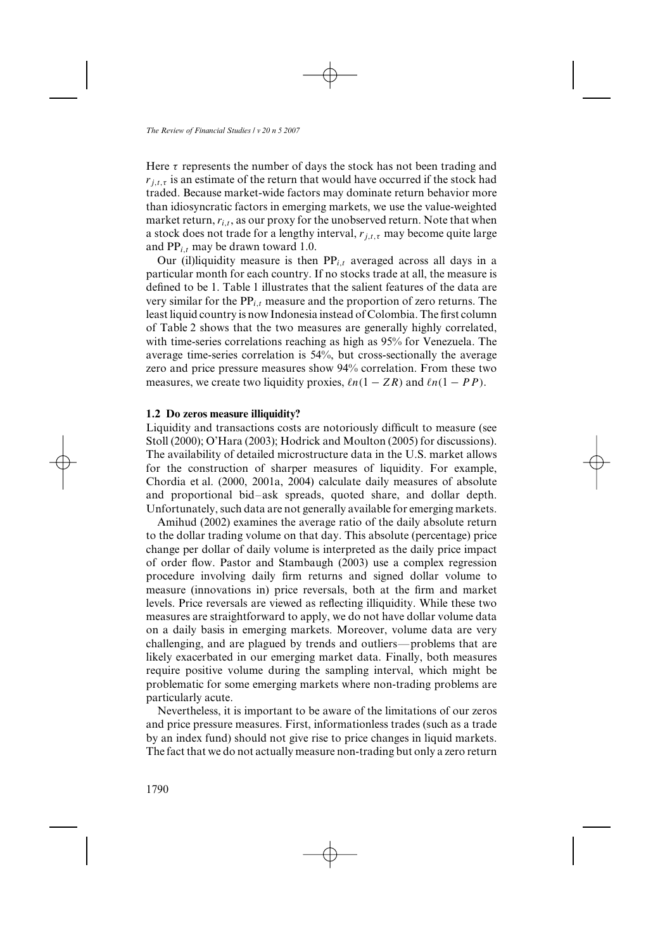Here  $\tau$  represents the number of days the stock has not been trading and  $r_{i,t,\tau}$  is an estimate of the return that would have occurred if the stock had traded. Because market-wide factors may dominate return behavior more than idiosyncratic factors in emerging markets, we use the value-weighted market return,  $r_{i,t}$ , as our proxy for the unobserved return. Note that when a stock does not trade for a lengthy interval, *rj,t,τ* may become quite large and PP*i,t* may be drawn toward 1.0.

Our (il)liquidity measure is then  $PP_{i,t}$  averaged across all days in a particular month for each country. If no stocks trade at all, the measure is defined to be 1. Table 1 illustrates that the salient features of the data are very similar for the PP*i,t* measure and the proportion of zero returns. The least liquid country is now Indonesia instead of Colombia. The first column of Table 2 shows that the two measures are generally highly correlated, with time-series correlations reaching as high as 95% for Venezuela. The average time-series correlation is 54%, but cross-sectionally the average zero and price pressure measures show 94% correlation. From these two measures, we create two liquidity proxies,  $ln(1 - ZR)$  and  $ln(1 - PP)$ .

#### **1.2 Do zeros measure illiquidity?**

Liquidity and transactions costs are notoriously difficult to measure (see Stoll (2000); O'Hara (2003); Hodrick and Moulton (2005) for discussions). The availability of detailed microstructure data in the U.S. market allows for the construction of sharper measures of liquidity. For example, Chordia et al. (2000, 2001a, 2004) calculate daily measures of absolute and proportional bid–ask spreads, quoted share, and dollar depth. Unfortunately, such data are not generally available for emerging markets.

Amihud (2002) examines the average ratio of the daily absolute return to the dollar trading volume on that day. This absolute (percentage) price change per dollar of daily volume is interpreted as the daily price impact of order flow. Pastor and Stambaugh (2003) use a complex regression procedure involving daily firm returns and signed dollar volume to measure (innovations in) price reversals, both at the firm and market levels. Price reversals are viewed as reflecting illiquidity. While these two measures are straightforward to apply, we do not have dollar volume data on a daily basis in emerging markets. Moreover, volume data are very challenging, and are plagued by trends and outliers—problems that are likely exacerbated in our emerging market data. Finally, both measures require positive volume during the sampling interval, which might be problematic for some emerging markets where non-trading problems are particularly acute.

Nevertheless, it is important to be aware of the limitations of our zeros and price pressure measures. First, informationless trades (such as a trade by an index fund) should not give rise to price changes in liquid markets. The fact that we do not actually measure non-trading but only a zero return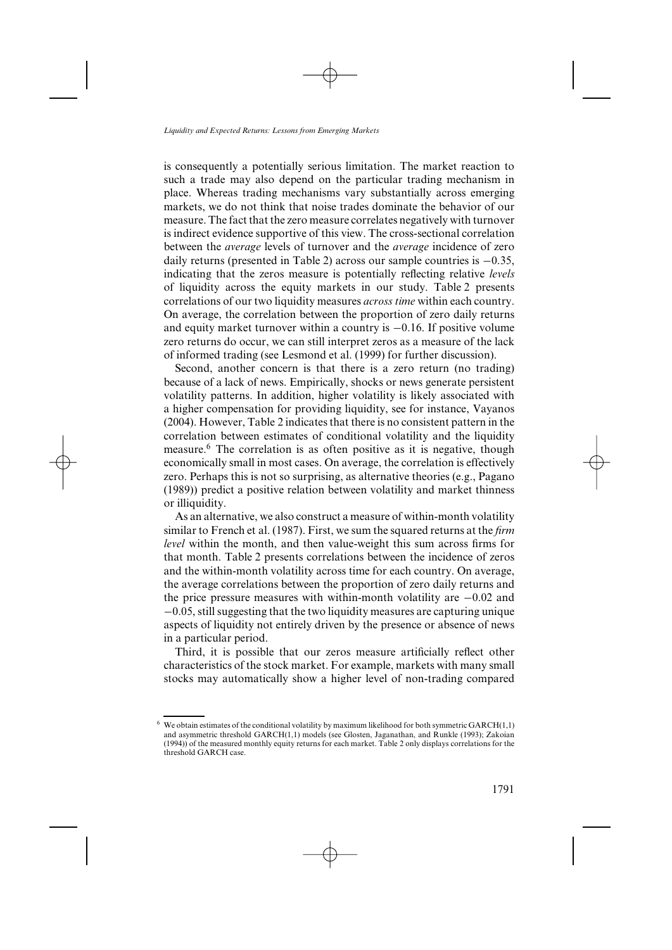is consequently a potentially serious limitation. The market reaction to such a trade may also depend on the particular trading mechanism in place. Whereas trading mechanisms vary substantially across emerging markets, we do not think that noise trades dominate the behavior of our measure. The fact that the zero measure correlates negatively with turnover is indirect evidence supportive of this view. The cross-sectional correlation between the *average* levels of turnover and the *average* incidence of zero daily returns (presented in Table 2) across our sample countries is −0*.*35, indicating that the zeros measure is potentially reflecting relative *levels* of liquidity across the equity markets in our study. Table 2 presents correlations of our two liquidity measures *across time* within each country. On average, the correlation between the proportion of zero daily returns and equity market turnover within a country is −0*.*16. If positive volume zero returns do occur, we can still interpret zeros as a measure of the lack of informed trading (see Lesmond et al. (1999) for further discussion).

Second, another concern is that there is a zero return (no trading) because of a lack of news. Empirically, shocks or news generate persistent volatility patterns. In addition, higher volatility is likely associated with a higher compensation for providing liquidity, see for instance, Vayanos (2004). However, Table 2 indicates that there is no consistent pattern in the correlation between estimates of conditional volatility and the liquidity measure.6 The correlation is as often positive as it is negative, though economically small in most cases. On average, the correlation is effectively zero. Perhaps this is not so surprising, as alternative theories (e.g., Pagano (1989)) predict a positive relation between volatility and market thinness or illiquidity.

As an alternative, we also construct a measure of within-month volatility similar to French et al. (1987). First, we sum the squared returns at the *firm level* within the month, and then value-weight this sum across firms for that month. Table 2 presents correlations between the incidence of zeros and the within-month volatility across time for each country. On average, the average correlations between the proportion of zero daily returns and the price pressure measures with within-month volatility are −0*.*02 and −0*.*05, still suggesting that the two liquidity measures are capturing unique aspects of liquidity not entirely driven by the presence or absence of news in a particular period.

Third, it is possible that our zeros measure artificially reflect other characteristics of the stock market. For example, markets with many small stocks may automatically show a higher level of non-trading compared

 $6\,$  We obtain estimates of the conditional volatility by maximum likelihood for both symmetric GARCH(1,1) and asymmetric threshold GARCH(1,1) models (see Glosten, Jaganathan, and Runkle (1993); Zakoian (1994)) of the measured monthly equity returns for each market. Table 2 only displays correlations for the threshold GARCH case.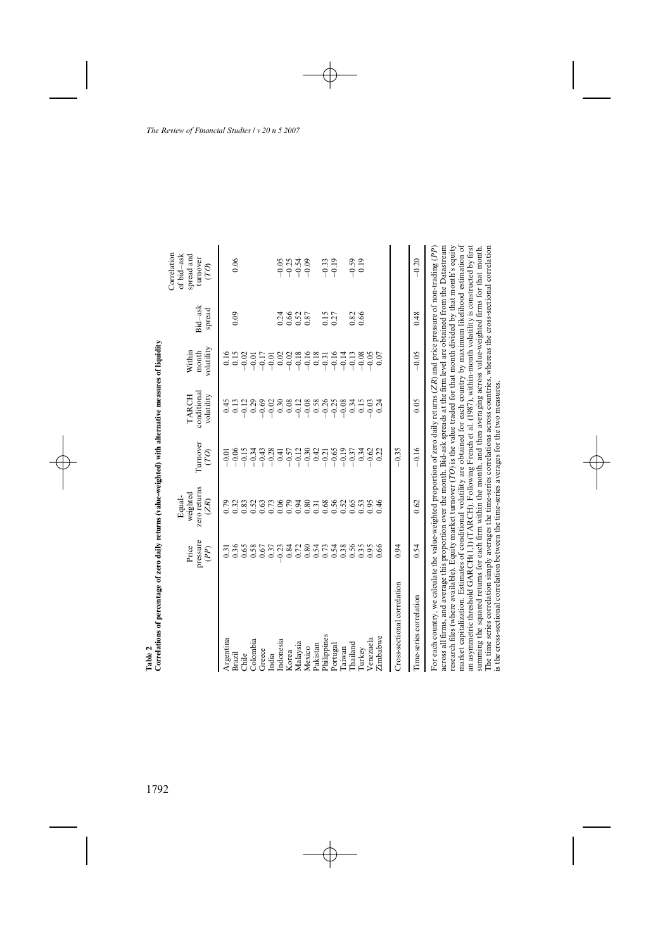| FT A D A H                 |
|----------------------------|
| المستلطف ومستحدد<br>Equal- |
| Patients.                  |
|                            |

| Correlations of percentage of zero daily returns (value-weighted) with alternative measures of liquidity<br>Table 2                                                                                                                                                                                                                                                                                                                                                                                                                                                                                                                                                                                                                                                                                                                                                                                                                                                                                                                       |                           |                                            |                             |                                    |                               |                   |                                                             |
|-------------------------------------------------------------------------------------------------------------------------------------------------------------------------------------------------------------------------------------------------------------------------------------------------------------------------------------------------------------------------------------------------------------------------------------------------------------------------------------------------------------------------------------------------------------------------------------------------------------------------------------------------------------------------------------------------------------------------------------------------------------------------------------------------------------------------------------------------------------------------------------------------------------------------------------------------------------------------------------------------------------------------------------------|---------------------------|--------------------------------------------|-----------------------------|------------------------------------|-------------------------------|-------------------|-------------------------------------------------------------|
|                                                                                                                                                                                                                                                                                                                                                                                                                                                                                                                                                                                                                                                                                                                                                                                                                                                                                                                                                                                                                                           | pressure<br>Price<br>(PP) | zero returns<br>weighted<br>Equal-<br>(ZR) | Turnover<br>$\widetilde{C}$ | conditional<br>volatility<br>TARCH | volatility<br>Within<br>month | Bid-ask<br>spread | Correlation<br>spread and<br>of bid-ask<br>turnover<br>(TO) |
| Argentina                                                                                                                                                                                                                                                                                                                                                                                                                                                                                                                                                                                                                                                                                                                                                                                                                                                                                                                                                                                                                                 | 0.31                      | 0.79                                       | $-0.01$                     | 0.45                               | 0.16                          |                   |                                                             |
| Brazil                                                                                                                                                                                                                                                                                                                                                                                                                                                                                                                                                                                                                                                                                                                                                                                                                                                                                                                                                                                                                                    | 0.36                      | 0.32                                       | $-0.06$                     | 0.13                               | 0.15                          | 0.09              | 0.06                                                        |
| Chile                                                                                                                                                                                                                                                                                                                                                                                                                                                                                                                                                                                                                                                                                                                                                                                                                                                                                                                                                                                                                                     | 0.65                      | 0.83                                       | $-0.15$                     | $-0.12$                            | $-0.02$                       |                   |                                                             |
| Colombia                                                                                                                                                                                                                                                                                                                                                                                                                                                                                                                                                                                                                                                                                                                                                                                                                                                                                                                                                                                                                                  | $0.58\,$                  | 33<br>0.33<br>0.73                         | $-0.34$                     | 0.29                               | $-0.01$                       |                   |                                                             |
| Greece                                                                                                                                                                                                                                                                                                                                                                                                                                                                                                                                                                                                                                                                                                                                                                                                                                                                                                                                                                                                                                    | 0.67                      |                                            | $-0.43$                     | $-0.69$                            | $-0.17$                       |                   |                                                             |
| India                                                                                                                                                                                                                                                                                                                                                                                                                                                                                                                                                                                                                                                                                                                                                                                                                                                                                                                                                                                                                                     | 0.37                      |                                            | $-0.28$                     | $-0.02$                            | $-0.01$                       |                   |                                                             |
| Indonesia                                                                                                                                                                                                                                                                                                                                                                                                                                                                                                                                                                                                                                                                                                                                                                                                                                                                                                                                                                                                                                 | $-0.23$                   | 0.06                                       | 0.41                        | 0.30                               | 0.02                          | 0.24              | $-0.05$                                                     |
| Korea                                                                                                                                                                                                                                                                                                                                                                                                                                                                                                                                                                                                                                                                                                                                                                                                                                                                                                                                                                                                                                     | 0.84                      | 0.79                                       | $-0.57$                     | 0.08                               | $-0.02$                       | 0.66              | $-0.25$                                                     |
| Malaysia                                                                                                                                                                                                                                                                                                                                                                                                                                                                                                                                                                                                                                                                                                                                                                                                                                                                                                                                                                                                                                  | 0.72                      | 0.94                                       | $-0.12$                     | $-0.12$                            | $-0.18$                       | 0.52              | $-0.54$                                                     |
| Mexico                                                                                                                                                                                                                                                                                                                                                                                                                                                                                                                                                                                                                                                                                                                                                                                                                                                                                                                                                                                                                                    | 0.80                      | 0.80                                       | $-0.30$                     | $-0.08$                            | $-0.16$                       | 0.87              | $-0.09$                                                     |
| Pakistan                                                                                                                                                                                                                                                                                                                                                                                                                                                                                                                                                                                                                                                                                                                                                                                                                                                                                                                                                                                                                                  | $0.54$<br>$0.73$          | 0.31                                       | 0.42                        | 0.58                               | 0.18                          |                   |                                                             |
| Philippines                                                                                                                                                                                                                                                                                                                                                                                                                                                                                                                                                                                                                                                                                                                                                                                                                                                                                                                                                                                                                               |                           | $0.56$<br>$0.52$                           | $-0.21$                     | $-0.26$                            | $-0.31$                       | 0.15              | $-0.33$                                                     |
| Portugal                                                                                                                                                                                                                                                                                                                                                                                                                                                                                                                                                                                                                                                                                                                                                                                                                                                                                                                                                                                                                                  | 0.54                      |                                            | $-0.65$                     | $-0.25$                            | $-0.16$                       | 0.27              | $-0.19$                                                     |
| Taiwan                                                                                                                                                                                                                                                                                                                                                                                                                                                                                                                                                                                                                                                                                                                                                                                                                                                                                                                                                                                                                                    | 0.38                      |                                            | $-0.19$                     | $-0.08$                            | $-0.14$                       |                   |                                                             |
| Thailand                                                                                                                                                                                                                                                                                                                                                                                                                                                                                                                                                                                                                                                                                                                                                                                                                                                                                                                                                                                                                                  | 0.56                      | 0.65                                       | $-0.37$                     | 0.34                               | $-0.13$                       | 0.82              | $-0.59$                                                     |
| Turkey                                                                                                                                                                                                                                                                                                                                                                                                                                                                                                                                                                                                                                                                                                                                                                                                                                                                                                                                                                                                                                    | 0.35                      | 0.53                                       | 0.34                        | 0.15                               | $-0.08$                       | 0.66              | 0.19                                                        |
| Venezuela                                                                                                                                                                                                                                                                                                                                                                                                                                                                                                                                                                                                                                                                                                                                                                                                                                                                                                                                                                                                                                 | 0.95                      | 0.95                                       | $-0.62$                     | $-0.03$                            | $-0.05$                       |                   |                                                             |
| Zimbabwe                                                                                                                                                                                                                                                                                                                                                                                                                                                                                                                                                                                                                                                                                                                                                                                                                                                                                                                                                                                                                                  | 0.66                      | 3.46                                       | 0.22                        | 0.24                               | 0.07                          |                   |                                                             |
| Cross-sectional correlation                                                                                                                                                                                                                                                                                                                                                                                                                                                                                                                                                                                                                                                                                                                                                                                                                                                                                                                                                                                                               | 0.94                      |                                            | $-0.35$                     |                                    |                               |                   |                                                             |
| Time-series correlation                                                                                                                                                                                                                                                                                                                                                                                                                                                                                                                                                                                                                                                                                                                                                                                                                                                                                                                                                                                                                   | 0.54                      | 0.62                                       | $-0.16$                     | 0.05                               | $-0.05$                       | 0.48              | $-0.20$                                                     |
| research files (where available). Equity market turnover (TO) is the value traded for that month divided by that month's equity<br>market capitalization. Estimates of conditional volatility are obtained for each country by maximum likelihood estimation of<br>across all firms, and average this proportion over the month. Bid-ask spreads at the firm level are obtained from the Datastream<br>an asymmetric threshold GARCH(1,1) (TARCH). Following French et al. (1987), within-month volatility is constructed by first<br>summing the squared returns for each firm within the month, and then averaging across value-weighted firms for that month.<br>The time series correlation simply averages the time-series correlations across countries, whereas the cross-sectional correlation<br>For each country, we calculate the value-weighted proportion of zero daily returns $(ZR)$ and price pressure of non-trading $(PP)$<br>is the cross-sectional correlation between the time-series averages for the two measures. |                           |                                            |                             |                                    |                               |                   |                                                             |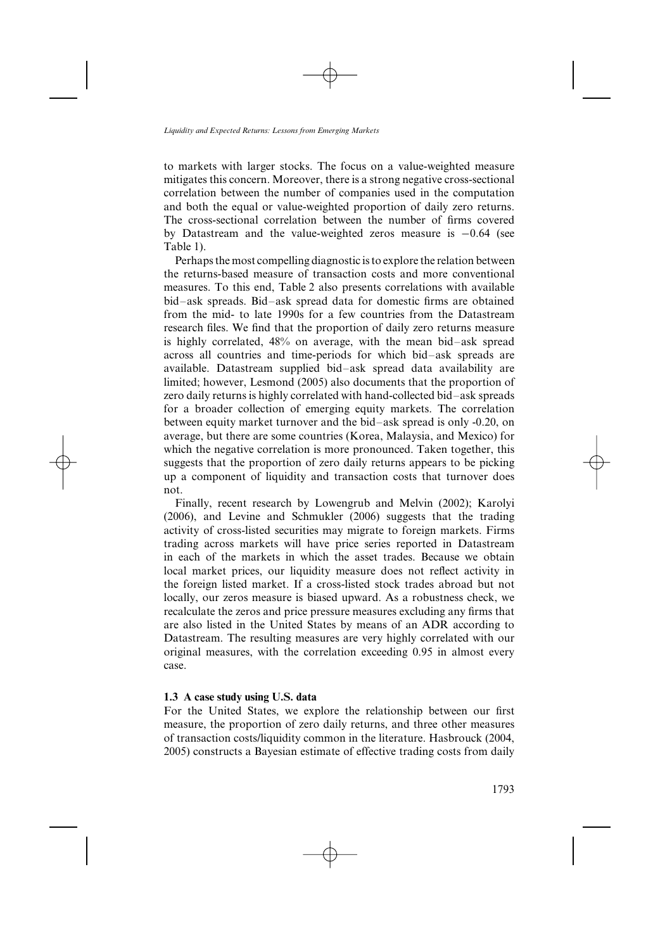to markets with larger stocks. The focus on a value-weighted measure mitigates this concern. Moreover, there is a strong negative cross-sectional correlation between the number of companies used in the computation and both the equal or value-weighted proportion of daily zero returns. The cross-sectional correlation between the number of firms covered by Datastream and the value-weighted zeros measure is −0*.*64 (see Table 1).

Perhaps the most compelling diagnostic is to explore the relation between the returns-based measure of transaction costs and more conventional measures. To this end, Table 2 also presents correlations with available bid–ask spreads. Bid–ask spread data for domestic firms are obtained from the mid- to late 1990s for a few countries from the Datastream research files. We find that the proportion of daily zero returns measure is highly correlated, 48% on average, with the mean bid–ask spread across all countries and time-periods for which bid–ask spreads are available. Datastream supplied bid–ask spread data availability are limited; however, Lesmond (2005) also documents that the proportion of zero daily returns is highly correlated with hand-collected bid–ask spreads for a broader collection of emerging equity markets. The correlation between equity market turnover and the bid–ask spread is only -0.20, on average, but there are some countries (Korea, Malaysia, and Mexico) for which the negative correlation is more pronounced. Taken together, this suggests that the proportion of zero daily returns appears to be picking up a component of liquidity and transaction costs that turnover does not.

Finally, recent research by Lowengrub and Melvin (2002); Karolyi (2006), and Levine and Schmukler (2006) suggests that the trading activity of cross-listed securities may migrate to foreign markets. Firms trading across markets will have price series reported in Datastream in each of the markets in which the asset trades. Because we obtain local market prices, our liquidity measure does not reflect activity in the foreign listed market. If a cross-listed stock trades abroad but not locally, our zeros measure is biased upward. As a robustness check, we recalculate the zeros and price pressure measures excluding any firms that are also listed in the United States by means of an ADR according to Datastream. The resulting measures are very highly correlated with our original measures, with the correlation exceeding 0.95 in almost every case.

# **1.3 A case study using U.S. data**

For the United States, we explore the relationship between our first measure, the proportion of zero daily returns, and three other measures of transaction costs/liquidity common in the literature. Hasbrouck (2004, 2005) constructs a Bayesian estimate of effective trading costs from daily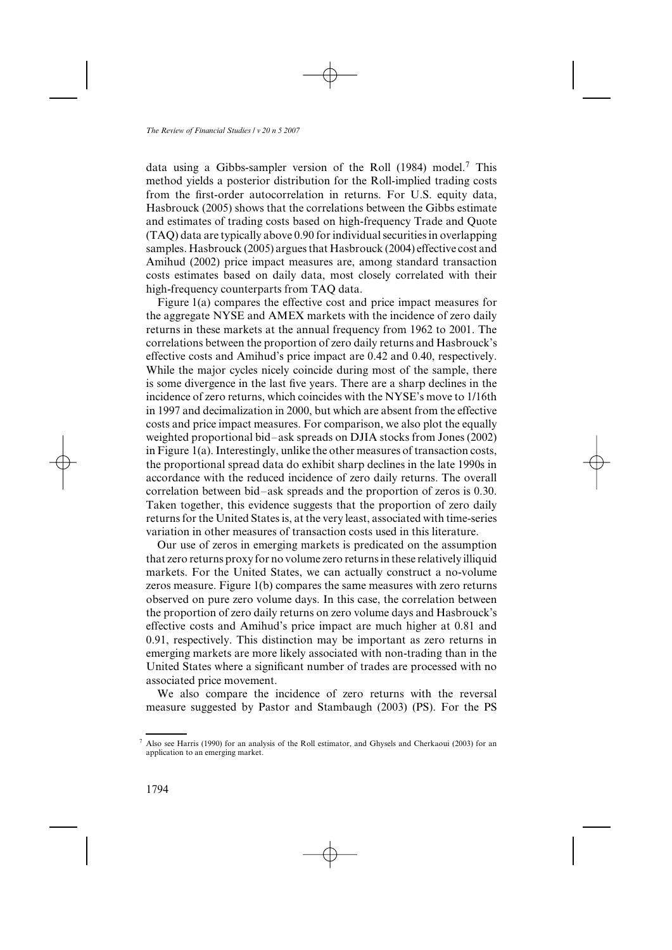data using a Gibbs-sampler version of the Roll  $(1984)$  model.<sup>7</sup> This method yields a posterior distribution for the Roll-implied trading costs from the first-order autocorrelation in returns. For U.S. equity data, Hasbrouck (2005) shows that the correlations between the Gibbs estimate and estimates of trading costs based on high-frequency Trade and Quote (TAQ) data are typically above 0.90 for individual securities in overlapping samples. Hasbrouck (2005) argues that Hasbrouck (2004) effective cost and Amihud (2002) price impact measures are, among standard transaction costs estimates based on daily data, most closely correlated with their high-frequency counterparts from TAQ data.

Figure 1(a) compares the effective cost and price impact measures for the aggregate NYSE and AMEX markets with the incidence of zero daily returns in these markets at the annual frequency from 1962 to 2001. The correlations between the proportion of zero daily returns and Hasbrouck's effective costs and Amihud's price impact are 0.42 and 0.40, respectively. While the major cycles nicely coincide during most of the sample, there is some divergence in the last five years. There are a sharp declines in the incidence of zero returns, which coincides with the NYSE's move to 1/16th in 1997 and decimalization in 2000, but which are absent from the effective costs and price impact measures. For comparison, we also plot the equally weighted proportional bid–ask spreads on DJIA stocks from Jones (2002) in Figure 1(a). Interestingly, unlike the other measures of transaction costs, the proportional spread data do exhibit sharp declines in the late 1990s in accordance with the reduced incidence of zero daily returns. The overall correlation between bid–ask spreads and the proportion of zeros is 0.30. Taken together, this evidence suggests that the proportion of zero daily returns for the United States is, at the very least, associated with time-series variation in other measures of transaction costs used in this literature.

Our use of zeros in emerging markets is predicated on the assumption that zero returns proxy for no volume zero returns in these relatively illiquid markets. For the United States, we can actually construct a no-volume zeros measure. Figure 1(b) compares the same measures with zero returns observed on pure zero volume days. In this case, the correlation between the proportion of zero daily returns on zero volume days and Hasbrouck's effective costs and Amihud's price impact are much higher at 0.81 and 0.91, respectively. This distinction may be important as zero returns in emerging markets are more likely associated with non-trading than in the United States where a significant number of trades are processed with no associated price movement.

We also compare the incidence of zero returns with the reversal measure suggested by Pastor and Stambaugh (2003) (PS). For the PS

<sup>7</sup> Also see Harris (1990) for an analysis of the Roll estimator, and Ghysels and Cherkaoui (2003) for an application to an emerging market.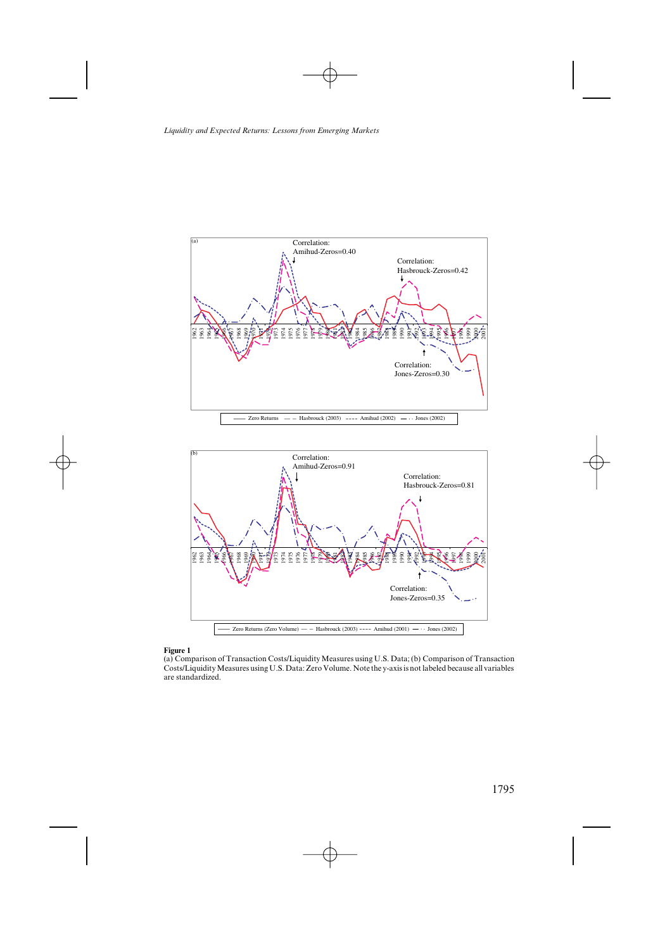



#### **Figure 1**

(a) Comparison of Transaction Costs/Liquidity Measures using U.S. Data; (b) Comparison of Transaction Costs/LiquidityMeasures using U.S. Data: Zero Volume. Note the y-axis is not labeled because all variables are standardized.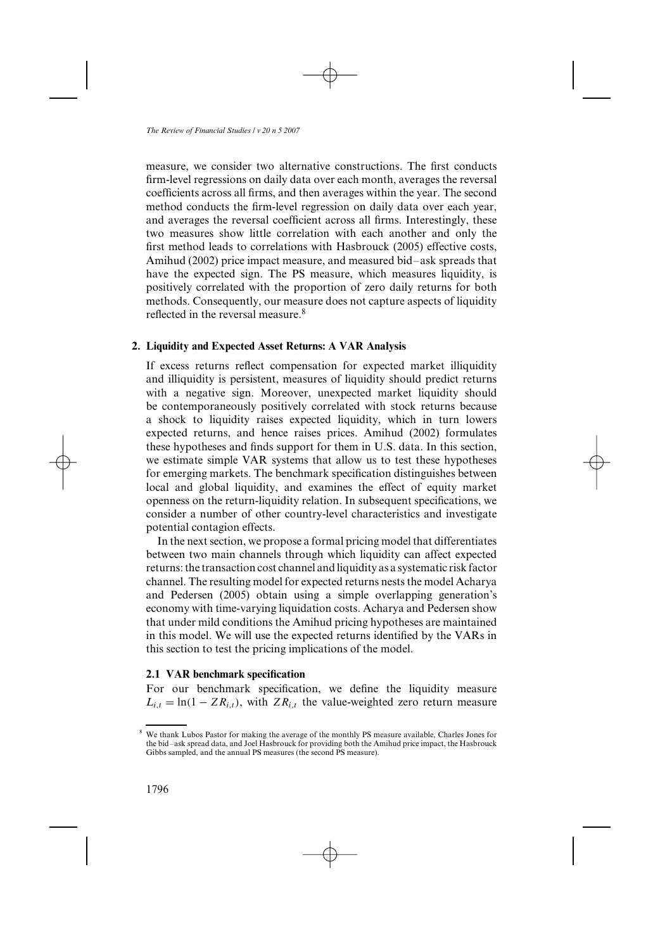measure, we consider two alternative constructions. The first conducts firm-level regressions on daily data over each month, averages the reversal coefficients across all firms, and then averages within the year. The second method conducts the firm-level regression on daily data over each year, and averages the reversal coefficient across all firms. Interestingly, these two measures show little correlation with each another and only the first method leads to correlations with Hasbrouck (2005) effective costs, Amihud (2002) price impact measure, and measured bid–ask spreads that have the expected sign. The PS measure, which measures liquidity, is positively correlated with the proportion of zero daily returns for both methods. Consequently, our measure does not capture aspects of liquidity reflected in the reversal measure.<sup>8</sup>

# **2. Liquidity and Expected Asset Returns: A VAR Analysis**

If excess returns reflect compensation for expected market illiquidity and illiquidity is persistent, measures of liquidity should predict returns with a negative sign. Moreover, unexpected market liquidity should be contemporaneously positively correlated with stock returns because a shock to liquidity raises expected liquidity, which in turn lowers expected returns, and hence raises prices. Amihud (2002) formulates these hypotheses and finds support for them in U.S. data. In this section, we estimate simple VAR systems that allow us to test these hypotheses for emerging markets. The benchmark specification distinguishes between local and global liquidity, and examines the effect of equity market openness on the return-liquidity relation. In subsequent specifications, we consider a number of other country-level characteristics and investigate potential contagion effects.

In the next section, we propose a formal pricing model that differentiates between two main channels through which liquidity can affect expected returns: the transaction cost channel and liquidity as a systematic risk factor channel. The resulting model for expected returns nests the model Acharya and Pedersen (2005) obtain using a simple overlapping generation's economy with time-varying liquidation costs. Acharya and Pedersen show that under mild conditions the Amihud pricing hypotheses are maintained in this model. We will use the expected returns identified by the VARs in this section to test the pricing implications of the model.

# **2.1 VAR benchmark specification**

For our benchmark specification, we define the liquidity measure  $L_{i,t} = \ln(1 - Z R_{i,t})$ , with  $Z R_{i,t}$  the value-weighted zero return measure

<sup>8</sup> We thank Lubos Pastor for making the average of the monthly PS measure available, Charles Jones for the bid–ask spread data, and Joel Hasbrouck for providing both the Amihud price impact, the Hasbrouck Gibbs sampled, and the annual PS measures (the second PS measure).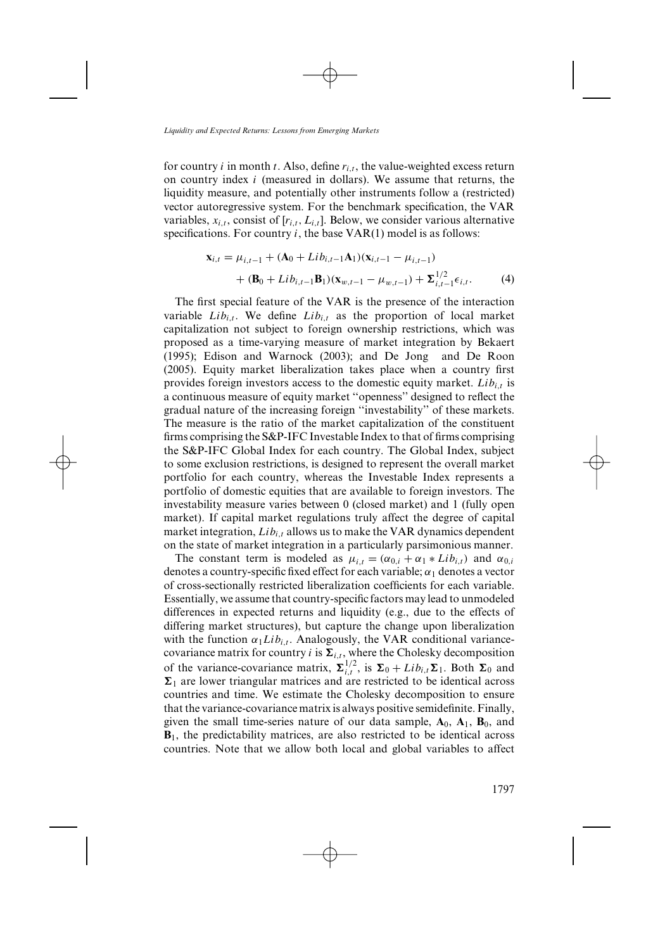for country *i* in month *t*. Also, define  $r_{i,t}$ , the value-weighted excess return on country index *i* (measured in dollars). We assume that returns, the liquidity measure, and potentially other instruments follow a (restricted) vector autoregressive system. For the benchmark specification, the VAR variables,  $x_{i,t}$ , consist of  $[r_{i,t}, L_{i,t}]$ . Below, we consider various alternative specifications. For country *i*, the base VAR(1) model is as follows:

$$
\mathbf{x}_{i,t} = \mu_{i,t-1} + (\mathbf{A}_0 + Lib_{i,t-1}\mathbf{A}_1)(\mathbf{x}_{i,t-1} - \mu_{i,t-1}) + (\mathbf{B}_0 + Lib_{i,t-1}\mathbf{B}_1)(\mathbf{x}_{w,t-1} - \mu_{w,t-1}) + \Sigma_{i,t-1}^{1/2} \epsilon_{i,t}.
$$
 (4)

The first special feature of the VAR is the presence of the interaction variable  $Lib_{i,t}$ . We define  $Lib_{i,t}$  as the proportion of local market capitalization not subject to foreign ownership restrictions, which was proposed as a time-varying measure of market integration by Bekaert (1995); Edison and Warnock (2003); and De Jong and De Roon (2005). Equity market liberalization takes place when a country first provides foreign investors access to the domestic equity market.  $Lib_{i,t}$  is a continuous measure of equity market ''openness'' designed to reflect the gradual nature of the increasing foreign ''investability'' of these markets. The measure is the ratio of the market capitalization of the constituent firms comprising the S&P-IFC Investable Index to that of firms comprising the S&P-IFC Global Index for each country. The Global Index, subject to some exclusion restrictions, is designed to represent the overall market portfolio for each country, whereas the Investable Index represents a portfolio of domestic equities that are available to foreign investors. The investability measure varies between 0 (closed market) and 1 (fully open market). If capital market regulations truly affect the degree of capital market integration,  $Lib_{i,t}$  allows us to make the VAR dynamics dependent on the state of market integration in a particularly parsimonious manner.

The constant term is modeled as  $\mu_{i,t} = (\alpha_{0,i} + \alpha_1 * Lib_{i,t})$  and  $\alpha_{0,i}$ denotes a country-specific fixed effect for each variable; *α*<sup>1</sup> denotes a vector of cross-sectionally restricted liberalization coefficients for each variable. Essentially, we assume that country-specific factors may lead to unmodeled differences in expected returns and liquidity (e.g., due to the effects of differing market structures), but capture the change upon liberalization with the function  $\alpha_1 Lib_{i,t}$ . Analogously, the VAR conditional variancecovariance matrix for country *i* is  $\Sigma_{i,t}$ , where the Cholesky decomposition of the variance-covariance matrix,  $\Sigma_{i,t}^{1/2}$ , is  $\Sigma_0 + Lib_{i,t} \Sigma_1$ . Both  $\Sigma_0$  and  $\Sigma_1$  are lower triangular matrices and are restricted to be identical across countries and time. We estimate the Cholesky decomposition to ensure that the variance-covariance matrix is always positive semidefinite. Finally, given the small time-series nature of our data sample,  $A_0$ ,  $A_1$ ,  $B_0$ , and **B**1, the predictability matrices, are also restricted to be identical across countries. Note that we allow both local and global variables to affect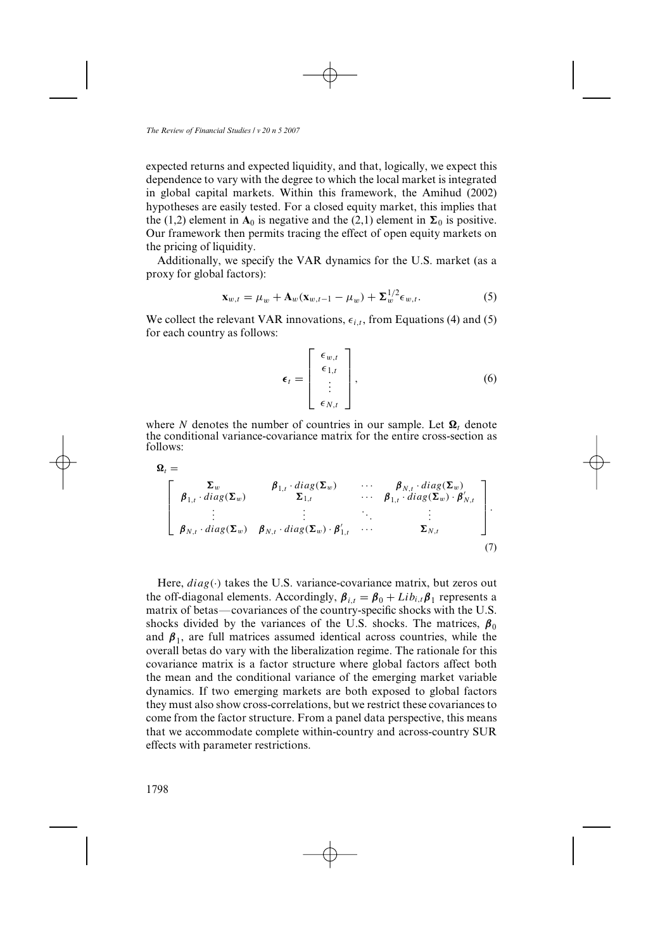expected returns and expected liquidity, and that, logically, we expect this dependence to vary with the degree to which the local market is integrated in global capital markets. Within this framework, the Amihud (2002) hypotheses are easily tested. For a closed equity market, this implies that the (1,2) element in  $A_0$  is negative and the (2,1) element in  $\Sigma_0$  is positive. Our framework then permits tracing the effect of open equity markets on the pricing of liquidity.

Additionally, we specify the VAR dynamics for the U.S. market (as a proxy for global factors):

$$
\mathbf{x}_{w,t} = \mu_w + \mathbf{A}_w(\mathbf{x}_{w,t-1} - \mu_w) + \mathbf{\Sigma}_w^{1/2} \epsilon_{w,t}.
$$
 (5)

We collect the relevant VAR innovations,  $\epsilon_{i,t}$ , from Equations (4) and (5) for each country as follows:

$$
\epsilon_t = \begin{bmatrix} \epsilon_{w,t} \\ \epsilon_{1,t} \\ \vdots \\ \epsilon_{N,t} \end{bmatrix},
$$
 (6)

where *N* denotes the number of countries in our sample. Let  $\Omega_t$  denote the conditional variance-covariance matrix for the entire cross-section as follows:

$$
\Omega_{t} = \n\begin{bmatrix}\n\Sigma_{w} & \beta_{1,t} \cdot diag(\Sigma_{w}) & \cdots & \beta_{N,t} \cdot diag(\Sigma_{w}) \\
\beta_{1,t} \cdot diag(\Sigma_{w}) & \Sigma_{1,t} & \cdots & \beta_{1,t} \cdot diag(\Sigma_{w}) \cdot \beta'_{N,t} \\
\vdots & \vdots & \ddots & \vdots \\
\beta_{N,t} \cdot diag(\Sigma_{w}) & \beta_{N,t} \cdot diag(\Sigma_{w}) \cdot \beta'_{1,t} & \cdots & \Sigma_{N,t}\n\end{bmatrix}.
$$
\n(7)

Here, *diag*(·*)* takes the U.S. variance-covariance matrix, but zeros out the off-diagonal elements. Accordingly,  $\beta_{i,t} = \beta_0 + Lib_{i,t} \beta_1$  represents a matrix of betas—covariances of the country-specific shocks with the U.S. shocks divided by the variances of the U.S. shocks. The matrices,  $\beta_0$ and  $\beta_1$ , are full matrices assumed identical across countries, while the overall betas do vary with the liberalization regime. The rationale for this covariance matrix is a factor structure where global factors affect both the mean and the conditional variance of the emerging market variable dynamics. If two emerging markets are both exposed to global factors they must also show cross-correlations, but we restrict these covariances to come from the factor structure. From a panel data perspective, this means that we accommodate complete within-country and across-country SUR effects with parameter restrictions.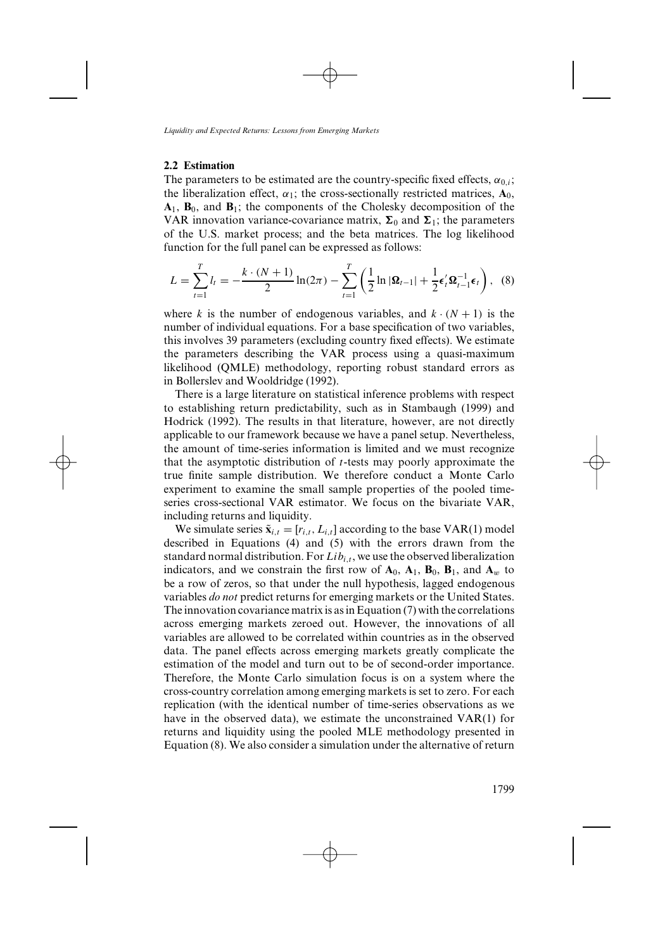# **2.2 Estimation**

The parameters to be estimated are the country-specific fixed effects,  $\alpha_0$ *i*; the liberalization effect,  $\alpha_1$ ; the cross-sectionally restricted matrices,  $\mathbf{A}_0$ ,  $A_1$ ,  $B_0$ , and  $B_1$ ; the components of the Cholesky decomposition of the VAR innovation variance-covariance matrix,  $\Sigma_0$  and  $\Sigma_1$ ; the parameters of the U.S. market process; and the beta matrices. The log likelihood function for the full panel can be expressed as follows:

$$
L = \sum_{t=1}^{T} l_t = -\frac{k \cdot (N+1)}{2} \ln(2\pi) - \sum_{t=1}^{T} \left( \frac{1}{2} \ln |\mathbf{\Omega}_{t-1}| + \frac{1}{2} \epsilon'_t \mathbf{\Omega}_{t-1}^{-1} \epsilon_t \right), \tag{8}
$$

where *k* is the number of endogenous variables, and  $k \cdot (N + 1)$  is the number of individual equations. For a base specification of two variables, this involves 39 parameters (excluding country fixed effects). We estimate the parameters describing the VAR process using a quasi-maximum likelihood (QMLE) methodology, reporting robust standard errors as in Bollerslev and Wooldridge (1992).

There is a large literature on statistical inference problems with respect to establishing return predictability, such as in Stambaugh (1999) and Hodrick (1992). The results in that literature, however, are not directly applicable to our framework because we have a panel setup. Nevertheless, the amount of time-series information is limited and we must recognize that the asymptotic distribution of *t*-tests may poorly approximate the true finite sample distribution. We therefore conduct a Monte Carlo experiment to examine the small sample properties of the pooled timeseries cross-sectional VAR estimator. We focus on the bivariate VAR, including returns and liquidity.

We simulate series  $\tilde{\mathbf{x}}_{i,t} = [r_{i,t}, L_{i,t}]$  according to the base VAR(1) model described in Equations (4) and (5) with the errors drawn from the standard normal distribution. For  $Lib_{i,t}$ , we use the observed liberalization indicators, and we constrain the first row of  $A_0$ ,  $A_1$ ,  $B_0$ ,  $B_1$ , and  $A_w$  to be a row of zeros, so that under the null hypothesis, lagged endogenous variables *do not* predict returns for emerging markets or the United States. The innovation covariance matrix is as in Equation (7) with the correlations across emerging markets zeroed out. However, the innovations of all variables are allowed to be correlated within countries as in the observed data. The panel effects across emerging markets greatly complicate the estimation of the model and turn out to be of second-order importance. Therefore, the Monte Carlo simulation focus is on a system where the cross-country correlation among emerging markets is set to zero. For each replication (with the identical number of time-series observations as we have in the observed data), we estimate the unconstrained VAR(1) for returns and liquidity using the pooled MLE methodology presented in Equation (8). We also consider a simulation under the alternative of return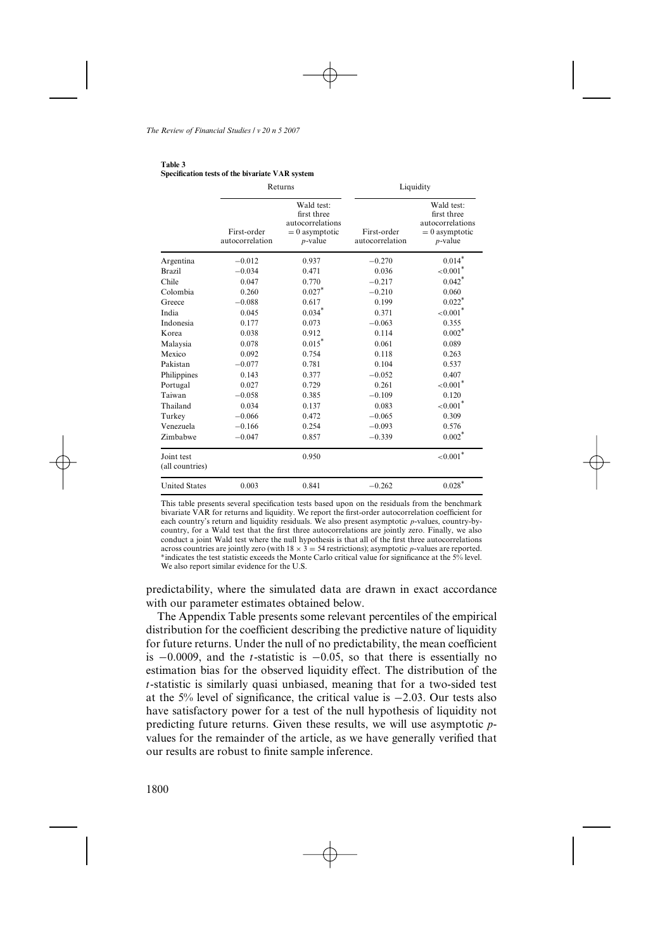|                               |                                | Returns                                                                         |                                | Liquidity                                                                       |
|-------------------------------|--------------------------------|---------------------------------------------------------------------------------|--------------------------------|---------------------------------------------------------------------------------|
|                               | First-order<br>autocorrelation | Wald test:<br>first three<br>autocorrelations<br>$= 0$ asymptotic<br>$p$ -value | First-order<br>autocorrelation | Wald test:<br>first three<br>autocorrelations<br>$= 0$ asymptotic<br>$p$ -value |
| Argentina                     | $-0.012$                       | 0.937                                                                           | $-0.270$                       | $0.014*$                                                                        |
| <b>Brazil</b>                 | $-0.034$                       | 0.471                                                                           | 0.036                          | ${<}0.001$ <sup>*</sup>                                                         |
| Chile                         | 0.047                          | 0.770                                                                           | $-0.217$                       | $0.042*$                                                                        |
| Colombia                      | 0.260                          | $0.027*$                                                                        | $-0.210$                       | 0.060                                                                           |
| Greece                        | $-0.088$                       | 0.617                                                                           | 0.199                          | $0.022*$                                                                        |
| India                         | 0.045                          | $0.034*$                                                                        | 0.371                          | ${<}0.001*$                                                                     |
| Indonesia                     | 0.177                          | 0.073                                                                           | $-0.063$                       | 0.355                                                                           |
| Korea                         | 0.038                          | 0.912                                                                           | 0.114                          | $0.002*$                                                                        |
| Malaysia                      | 0.078                          | $0.015*$                                                                        | 0.061                          | 0.089                                                                           |
| Mexico                        | 0.092                          | 0.754                                                                           | 0.118                          | 0.263                                                                           |
| Pakistan                      | $-0.077$                       | 0.781                                                                           | 0.104                          | 0.537                                                                           |
| Philippines                   | 0.143                          | 0.377                                                                           | $-0.052$                       | 0.407                                                                           |
| Portugal                      | 0.027                          | 0.729                                                                           | 0.261                          | ${<}0.001*$                                                                     |
| Taiwan                        | $-0.058$                       | 0.385                                                                           | $-0.109$                       | 0.120                                                                           |
| Thailand                      | 0.034                          | 0.137                                                                           | 0.083                          | ${<}0.001*$                                                                     |
| Turkey                        | $-0.066$                       | 0.472                                                                           | $-0.065$                       | 0.309                                                                           |
| Venezuela                     | $-0.166$                       | 0.254                                                                           | $-0.093$                       | 0.576                                                                           |
| Zimbabwe                      | $-0.047$                       | 0.857                                                                           | $-0.339$                       | $0.002*$                                                                        |
| Joint test<br>(all countries) |                                | 0.950                                                                           |                                | ${<}0.001^*$                                                                    |
| <b>United States</b>          | 0.003                          | 0.841                                                                           | $-0.262$                       | $0.028^\ast$                                                                    |

#### **Table 3 Specification tests of the bivariate VAR system**

This table presents several specification tests based upon on the residuals from the benchmark bivariate VAR for returns and liquidity. We report the first-order autocorrelation coefficient for each country's return and liquidity residuals. We also present asymptotic *p*-values, country-bycountry, for a Wald test that the first three autocorrelations are jointly zero. Finally, we also conduct a joint Wald test where the null hypothesis is that all of the first three autocorrelations across countries are jointly zero (with <sup>18</sup> <sup>×</sup> <sup>3</sup> <sup>=</sup> <sup>54</sup> restrictions); asymptotic *<sup>p</sup>*-values are reported. <sup>∗</sup>indicates the test statistic exceeds the Monte Carlo critical value for significance at the 5% level. We also report similar evidence for the U.S.

predictability, where the simulated data are drawn in exact accordance with our parameter estimates obtained below.

The Appendix Table presents some relevant percentiles of the empirical distribution for the coefficient describing the predictive nature of liquidity for future returns. Under the null of no predictability, the mean coefficient is −0*.*0009, and the *t*-statistic is −0*.*05, so that there is essentially no estimation bias for the observed liquidity effect. The distribution of the *t*-statistic is similarly quasi unbiased, meaning that for a two-sided test at the 5% level of significance, the critical value is −2*.*03. Our tests also have satisfactory power for a test of the null hypothesis of liquidity not predicting future returns. Given these results, we will use asymptotic *p*values for the remainder of the article, as we have generally verified that our results are robust to finite sample inference.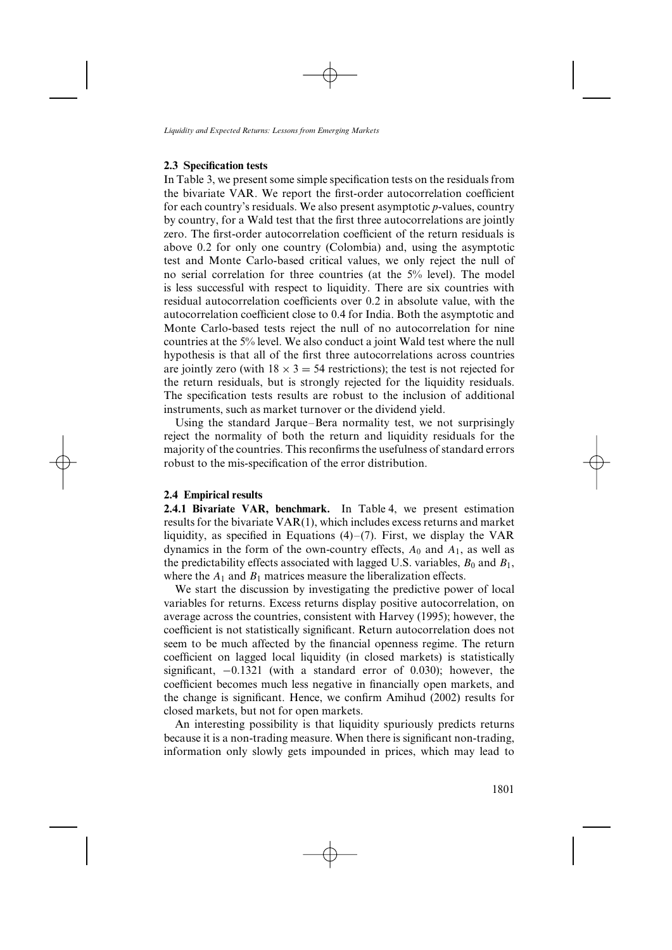# **2.3 Specification tests**

In Table 3, we present some simple specification tests on the residuals from the bivariate VAR. We report the first-order autocorrelation coefficient for each country's residuals. We also present asymptotic *p*-values, country by country, for a Wald test that the first three autocorrelations are jointly zero. The first-order autocorrelation coefficient of the return residuals is above 0.2 for only one country (Colombia) and, using the asymptotic test and Monte Carlo-based critical values, we only reject the null of no serial correlation for three countries (at the 5% level). The model is less successful with respect to liquidity. There are six countries with residual autocorrelation coefficients over 0.2 in absolute value, with the autocorrelation coefficient close to 0.4 for India. Both the asymptotic and Monte Carlo-based tests reject the null of no autocorrelation for nine countries at the 5% level. We also conduct a joint Wald test where the null hypothesis is that all of the first three autocorrelations across countries are jointly zero (with  $18 \times 3 = 54$  restrictions); the test is not rejected for the return residuals, but is strongly rejected for the liquidity residuals. The specification tests results are robust to the inclusion of additional instruments, such as market turnover or the dividend yield.

Using the standard Jarque–Bera normality test, we not surprisingly reject the normality of both the return and liquidity residuals for the majority of the countries. This reconfirms the usefulness of standard errors robust to the mis-specification of the error distribution.

# **2.4 Empirical results**

**2.4.1 Bivariate VAR, benchmark.** In Table 4, we present estimation results for the bivariate VAR(1), which includes excess returns and market liquidity, as specified in Equations  $(4)$ – $(7)$ . First, we display the VAR dynamics in the form of the own-country effects,  $A_0$  and  $A_1$ , as well as the predictability effects associated with lagged U.S. variables,  $B_0$  and  $B_1$ , where the  $A_1$  and  $B_1$  matrices measure the liberalization effects.

We start the discussion by investigating the predictive power of local variables for returns. Excess returns display positive autocorrelation, on average across the countries, consistent with Harvey (1995); however, the coefficient is not statistically significant. Return autocorrelation does not seem to be much affected by the financial openness regime. The return coefficient on lagged local liquidity (in closed markets) is statistically significant, −0*.*1321 (with a standard error of 0.030); however, the coefficient becomes much less negative in financially open markets, and the change is significant. Hence, we confirm Amihud (2002) results for closed markets, but not for open markets.

An interesting possibility is that liquidity spuriously predicts returns because it is a non-trading measure. When there is significant non-trading, information only slowly gets impounded in prices, which may lead to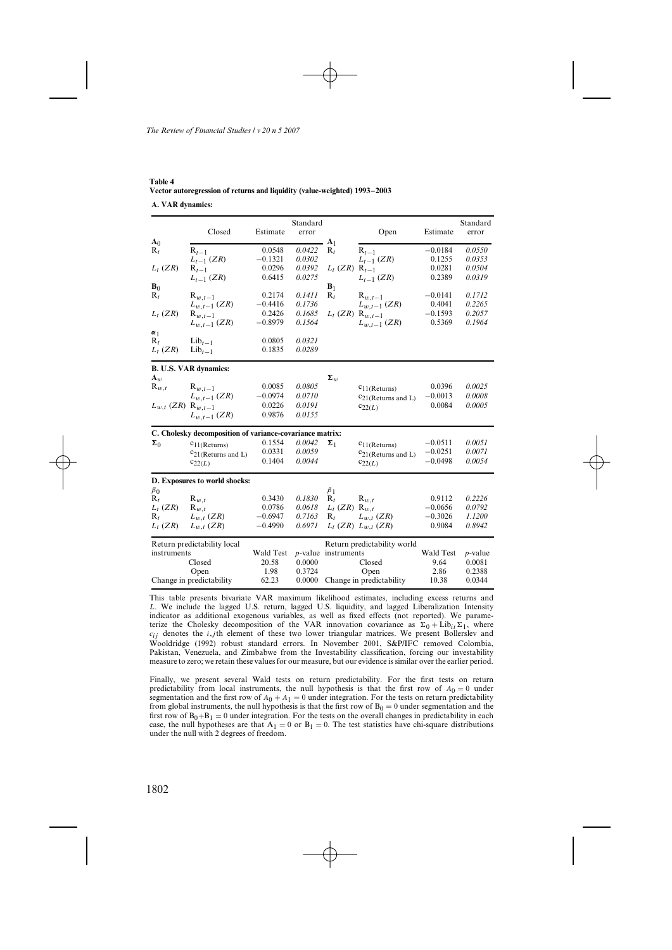#### **Table 4 Vector autoregression of returns and liquidity (value-weighted) 1993–2003 A. VAR dynamics:**

|                             | Closed                                                   | Estimate  | Standard<br>error |                                 | Open                            | Estimate  | Standard<br>error |
|-----------------------------|----------------------------------------------------------|-----------|-------------------|---------------------------------|---------------------------------|-----------|-------------------|
| $A_0$                       |                                                          |           |                   | A <sub>1</sub>                  |                                 |           |                   |
| $\mathbf{R}_t$              | $R_{t-1}$                                                | 0.0548    | 0.0422            | $\mathbf{R}_t$                  | $R_{t-1}$                       | $-0.0184$ | 0.0550            |
|                             | $L_{t-1} (ZR)$                                           | $-0.1321$ | 0.0302            |                                 | $L_{t-1} (ZR)$                  | 0.1255    | 0.0353            |
| $L_t$ (ZR)                  | $R_{t-1}$                                                | 0.0296    | 0.0392            | $L_t$ (ZR) $R_{t-1}$            |                                 | 0.0281    | 0.0504            |
|                             | $L_{t-1} (ZR)$                                           | 0.6415    | 0.0275            |                                 | $L_{t-1} (ZR)$                  | 0.2389    | 0.0319            |
| $B_0$                       |                                                          |           |                   | $B_1$                           |                                 |           |                   |
| $\mathbf{R}_t$              | $R_{w,t-1}$                                              | 0.2174    | 0.1411            | $\mathbf{R}_t$                  | $\mathbf{R}_{w,t-1}$            | $-0.0141$ | 0.1712            |
|                             | $L_{w,t-1}\left(ZR\right)$                               | $-0.4416$ | 0.1736            |                                 | $L_{w,t-1} (ZR)$                | 0.4041    | 0.2265            |
| $L_t$ (ZR)                  | $R_{w,t-1}$                                              | 0.2426    | 0.1685            | $L_t$ (ZR) $\mathbb{R}_{w,t-1}$ |                                 | $-0.1593$ | 0.2057            |
|                             |                                                          | $-0.8979$ | 0.1564            |                                 |                                 | 0.5369    | 0.1964            |
|                             | $L_{w,t-1} (ZR)$                                         |           |                   |                                 | $L_{w,t-1} (ZR)$                |           |                   |
| $\alpha_1$                  |                                                          |           |                   |                                 |                                 |           |                   |
| $\mathbf{R}_t$              | $Lib_{t-1}$                                              | 0.0805    | 0.0321            |                                 |                                 |           |                   |
| $L_t$ (ZR)                  | $Lib_{t-1}$                                              | 0.1835    | 0.0289            |                                 |                                 |           |                   |
|                             | <b>B. U.S. VAR dynamics:</b>                             |           |                   |                                 |                                 |           |                   |
|                             |                                                          |           |                   |                                 |                                 |           |                   |
| ${\bf A}_w$                 |                                                          | 0.0085    |                   | $\Sigma_{w}$                    |                                 |           |                   |
| $\mathbf{R}_{w,t}$          | $\mathbf{R}_{w,t-1}$                                     |           | 0.0805            |                                 | $c_{11(Returns)}$               | 0.0396    | 0.0025            |
|                             | $L_{w,t-1} (ZR)$                                         | $-0.0974$ | 0.0710            |                                 | $c_{21}$ (Returns and L)        | $-0.0013$ | 0.0008            |
| $L_{w,t}$ (ZR) $R_{w,t-1}$  |                                                          | 0.0226    | 0.0191            |                                 | $c_{22(L)}$                     | 0.0084    | 0.0005            |
|                             | $L_{w,t-1}\left(ZR\right)$                               | 0.9876    | 0.0155            |                                 |                                 |           |                   |
|                             |                                                          |           |                   |                                 |                                 |           |                   |
|                             | C. Cholesky decomposition of variance-covariance matrix: |           |                   |                                 |                                 |           |                   |
| $\Sigma_0$                  | $c_{11(Returns)}$                                        | 0.1554    | 0.0042            | $\Sigma_1$                      | $c_{11(Returns)}$               | $-0.0511$ | 0.0051            |
|                             | $C_{21}$ (Returns and L)                                 | 0.0331    | 0.0059            |                                 | $C21$ (Returns and L)           | $-0.0251$ | 0.0071            |
|                             | $c_{22(L)}$                                              | 0.1404    | 0.0044            |                                 | $c_{22(L)}$                     | $-0.0498$ | 0.0054            |
|                             | D. Exposures to world shocks:                            |           |                   |                                 |                                 |           |                   |
|                             |                                                          |           |                   |                                 |                                 |           |                   |
| $\beta_0$<br>$\mathbf{R}_t$ |                                                          | 0.3430    | 0.1830            | $\beta_1$<br>$\mathbf{R}_t$     | $\mathbf{R}_{w,t}$              | 0.9112    | 0.2226            |
|                             | $\mathbf{R}_{w,t}$                                       |           |                   |                                 |                                 |           |                   |
| $L_t$ (ZR)                  | $\mathbf{R}_{w,t}$                                       | 0.0786    | 0.0618            | $L_t$ (ZR) $R_{w,t}$            |                                 | $-0.0656$ | 0.0792            |
| $\mathbf{R}_t$              | $L_{w,t}$ (ZR)                                           | $-0.6947$ | 0.7163            | $\mathbf{R}_t$                  | $L_{w,t}$ (ZR)                  | $-0.3026$ | 1.1200            |
| $L_t$ (ZR)                  | $L_{w,t}$ (ZR)                                           | $-0.4990$ | 0.6971            |                                 | $L_t$ (ZR) $L_{w,t}$ (ZR)       | 0.9084    | 0.8942            |
|                             | Return predictability local                              |           |                   |                                 | Return predictability world     |           |                   |
| instruments                 |                                                          | Wald Test |                   | $p$ -value instruments          |                                 | Wald Test | $p$ -value        |
|                             | Closed                                                   | 20.58     | 0.0000            |                                 | Closed                          | 9.64      | 0.0081            |
|                             |                                                          | 1.98      | 0.3724            |                                 | Open                            | 2.86      |                   |
|                             | Open                                                     |           |                   |                                 |                                 |           | 0.2388            |
|                             | Change in predictability                                 | 62.23     |                   |                                 | 0.0000 Change in predictability | 10.38     | 0.0344            |

This table presents bivariate VAR maximum likelihood estimates, including excess returns and *L*. We include the lagged U.S. return, lagged U.S. liquidity, and lagged Liberalization Intensity indicator as additional exogenous variables, as well as fixed effects (not reported). We parameterize the Cholesky decomposition of the VAR innovation covariance as  $\Sigma_0 + \text{Lib}_{i\ell} \Sigma_1$ , where *cij* denotes the *i*,*j* th element of these two lower triangular matrices. We present Bollerslev and Wooldridge (1992) robust standard errors. In November 2001, S&P/IFC removed Colombia, Pakistan, Venezuela, and Zimbabwe from the Investability classification, forcing our investability measure to zero; we retain these values for our measure, but our evidence is similar over the earlier period.

Finally, we present several Wald tests on return predictability. For the first tests on return predictability from local instruments, the null hypothesis is that the first row of  $A_0 = 0$  under segmentation and the first row of  $A_0 + A_1 = 0$  under integration. For the tests on return predictability from global instruments, the null hypothesis is that the first row of  $B_0 = 0$  under segmentation and the first row of  $B_0 + B_1 = 0$  under integration. For the tests on the overall changes in predictability in each case, the null hypotheses are that  $A_1 = 0$  or  $B_1 = 0$ . The test statistics have chi-square distributions under the null with 2 degrees of freedom.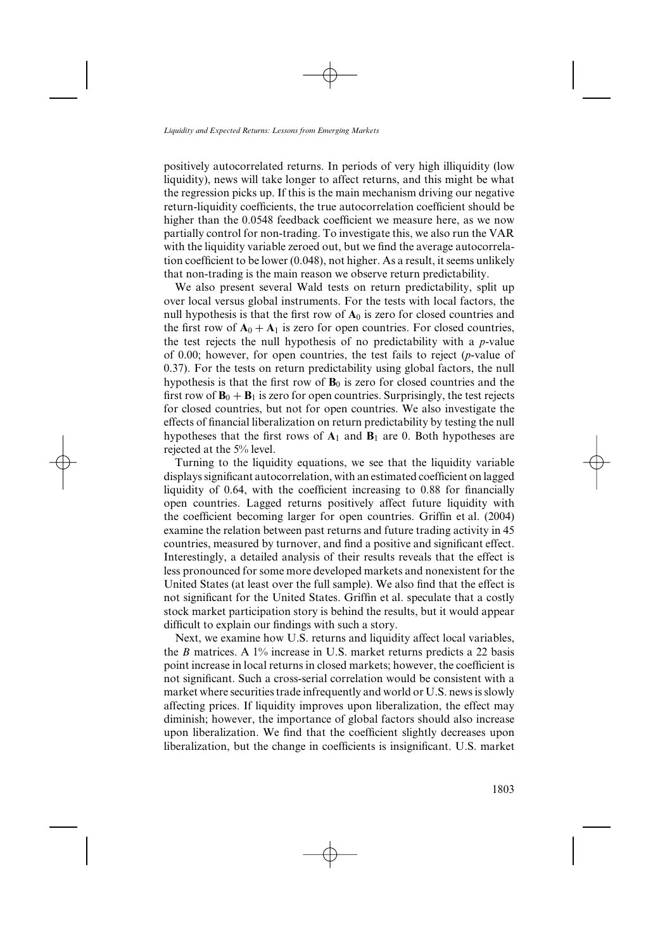positively autocorrelated returns. In periods of very high illiquidity (low liquidity), news will take longer to affect returns, and this might be what the regression picks up. If this is the main mechanism driving our negative return-liquidity coefficients, the true autocorrelation coefficient should be higher than the 0.0548 feedback coefficient we measure here, as we now partially control for non-trading. To investigate this, we also run the VAR with the liquidity variable zeroed out, but we find the average autocorrelation coefficient to be lower (0.048), not higher. As a result, it seems unlikely that non-trading is the main reason we observe return predictability.

We also present several Wald tests on return predictability, split up over local versus global instruments. For the tests with local factors, the null hypothesis is that the first row of  $A_0$  is zero for closed countries and the first row of  $A_0 + A_1$  is zero for open countries. For closed countries, the test rejects the null hypothesis of no predictability with a *p*-value of 0.00; however, for open countries, the test fails to reject (*p*-value of 0.37). For the tests on return predictability using global factors, the null hypothesis is that the first row of  $\mathbf{B}_0$  is zero for closed countries and the first row of  $\mathbf{B}_0 + \mathbf{B}_1$  is zero for open countries. Surprisingly, the test rejects for closed countries, but not for open countries. We also investigate the effects of financial liberalization on return predictability by testing the null hypotheses that the first rows of  $A_1$  and  $B_1$  are 0. Both hypotheses are rejected at the 5% level.

Turning to the liquidity equations, we see that the liquidity variable displays significant autocorrelation, with an estimated coefficient on lagged liquidity of 0.64, with the coefficient increasing to 0.88 for financially open countries. Lagged returns positively affect future liquidity with the coefficient becoming larger for open countries. Griffin et al. (2004) examine the relation between past returns and future trading activity in 45 countries, measured by turnover, and find a positive and significant effect. Interestingly, a detailed analysis of their results reveals that the effect is less pronounced for some more developed markets and nonexistent for the United States (at least over the full sample). We also find that the effect is not significant for the United States. Griffin et al. speculate that a costly stock market participation story is behind the results, but it would appear difficult to explain our findings with such a story.

Next, we examine how U.S. returns and liquidity affect local variables, the *B* matrices. A 1% increase in U.S. market returns predicts a 22 basis point increase in local returns in closed markets; however, the coefficient is not significant. Such a cross-serial correlation would be consistent with a market where securities trade infrequently and world or U.S. news is slowly affecting prices. If liquidity improves upon liberalization, the effect may diminish; however, the importance of global factors should also increase upon liberalization. We find that the coefficient slightly decreases upon liberalization, but the change in coefficients is insignificant. U.S. market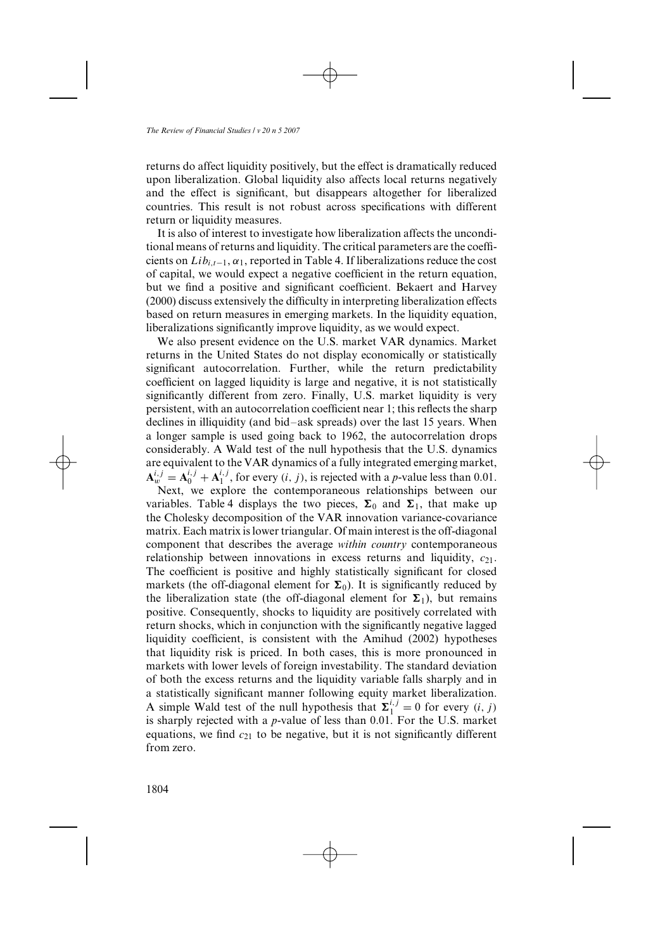returns do affect liquidity positively, but the effect is dramatically reduced upon liberalization. Global liquidity also affects local returns negatively and the effect is significant, but disappears altogether for liberalized countries. This result is not robust across specifications with different return or liquidity measures.

It is also of interest to investigate how liberalization affects the unconditional means of returns and liquidity. The critical parameters are the coefficients on  $Lib_{i,t-1}$ ,  $\alpha_1$ , reported in Table 4. If liberalizations reduce the cost of capital, we would expect a negative coefficient in the return equation, but we find a positive and significant coefficient. Bekaert and Harvey (2000) discuss extensively the difficulty in interpreting liberalization effects based on return measures in emerging markets. In the liquidity equation, liberalizations significantly improve liquidity, as we would expect.

We also present evidence on the U.S. market VAR dynamics. Market returns in the United States do not display economically or statistically significant autocorrelation. Further, while the return predictability coefficient on lagged liquidity is large and negative, it is not statistically significantly different from zero. Finally, U.S. market liquidity is very persistent, with an autocorrelation coefficient near 1; this reflects the sharp declines in illiquidity (and bid–ask spreads) over the last 15 years. When a longer sample is used going back to 1962, the autocorrelation drops considerably. A Wald test of the null hypothesis that the U.S. dynamics are equivalent to the VAR dynamics of a fully integrated emerging market,  $A_w^{i,j} = A_0^{i,j} + A_1^{i,j}$ , for every *(i, j)*, is rejected with a *p*-value less than 0.01. Next, we explore the contemporaneous relationships between our variables. Table 4 displays the two pieces,  $\Sigma_0$  and  $\Sigma_1$ , that make up the Cholesky decomposition of the VAR innovation variance-covariance matrix. Each matrix is lower triangular. Of main interest is the off-diagonal component that describes the average *within country* contemporaneous relationship between innovations in excess returns and liquidity,  $c_{21}$ . The coefficient is positive and highly statistically significant for closed markets (the off-diagonal element for  $\Sigma_0$ ). It is significantly reduced by the liberalization state (the off-diagonal element for  $\Sigma_1$ ), but remains positive. Consequently, shocks to liquidity are positively correlated with return shocks, which in conjunction with the significantly negative lagged liquidity coefficient, is consistent with the Amihud (2002) hypotheses that liquidity risk is priced. In both cases, this is more pronounced in markets with lower levels of foreign investability. The standard deviation of both the excess returns and the liquidity variable falls sharply and in a statistically significant manner following equity market liberalization. A simple Wald test of the null hypothesis that  $\Sigma_1^{i,j} = 0$  for every  $(i, j)$ is sharply rejected with a *p*-value of less than 0.01. For the U.S. market equations, we find  $c_{21}$  to be negative, but it is not significantly different from zero.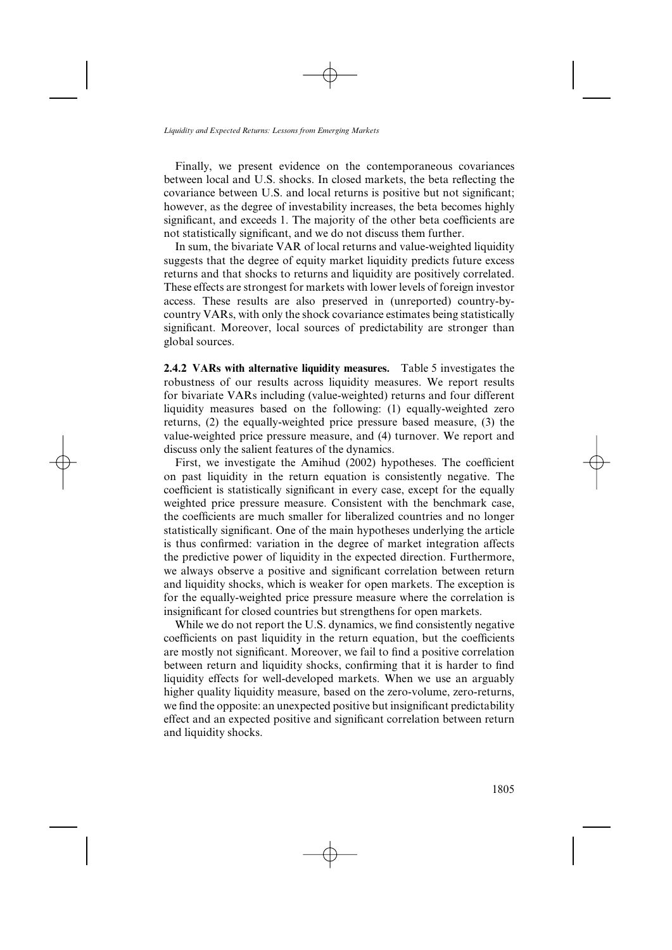Finally, we present evidence on the contemporaneous covariances between local and U.S. shocks. In closed markets, the beta reflecting the covariance between U.S. and local returns is positive but not significant; however, as the degree of investability increases, the beta becomes highly significant, and exceeds 1. The majority of the other beta coefficients are not statistically significant, and we do not discuss them further.

In sum, the bivariate VAR of local returns and value-weighted liquidity suggests that the degree of equity market liquidity predicts future excess returns and that shocks to returns and liquidity are positively correlated. These effects are strongest for markets with lower levels of foreign investor access. These results are also preserved in (unreported) country-bycountry VARs, with only the shock covariance estimates being statistically significant. Moreover, local sources of predictability are stronger than global sources.

**2.4.2 VARs with alternative liquidity measures.** Table 5 investigates the robustness of our results across liquidity measures. We report results for bivariate VARs including (value-weighted) returns and four different liquidity measures based on the following: (1) equally-weighted zero returns, (2) the equally-weighted price pressure based measure, (3) the value-weighted price pressure measure, and (4) turnover. We report and discuss only the salient features of the dynamics.

First, we investigate the Amihud (2002) hypotheses. The coefficient on past liquidity in the return equation is consistently negative. The coefficient is statistically significant in every case, except for the equally weighted price pressure measure. Consistent with the benchmark case, the coefficients are much smaller for liberalized countries and no longer statistically significant. One of the main hypotheses underlying the article is thus confirmed: variation in the degree of market integration affects the predictive power of liquidity in the expected direction. Furthermore, we always observe a positive and significant correlation between return and liquidity shocks, which is weaker for open markets. The exception is for the equally-weighted price pressure measure where the correlation is insignificant for closed countries but strengthens for open markets.

While we do not report the U.S. dynamics, we find consistently negative coefficients on past liquidity in the return equation, but the coefficients are mostly not significant. Moreover, we fail to find a positive correlation between return and liquidity shocks, confirming that it is harder to find liquidity effects for well-developed markets. When we use an arguably higher quality liquidity measure, based on the zero-volume, zero-returns, we find the opposite: an unexpected positive but insignificant predictability effect and an expected positive and significant correlation between return and liquidity shocks.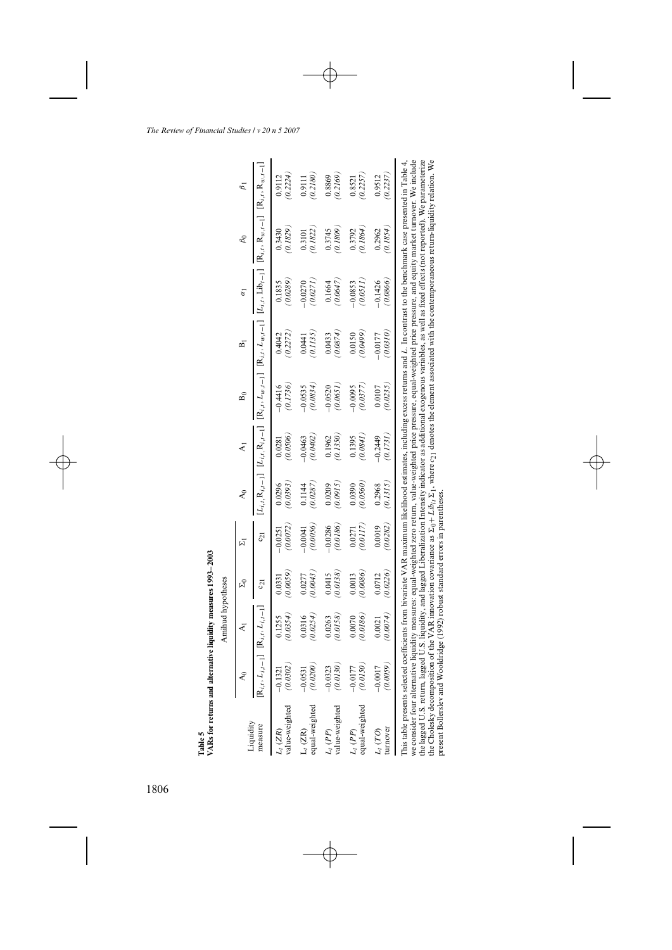|                             |                | ARs for returns and alternative liquidity measures 1993-2003<br>Amihud hypotheses                                                                                                                                                           |                  |                |                   |                                               |           |                                                                        |                     |                                                                       |                                                                                                                                                                                                                                                                                                                                                                                                                                                                                                                                                                                 |
|-----------------------------|----------------|---------------------------------------------------------------------------------------------------------------------------------------------------------------------------------------------------------------------------------------------|------------------|----------------|-------------------|-----------------------------------------------|-----------|------------------------------------------------------------------------|---------------------|-----------------------------------------------------------------------|---------------------------------------------------------------------------------------------------------------------------------------------------------------------------------------------------------------------------------------------------------------------------------------------------------------------------------------------------------------------------------------------------------------------------------------------------------------------------------------------------------------------------------------------------------------------------------|
| Liquidity                   | A <sub>0</sub> | $\overline{A}$                                                                                                                                                                                                                              | $\Sigma_0$       | ភ              | $\mathcal{A}_{0}$ | $\overline{A}$                                | å         | øī                                                                     | $\overline{\alpha}$ | $\beta_0$                                                             | eJ                                                                                                                                                                                                                                                                                                                                                                                                                                                                                                                                                                              |
| measure                     |                | $[{\bf R}_{i,t}, L_{i,t-1}]$ $[{\bf R}_{i,t}, L_{i,t-1}]$                                                                                                                                                                                   | $\overline{c_2}$ | $\overline{c}$ |                   | $[L_{i,t}, R_{i,t-1}]$ $[L_{i,t}, R_{i,t-1}]$ |           | $[R_{i,t}, L_{w,t-1}]$ $[R_{i,t}, L_{w,t-1}]$ $[L_{i,t}, L_{b_{t-1}}]$ |                     | $[{\bf R}_{i,t}, {\bf R}_{w,t-1}]$ $[{\bf R}_{i,t}, {\bf R}_{w,t-1}]$ |                                                                                                                                                                                                                                                                                                                                                                                                                                                                                                                                                                                 |
| value-weighted              | $-0.1321$      | (0.0354)                                                                                                                                                                                                                                    | (0.0059)         | 0.0072         | (0.0393)          | 0.0506                                        | (0.1736)  | 0.2272                                                                 | 0.0289              | 0.1829                                                                | 0.2224                                                                                                                                                                                                                                                                                                                                                                                                                                                                                                                                                                          |
| $L_t$ (ZR)                  | (0.0302)       | 0.1255                                                                                                                                                                                                                                      | 0.0331           | $-0.0251$      | 0.0296            | 0.0281                                        | $-0.4416$ | 0.4042                                                                 | 0.1835              | 0.3430                                                                | 0.9112                                                                                                                                                                                                                                                                                                                                                                                                                                                                                                                                                                          |
| equal-weighted              | $-0.0531$      | (0.0254)                                                                                                                                                                                                                                    | 0.0043           | (0.0056)       | 0.0287            | 0.0402                                        | 0.0834    | 0.1135                                                                 | 0.0271              | 0.1822                                                                | 0.2180                                                                                                                                                                                                                                                                                                                                                                                                                                                                                                                                                                          |
| $L_t$ (ZR)                  | (0.0200)       | 0.0316                                                                                                                                                                                                                                      | 0.0277           | $-0.0041$      | 0.1144            | $-0.0463$                                     | $-0.0535$ | 0.0441                                                                 | $-0.0270$           | 0.3101                                                                | 0.9111                                                                                                                                                                                                                                                                                                                                                                                                                                                                                                                                                                          |
| value-weighted              | $-0.0323$      | (6.0158)                                                                                                                                                                                                                                    | (0.0138)         | (0.0186)       | (0.0915)          | (0.1350)                                      | (0.0651)  | 0.0874                                                                 | (0.0647)            | 0.1809                                                                | (0.2169)                                                                                                                                                                                                                                                                                                                                                                                                                                                                                                                                                                        |
| ${\cal L}_t\left(PP\right)$ | (0.0130)       | 0.0263                                                                                                                                                                                                                                      | 0.0415           | $-0.0286$      | 0.0209            | 0.1962                                        | $-0.0520$ | 0.0433                                                                 | 0.1664              | 0.3745                                                                | 0.8869                                                                                                                                                                                                                                                                                                                                                                                                                                                                                                                                                                          |
| equal-weighted              | $-0.0177$      | 0.0186                                                                                                                                                                                                                                      | 0.0086           | 0.0117         | 0.0560            | 0.0841                                        | 0.0377    | (0.0499)                                                               | (0.0511)            | 0.1864                                                                | 0.2257                                                                                                                                                                                                                                                                                                                                                                                                                                                                                                                                                                          |
| $L_t$ (PP)                  | (0.0150)       | 0.0070                                                                                                                                                                                                                                      | 0.0013           | 0.0271         | 0.0390            | 0.1395                                        | $-0.0095$ | 0.0150                                                                 | $-0.0853$           | 0.3792                                                                | 0.8521                                                                                                                                                                                                                                                                                                                                                                                                                                                                                                                                                                          |
| turnover                    | $-0.0017$      | (0.0074)                                                                                                                                                                                                                                    | (0.0226)         | (0.0282)       | (0.1315)          | (0.1731)                                      | (0.0235)  | (0.0310)                                                               | (0.0866)            | 0.1854                                                                | 0.2237                                                                                                                                                                                                                                                                                                                                                                                                                                                                                                                                                                          |
| $L_t(TO)$                   | (0.0059)       | 0.0021                                                                                                                                                                                                                                      | 0.0712           | 0.0019         | 0.2968            | $-0.2449$                                     | 0.0107    | $-0.0177$                                                              | $-0.1426$           | 0.2962                                                                | 0.9512                                                                                                                                                                                                                                                                                                                                                                                                                                                                                                                                                                          |
| present Bollerslev and Wooi |                | This table presents selected coefficients from bivariate VAR maximum likelihood estimates, including excess returns and L. In contrast to the benchmark case presented in Table 4.<br>Idridge (1992) robust standard errors in parentheses. |                  |                |                   |                                               |           |                                                                        |                     |                                                                       | we consider four alternative liquidity measures: equal-weighted zero return, value-weighted price pressure, equal-weighted price pressure, and equity market turnover. We include<br>the lagged U.S. return, lagged U.S. liquidity, and lagged Liberalization Intensity indicator as additional exogenous variables, as well as fixed effects (not reported). We parameterize<br>the Cholesky decomposition of the VAR innovation covariance as $\Sigma_0 + Lib_1 \Sigma_1$ , where $c_2$ denotes the element associated with the contemporaneous return-liquidity relation. We |

*The Review of Financial Studies / v 20 n 5 2007*

Table 5<br>VARs for returns and alternative liquidity measures 1993-2003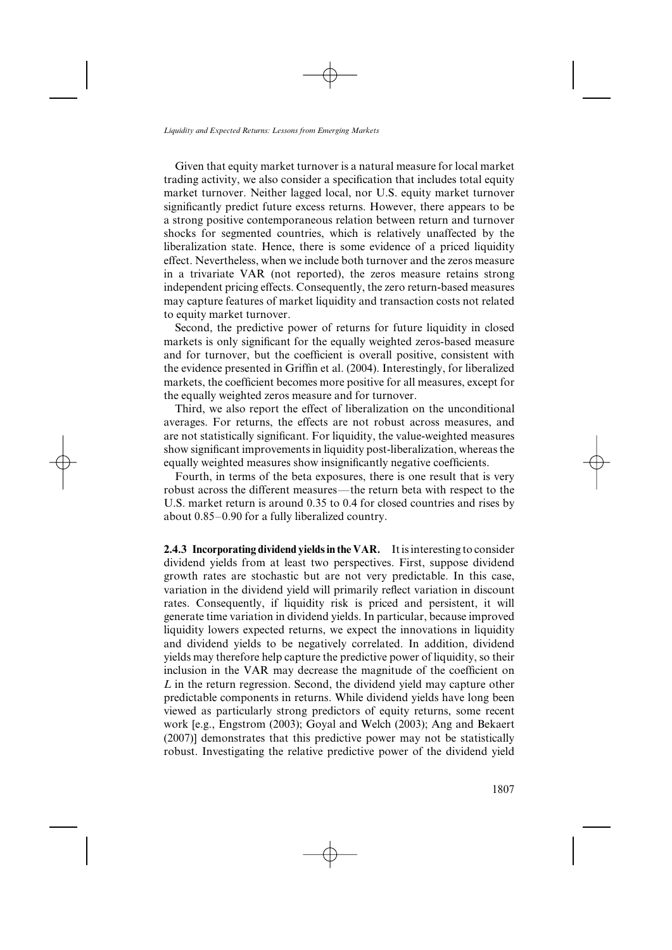Given that equity market turnover is a natural measure for local market trading activity, we also consider a specification that includes total equity market turnover. Neither lagged local, nor U.S. equity market turnover significantly predict future excess returns. However, there appears to be a strong positive contemporaneous relation between return and turnover shocks for segmented countries, which is relatively unaffected by the liberalization state. Hence, there is some evidence of a priced liquidity effect. Nevertheless, when we include both turnover and the zeros measure in a trivariate VAR (not reported), the zeros measure retains strong independent pricing effects. Consequently, the zero return-based measures may capture features of market liquidity and transaction costs not related to equity market turnover.

Second, the predictive power of returns for future liquidity in closed markets is only significant for the equally weighted zeros-based measure and for turnover, but the coefficient is overall positive, consistent with the evidence presented in Griffin et al. (2004). Interestingly, for liberalized markets, the coefficient becomes more positive for all measures, except for the equally weighted zeros measure and for turnover.

Third, we also report the effect of liberalization on the unconditional averages. For returns, the effects are not robust across measures, and are not statistically significant. For liquidity, the value-weighted measures show significant improvements in liquidity post-liberalization, whereas the equally weighted measures show insignificantly negative coefficients.

Fourth, in terms of the beta exposures, there is one result that is very robust across the different measures— the return beta with respect to the U.S. market return is around 0.35 to 0.4 for closed countries and rises by about 0.85–0.90 for a fully liberalized country.

**2.4.3 Incorporating dividend yields in the VAR.** It is interesting to consider dividend yields from at least two perspectives. First, suppose dividend growth rates are stochastic but are not very predictable. In this case, variation in the dividend yield will primarily reflect variation in discount rates. Consequently, if liquidity risk is priced and persistent, it will generate time variation in dividend yields. In particular, because improved liquidity lowers expected returns, we expect the innovations in liquidity and dividend yields to be negatively correlated. In addition, dividend yields may therefore help capture the predictive power of liquidity, so their inclusion in the VAR may decrease the magnitude of the coefficient on *L* in the return regression. Second, the dividend yield may capture other predictable components in returns. While dividend yields have long been viewed as particularly strong predictors of equity returns, some recent work [e.g., Engstrom (2003); Goyal and Welch (2003); Ang and Bekaert (2007)] demonstrates that this predictive power may not be statistically robust. Investigating the relative predictive power of the dividend yield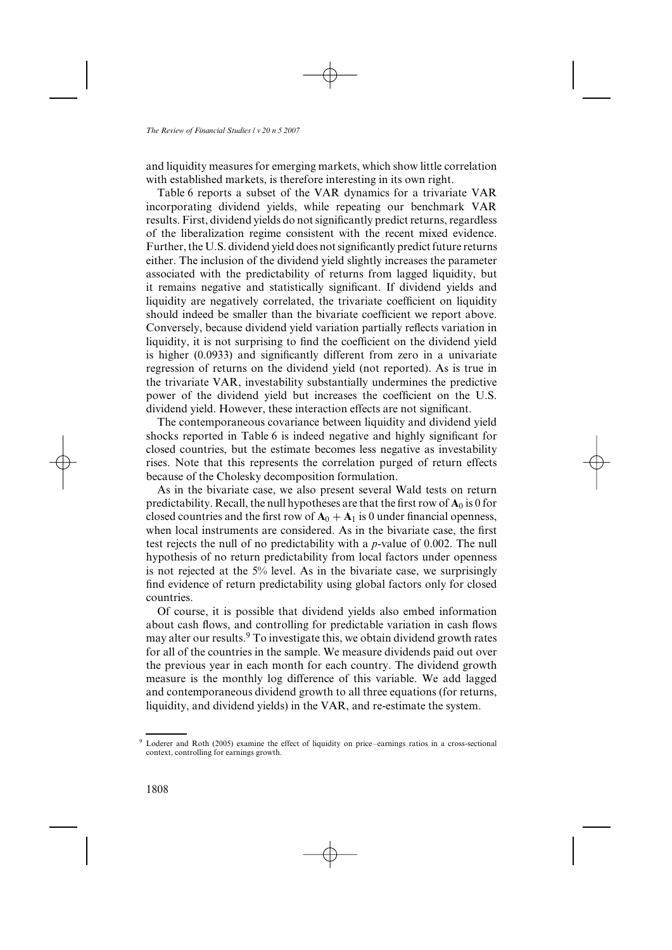and liquidity measures for emerging markets, which show little correlation with established markets, is therefore interesting in its own right.

Table 6 reports a subset of the VAR dynamics for a trivariate VAR incorporating dividend yields, while repeating our benchmark VAR results. First, dividend yields do not significantly predict returns, regardless of the liberalization regime consistent with the recent mixed evidence. Further, the U.S. dividend yield does not significantly predict future returns either. The inclusion of the dividend yield slightly increases the parameter associated with the predictability of returns from lagged liquidity, but it remains negative and statistically significant. If dividend yields and liquidity are negatively correlated, the trivariate coefficient on liquidity should indeed be smaller than the bivariate coefficient we report above. Conversely, because dividend yield variation partially reflects variation in liquidity, it is not surprising to find the coefficient on the dividend yield is higher (0.0933) and significantly different from zero in a univariate regression of returns on the dividend yield (not reported). As is true in the trivariate VAR, investability substantially undermines the predictive power of the dividend yield but increases the coefficient on the U.S. dividend yield. However, these interaction effects are not significant.

The contemporaneous covariance between liquidity and dividend yield shocks reported in Table 6 is indeed negative and highly significant for closed countries, but the estimate becomes less negative as investability rises. Note that this represents the correlation purged of return effects because of the Cholesky decomposition formulation.

As in the bivariate case, we also present several Wald tests on return predictability. Recall, the null hypotheses are that the first row of  $A_0$  is 0 for closed countries and the first row of  $A_0 + A_1$  is 0 under financial openness, when local instruments are considered. As in the bivariate case, the first test rejects the null of no predictability with a *p*-value of 0.002. The null hypothesis of no return predictability from local factors under openness is not rejected at the 5% level. As in the bivariate case, we surprisingly find evidence of return predictability using global factors only for closed countries.

Of course, it is possible that dividend yields also embed information about cash flows, and controlling for predictable variation in cash flows may alter our results.<sup>9</sup> To investigate this, we obtain dividend growth rates for all of the countries in the sample. We measure dividends paid out over the previous year in each month for each country. The dividend growth measure is the monthly log difference of this variable. We add lagged and contemporaneous dividend growth to all three equations (for returns, liquidity, and dividend yields) in the VAR, and re-estimate the system.

<sup>9</sup> Loderer and Roth (2005) examine the effect of liquidity on price–earnings ratios in a cross-sectional context, controlling for earnings growth.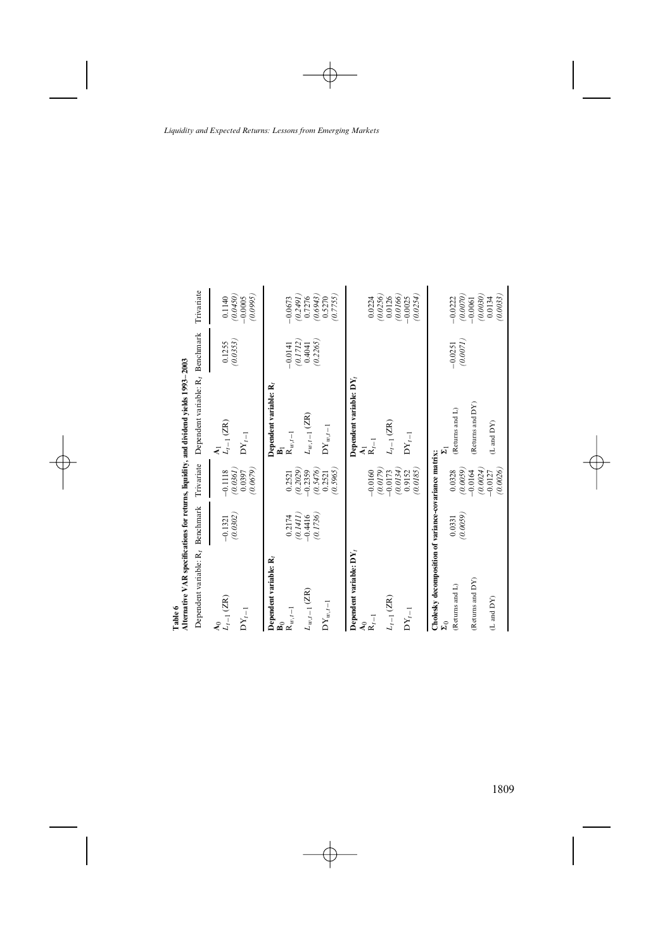| Table 6                                                                                                                                   |                                          |                                                                      | Alternative VAR specifications for returns, liquidity, and dividend yields 1993-2003                |                                             |                                                                      |
|-------------------------------------------------------------------------------------------------------------------------------------------|------------------------------------------|----------------------------------------------------------------------|-----------------------------------------------------------------------------------------------------|---------------------------------------------|----------------------------------------------------------------------|
| Dependent variable: R <sub>t</sub> Benchmark                                                                                              |                                          | Trivariate                                                           | Dependent variable: R, Benchmark                                                                    |                                             | Trivariate                                                           |
| $L_{t-1}\left( \mathbb{Z}\mathbb{R}\right)$<br>$DY_{t-1}$<br>${\bf A}_0$                                                                  | (0.0302)<br>$-0.1321$                    | (0.0679)<br>(0.0361)<br>0.0397<br>$-0.1118$                          | $L_{t-1}\left( \mathbb{Z}\mathbb{R}\right)$<br>$\mathrm{DY}_{t-1}$<br>$\vec{A}$                     | (0.0353)<br>0.1255                          | (0.0450)<br>(0.0995)<br>0.1140<br>$-0.0005$                          |
| Dependent variable: $R_t$<br>$L_{w,t-1} (ZR)$<br>$\mathrm{DY}_{w,t-1}$<br>$\mathbf{R}_{w,t-1}$<br>$\mathbf{B}_0$                          | (0.1736)<br>(117)<br>$-0.4416$<br>0.2174 | (0.2029)<br>(0.5476)<br>(0.5965)<br>$-0.2359$<br>0.2521<br>0.2521    | Dependent variable: $R_t$<br>$L_{w,t-1} (ZR)$<br>$\mathrm{DY}_{w,t-1}$<br>$\mathbf{R}_{w,t-1}$<br>ธ | (0.2265)<br>(0.1712)<br>0.4041<br>$-0.0141$ | (0.2491)<br>(0.6943)<br>0.7755<br>0.7276<br>0.5270<br>$-0.0673$      |
| Dependent variable: DY <sub>t</sub><br>$L_{t-1}$ (ZR)<br>$\mathrm{DY}_{t-1}$<br>$R_{t-1}$<br>$\mathbf{A}_0$                               |                                          | (0.0179)<br>(0.0134)<br>(0.0185)<br>$-0.0160$<br>$-0.0173$<br>0.9152 | Dependent variable: $DY_t$<br>$L_{t-1}$ (ZR)<br>$\mathrm{DY}_{t-1}$<br>$\mathbf{R}_{t-1}$<br>₹      |                                             | (0.0256)<br>(0.0166)<br>(0.0254)<br>0.0126<br>0.0224<br>$-0.0025$    |
| Cholesky decomposition of variance-covariance matrix:<br>(Returns and DY)<br>(Returns and L)<br>$(L \text{ and } DY)$<br>$\pmb{\Sigma}_0$ | (0.0059)<br>0.0331                       | (0.0024)<br>(0.0059)<br>(0.0026)<br>0.0328<br>$-0.0164$<br>$-0.0127$ | (Returns and DY)<br>(Returns and L)<br>$(L \text{ and } DY)$<br>ผั                                  | (0.0071)<br>$-0.0251$                       | (0.0030)<br>(0.0033)<br>(0.0070)<br>$-0.0222$<br>0.0134<br>$-0.0061$ |

*Liquidity and Expected Returns: Lessons from Emerging Markets*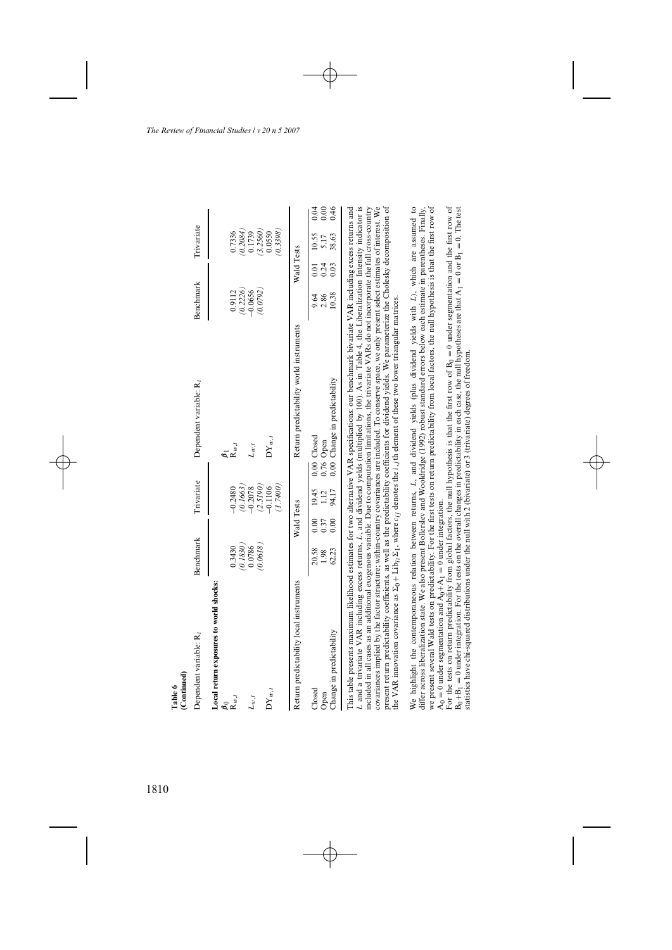| (Continued)<br>Table 6                                                                                         |                                          |                      |                                                                         |                                                                                                                                                                                                                                                                                                                                                                                                                                                                                                                                                                                                                                                                                                                                                                                                                                                                                                                                                                                     |                                             |                      |                                                                |                      |
|----------------------------------------------------------------------------------------------------------------|------------------------------------------|----------------------|-------------------------------------------------------------------------|-------------------------------------------------------------------------------------------------------------------------------------------------------------------------------------------------------------------------------------------------------------------------------------------------------------------------------------------------------------------------------------------------------------------------------------------------------------------------------------------------------------------------------------------------------------------------------------------------------------------------------------------------------------------------------------------------------------------------------------------------------------------------------------------------------------------------------------------------------------------------------------------------------------------------------------------------------------------------------------|---------------------------------------------|----------------------|----------------------------------------------------------------|----------------------|
| Dependent variable: $R_t$                                                                                      | Benchmark                                |                      | Trivariate                                                              | Dependent variable: R <sub>t</sub>                                                                                                                                                                                                                                                                                                                                                                                                                                                                                                                                                                                                                                                                                                                                                                                                                                                                                                                                                  | Benchmark                                   |                      | Trivariate                                                     |                      |
| Local return exposures to world shocks:<br>$\mathrm{DY}_{w,t}$<br>$\mathbf{R}_{w,I}$<br>$L_{w,t}$<br>$\beta_0$ | (0.0618)<br>(0.1830)<br>0.3430<br>0.0786 |                      | (1.7400)<br>(0.1663)<br>(2.5190)<br>$-0.1106$<br>$-0.2480$<br>$-0.2078$ | $\mathrm{DY}_{w,t}$<br>$\mathbf{R}_{w,i}$<br>$L_{w,t}$                                                                                                                                                                                                                                                                                                                                                                                                                                                                                                                                                                                                                                                                                                                                                                                                                                                                                                                              | (0.0792)<br>(0.2226)<br>$-0.0656$<br>0.9112 |                      | (0.2084)<br>(3.2560)<br>(0.3398)<br>0.7336<br>0.1739<br>0.0550 |                      |
| Return predictability local instruments                                                                        |                                          | Wald Tests           |                                                                         | Return predictability world instruments                                                                                                                                                                                                                                                                                                                                                                                                                                                                                                                                                                                                                                                                                                                                                                                                                                                                                                                                             |                                             | Wald Tests           |                                                                |                      |
| Change in predictability<br>Closed<br>Open                                                                     | 20.58<br>62.23<br>1.98                   | 0.00<br>0.00<br>0.37 | 19.45<br>94.17<br>1.12                                                  | 0.00 Change in predictability<br>$0.00$ $Closed$<br>$0.76$ Open                                                                                                                                                                                                                                                                                                                                                                                                                                                                                                                                                                                                                                                                                                                                                                                                                                                                                                                     | 10.38<br>2.86<br>9.64                       | 0.24<br>0.03<br>0.01 | 10.55<br>38.63<br>5.17                                         | 0.46<br>0.04<br>0.00 |
|                                                                                                                |                                          |                      |                                                                         | covariances implied by the factor structure; within-country covariances are included. To conserve space, we only present select estimates of interest. We<br>present return predictability coefficients, as well as the predictability coefficients for dividend yields. We parameterize the Cholesky decomposition of<br>This table presents maximum likelihood estimates for two alternative VAR specifications: our benchmark bivariate VAR including excess returns and<br>L and a trivariate VAR including excess returns, L, and dividend yields (multiplied by 100). As in Table 4, the Liberalization Intensity indicator is<br>included in all cases as an additional exogenous variable. Due to computation limitations, the trivariate VARs do not incorporate the full cross-country<br>the VAR innovation covariance as $\Sigma_0 +$ Lib <sub>i</sub> , $\Sigma_1$ , where $c_{ij}$ denotes the <i>i</i> , <i>j</i> th element of these two lower triangular matrices. |                                             |                      |                                                                |                      |
| $-1.757 - 1.7$                                                                                                 | $-3! + 4! + 1! +  + 1! +  + 1! +  + 1!$  |                      |                                                                         | differ across liberalization state. We also present Bollerslev and Wooldridge (1992) robust standard errors below each estimate in parentheses. Finally,<br>We highlight the contemporaneous relation between returns, $L$ , and dividend yields (plus dividend yields with $L$ ), which are assumed to<br>$\mathcal{R}$ and $\mathcal{R}$ are the contract of $\mathcal{R}$ and $\mathcal{R}$ are the contract of $\mathcal{R}$ and $\mathcal{R}$ are the contract of $\mathcal{R}$ and $\mathcal{R}$ are the contract of $\mathcal{R}$ and $\mathcal{R}$ are the contract of $\mathcal{R}$ an                                                                                                                                                                                                                                                                                                                                                                                     |                                             |                      |                                                                |                      |

 $A_0 = 0$  under segmentation and  $A_0 + A_1 = 0$  under integration.<br>For the tests on return predictability from global factors, the null hypothesis is that the first row of  $B_0 = 0$  under segmentation and the first row of<br> $B_$ we present several Wald tests on predictability. For the first tests on return predictability from local factors, the null hypothesis is that the first row of we present several Wald tests on predictability. For the first tests on return predictability from local factors, the null hypothesis is that the first row of  $A_0 = 0$  under segmentation and  $A_0 + A_1 = 0$  under integration.

For the tests on return predictability from global factors, the null hypothesis is that the first row of  $B_0 = 0$  under segmentation and the first row of  $B_0 + B_1 = 0$  under integration. For the tests on the overall changes in predictability in each case, the null hypotheses are that  $A_1 = 0$  or  $B_1 = 0$ . The test statistics have chi-squared distributions under the null with 2 (bivariate) or 3 (trivariate) degrees of freedom. statistics have chi-squared distributions under the null with 2 (bivariate) or 3 (trivariate) degrees of freedom.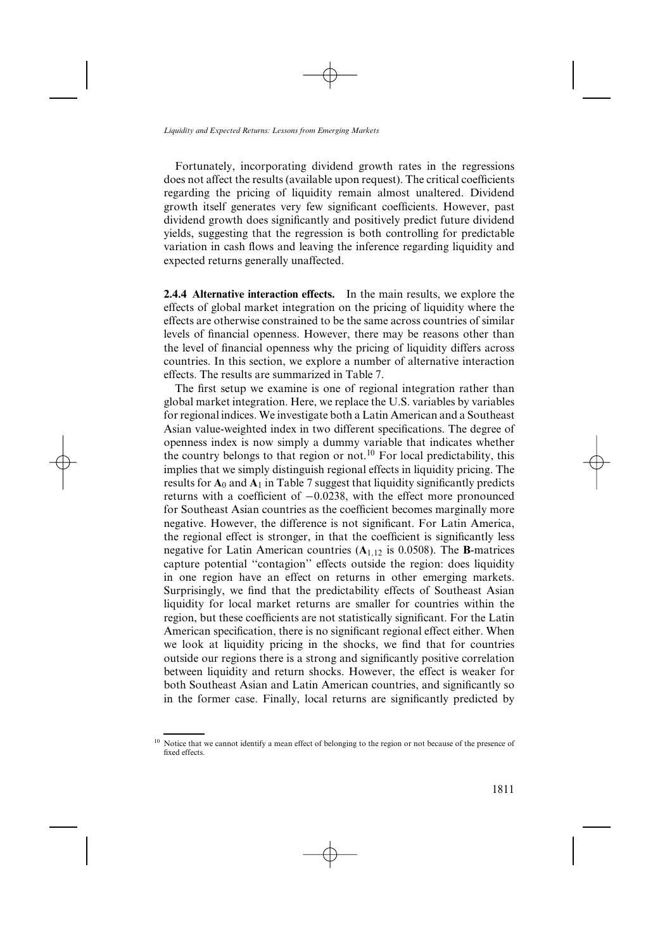Fortunately, incorporating dividend growth rates in the regressions does not affect the results (available upon request). The critical coefficients regarding the pricing of liquidity remain almost unaltered. Dividend growth itself generates very few significant coefficients. However, past dividend growth does significantly and positively predict future dividend yields, suggesting that the regression is both controlling for predictable variation in cash flows and leaving the inference regarding liquidity and expected returns generally unaffected.

**2.4.4 Alternative interaction effects.** In the main results, we explore the effects of global market integration on the pricing of liquidity where the effects are otherwise constrained to be the same across countries of similar levels of financial openness. However, there may be reasons other than the level of financial openness why the pricing of liquidity differs across countries. In this section, we explore a number of alternative interaction effects. The results are summarized in Table 7.

The first setup we examine is one of regional integration rather than global market integration. Here, we replace the U.S. variables by variables for regional indices. We investigate both a Latin American and a Southeast Asian value-weighted index in two different specifications. The degree of openness index is now simply a dummy variable that indicates whether the country belongs to that region or not.<sup>10</sup> For local predictability, this implies that we simply distinguish regional effects in liquidity pricing. The results for  $A_0$  and  $A_1$  in Table 7 suggest that liquidity significantly predicts returns with a coefficient of −0*.*0238, with the effect more pronounced for Southeast Asian countries as the coefficient becomes marginally more negative. However, the difference is not significant. For Latin America, the regional effect is stronger, in that the coefficient is significantly less negative for Latin American countries (**A**1*,*<sup>12</sup> is 0.0508). The **B**-matrices capture potential ''contagion'' effects outside the region: does liquidity in one region have an effect on returns in other emerging markets. Surprisingly, we find that the predictability effects of Southeast Asian liquidity for local market returns are smaller for countries within the region, but these coefficients are not statistically significant. For the Latin American specification, there is no significant regional effect either. When we look at liquidity pricing in the shocks, we find that for countries outside our regions there is a strong and significantly positive correlation between liquidity and return shocks. However, the effect is weaker for both Southeast Asian and Latin American countries, and significantly so in the former case. Finally, local returns are significantly predicted by

<sup>&</sup>lt;sup>10</sup> Notice that we cannot identify a mean effect of belonging to the region or not because of the presence of fixed effects.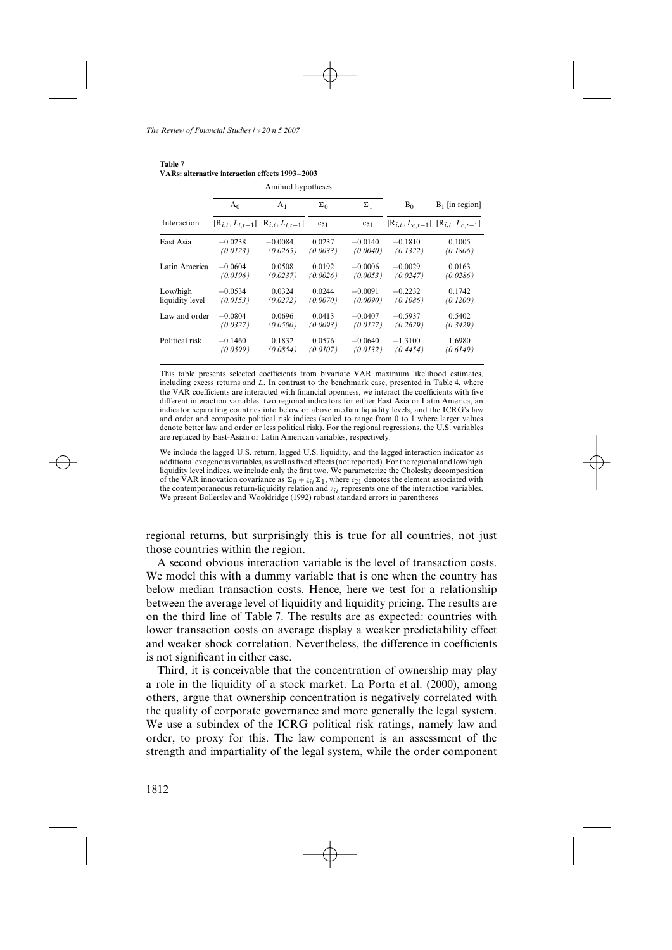| Table 7                                         |
|-------------------------------------------------|
| VARs: alternative interaction effects 1993–2003 |

 $A_0$   $A_1$   $\Sigma_0$   $\Sigma_1$   $B_0$   $B_1$  [in region] Interaction  $[R_{i,t}, L_{i,t-1}]$   $[R_{i,t}, L_{i,t-1}]$  c<sub>21</sub>  $[R_{i,t}, L_{c,t-1}]$   $[R_{i,t}, L_{c,t-1}]$ East Asia −0.0238 −0.0084 0.0237 −0.0140 −0.1810 0.1005 *(0.0123) (0.0265) (0.0033) (0.0040) (0.1322) (0.1806)* Latin America  $-0.0604$  0.0508 0.0192  $-0.0006$   $-0.0029$  0.0163<br>  $(0.0196)$   $(0.0237)$   $(0.0026)$   $(0.0053)$   $(0.0247)$   $(0.0286)$ *(0.0196) (0.0237) (0.0026) (0.0053) (0.0247) (0.0286)* Low/high −0.0534 0.0324 0.0244 −0.0091 −0.2232 0.1742 liquidity level *(0.0153) (0.0272) (0.0070) (0.0090) (0.1086) (0.1200)* Law and order −0.0804 0.0696 0.0413 −0.0407 −0.5937 0.5402 *(0.0327) (0.0500) (0.0093) (0.0127) (0.2629) (0.3429)* Political risk −0.1460 0.1832 0.0576 −0.0640 −1.3100 1.6980 *(0.0599) (0.0854) (0.0107) (0.0132) (0.4454) (0.6149)*

Amihud hypotheses

This table presents selected coefficients from bivariate VAR maximum likelihood estimates, including excess returns and *L*. In contrast to the benchmark case, presented in Table 4, where the VAR coefficients are interacted with financial openness, we interact the coefficients with five different interaction variables: two regional indicators for either East Asia or Latin America, an indicator separating countries into below or above median liquidity levels, and the ICRG's law and order and composite political risk indices (scaled to range from 0 to 1 where larger values denote better law and order or less political risk). For the regional regressions, the U.S. variables are replaced by East-Asian or Latin American variables, respectively.

We include the lagged U.S. return, lagged U.S. liquidity, and the lagged interaction indicator as additional exogenous variables, as well as fixed effects (not reported). For the regional and low/high liquidity level indices, we include only the first two. We parameterize the Cholesky decomposition of the VAR innovation covariance as  $\Sigma_0 + z_{it} \Sigma_1$ , where  $c_{21}$  denotes the element associated with the contemporaneous return-liquidity relation and  $z_{it}$  represents one of the interaction variables. We present Bollerslev and Wooldridge (1992) robust standard errors in parentheses

regional returns, but surprisingly this is true for all countries, not just those countries within the region.

A second obvious interaction variable is the level of transaction costs. We model this with a dummy variable that is one when the country has below median transaction costs. Hence, here we test for a relationship between the average level of liquidity and liquidity pricing. The results are on the third line of Table 7. The results are as expected: countries with lower transaction costs on average display a weaker predictability effect and weaker shock correlation. Nevertheless, the difference in coefficients is not significant in either case.

Third, it is conceivable that the concentration of ownership may play a role in the liquidity of a stock market. La Porta et al. (2000), among others, argue that ownership concentration is negatively correlated with the quality of corporate governance and more generally the legal system. We use a subindex of the ICRG political risk ratings, namely law and order, to proxy for this. The law component is an assessment of the strength and impartiality of the legal system, while the order component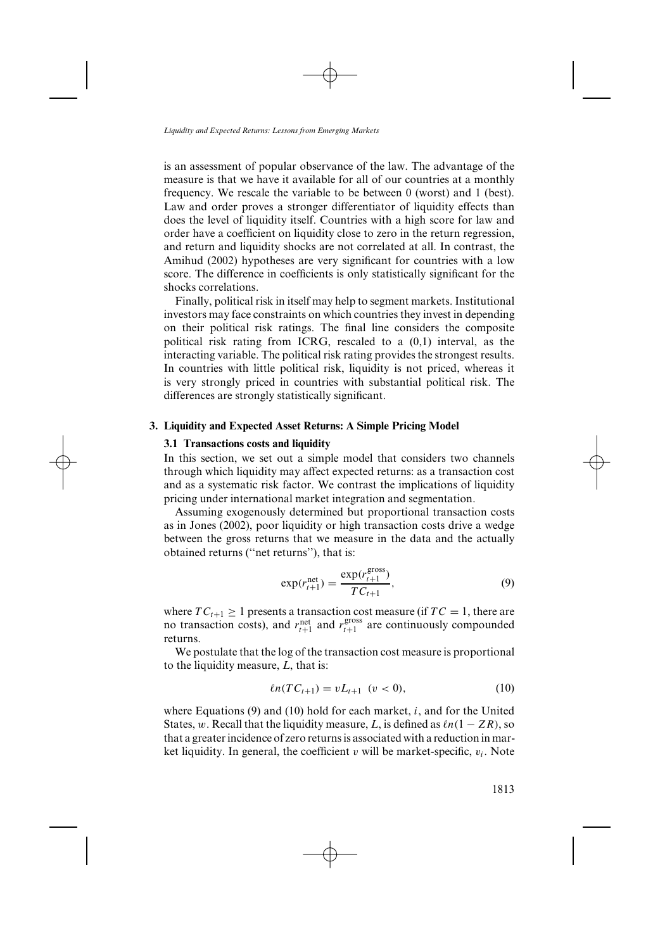is an assessment of popular observance of the law. The advantage of the measure is that we have it available for all of our countries at a monthly frequency. We rescale the variable to be between 0 (worst) and 1 (best). Law and order proves a stronger differentiator of liquidity effects than does the level of liquidity itself. Countries with a high score for law and order have a coefficient on liquidity close to zero in the return regression, and return and liquidity shocks are not correlated at all. In contrast, the Amihud (2002) hypotheses are very significant for countries with a low score. The difference in coefficients is only statistically significant for the shocks correlations.

Finally, political risk in itself may help to segment markets. Institutional investors may face constraints on which countries they invest in depending on their political risk ratings. The final line considers the composite political risk rating from ICRG, rescaled to a (0,1) interval, as the interacting variable. The political risk rating provides the strongest results. In countries with little political risk, liquidity is not priced, whereas it is very strongly priced in countries with substantial political risk. The differences are strongly statistically significant.

#### **3. Liquidity and Expected Asset Returns: A Simple Pricing Model**

#### **3.1 Transactions costs and liquidity**

In this section, we set out a simple model that considers two channels through which liquidity may affect expected returns: as a transaction cost and as a systematic risk factor. We contrast the implications of liquidity pricing under international market integration and segmentation.

Assuming exogenously determined but proportional transaction costs as in Jones (2002), poor liquidity or high transaction costs drive a wedge between the gross returns that we measure in the data and the actually obtained returns (''net returns''), that is:

$$
\exp(r_{t+1}^{\text{net}}) = \frac{\exp(r_{t+1}^{\text{gross}})}{TC_{t+1}},
$$
\n(9)

where  $TC_{t+1} \geq 1$  presents a transaction cost measure (if  $TC = 1$ , there are no transaction costs), and  $r_{t+1}^{\text{net}}$  and  $r_{t+1}^{\text{gross}}$  are continuously compounded returns.

We postulate that the log of the transaction cost measure is proportional to the liquidity measure, *L*, that is:

$$
ln(T C_{t+1}) = v L_{t+1} \ (v < 0), \tag{10}
$$

where Equations (9) and (10) hold for each market, *i*, and for the United States, *w*. Recall that the liquidity measure, *L*, is defined as  $ln(1 - ZR)$ , so that a greater incidence of zero returns is associated with a reduction in market liquidity. In general, the coefficient  $v$  will be market-specific,  $v_i$ . Note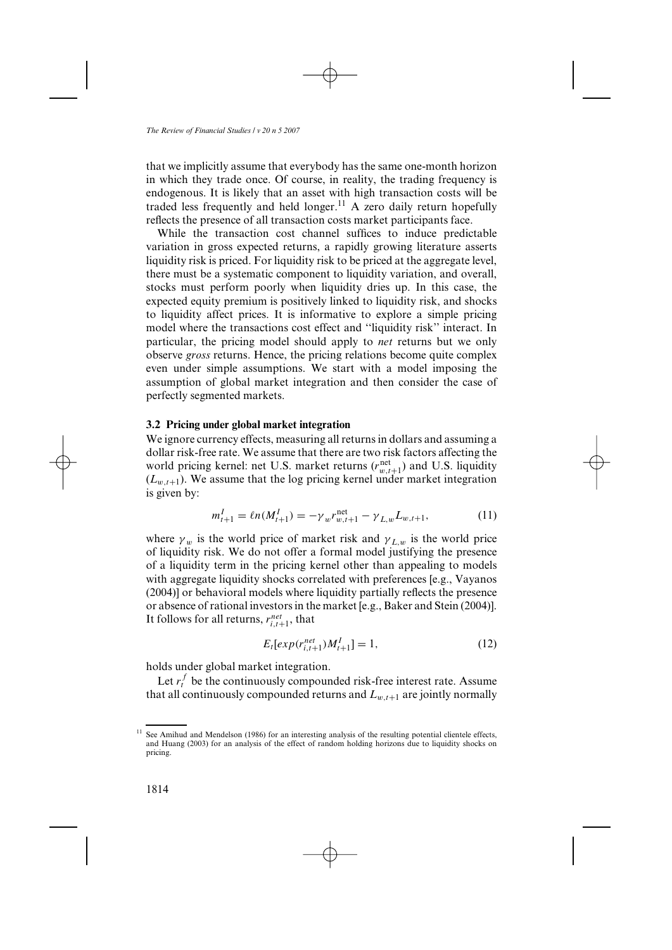that we implicitly assume that everybody has the same one-month horizon in which they trade once. Of course, in reality, the trading frequency is endogenous. It is likely that an asset with high transaction costs will be traded less frequently and held longer.<sup>11</sup> A zero daily return hopefully reflects the presence of all transaction costs market participants face.

While the transaction cost channel suffices to induce predictable variation in gross expected returns, a rapidly growing literature asserts liquidity risk is priced. For liquidity risk to be priced at the aggregate level, there must be a systematic component to liquidity variation, and overall, stocks must perform poorly when liquidity dries up. In this case, the expected equity premium is positively linked to liquidity risk, and shocks to liquidity affect prices. It is informative to explore a simple pricing model where the transactions cost effect and ''liquidity risk'' interact. In particular, the pricing model should apply to *net* returns but we only observe *gross* returns. Hence, the pricing relations become quite complex even under simple assumptions. We start with a model imposing the assumption of global market integration and then consider the case of perfectly segmented markets.

#### **3.2 Pricing under global market integration**

We ignore currency effects, measuring all returns in dollars and assuming a dollar risk-free rate. We assume that there are two risk factors affecting the world pricing kernel: net U.S. market returns  $(r_{w,t+1}^{\text{net}})$  and U.S. liquidity  $(L_{w,t+1})$ . We assume that the log pricing kernel under market integration is given by:

$$
m_{t+1}^I = \ln(M_{t+1}^I) = -\gamma_w r_{w,t+1}^{\text{net}} - \gamma_{L,w} L_{w,t+1},\tag{11}
$$

where  $\gamma_w$  is the world price of market risk and  $\gamma_{L,w}$  is the world price of liquidity risk. We do not offer a formal model justifying the presence of a liquidity term in the pricing kernel other than appealing to models with aggregate liquidity shocks correlated with preferences [e.g., Vayanos (2004)] or behavioral models where liquidity partially reflects the presence or absence of rational investors in the market [e.g., Baker and Stein (2004)]. It follows for all returns,  $r_{i,t+1}^{net}$ , that

$$
E_t[exp(r_{i,t+1}^{net})M_{t+1}^I] = 1,
$$
\n(12)

holds under global market integration.

Let  $r_t^f$  be the continuously compounded risk-free interest rate. Assume that all continuously compounded returns and  $L_{w,t+1}$  are jointly normally

<sup>&</sup>lt;sup>11</sup> See Amihud and Mendelson (1986) for an interesting analysis of the resulting potential clientele effects, and Huang (2003) for an analysis of the effect of random holding horizons due to liquidity shocks on pricing.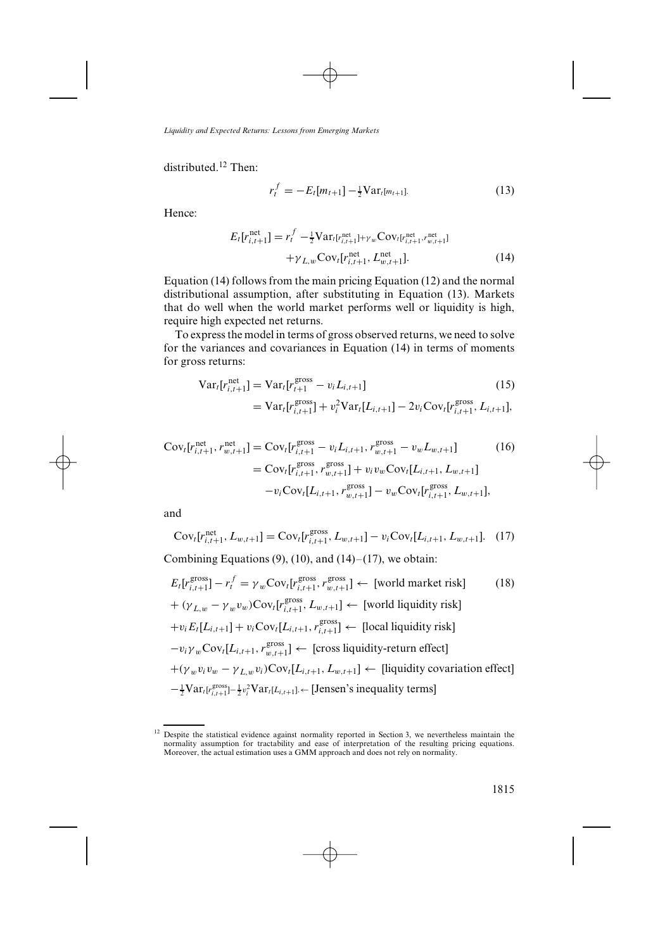*Liquidity and Expected Returns: Lessons from Emerging Markets*

distributed.12 Then:

$$
r_t^f = -E_t[m_{t+1}] - \frac{1}{2} \text{Var}_t[m_{t+1}]. \tag{13}
$$

Hence:

$$
E_t[r_{i,t+1}^{\text{net}}] = r_t^f - \frac{1}{2} \text{Var}_t[r_{i,t+1}^{\text{net}}] + \gamma_w \text{Cov}_t[r_{i,t+1}^{\text{net}}, r_{w,t+1}^{\text{net}}] + \gamma_{L,w} \text{Cov}_t[r_{i,t+1}^{\text{net}}, L_{w,t+1}^{\text{net}}].
$$
\n(14)

Equation (14) follows from the main pricing Equation (12) and the normal distributional assumption, after substituting in Equation (13). Markets that do well when the world market performs well or liquidity is high, require high expected net returns.

To express the model in terms of gross observed returns, we need to solve for the variances and covariances in Equation (14) in terms of moments for gross returns:

$$
\begin{split} \text{Var}_{t}[r_{i,t+1}^{\text{net}}] &= \text{Var}_{t}[r_{t+1}^{\text{gross}} - v_{i}L_{i,t+1}] \\ &= \text{Var}_{t}[r_{i,t+1}^{\text{gross}}] + v_{i}^{2}\text{Var}_{t}[L_{i,t+1}] - 2v_{i}\text{Cov}_{t}[r_{i,t+1}^{\text{gross}}, L_{i,t+1}], \end{split} \tag{15}
$$

$$
Cov_{t}[r_{i,t+1}^{net}, r_{w,t+1}^{net}] = Cov_{t}[r_{i,t+1}^{gross} - v_{i}L_{i,t+1}, r_{w,t+1}^{gross} - v_{w}L_{w,t+1}]
$$
\n
$$
= Cov_{t}[r_{i,t+1}^{gross}, r_{w,t+1}^{gross}] + v_{i}v_{w}Cov_{t}[L_{i,t+1}, L_{w,t+1}]
$$
\n
$$
-v_{i}Cov_{t}[L_{i,t+1}, r_{w,t+1}^{gross}] - v_{w}Cov_{t}[r_{i,t+1}^{gross}, L_{w,t+1}],
$$
\n(16)

and

$$
Covt[ri,t+1net, Lw,t+1] = Covt[ri,t+1gross, Lw,t+1] - vi Covt[Li,t+1, Lw,t+1]. (17)
$$

Combining Equations  $(9)$ ,  $(10)$ , and  $(14)$ – $(17)$ , we obtain:

$$
E_t[r_{i,t+1}^{\text{gross}}] - r_t^f = \gamma_w \text{Cov}_t[r_{i,t+1}^{\text{gross}}, r_{w,t+1}^{\text{gross}}] \leftarrow \text{[world market risk]}
$$
(18)  
+ (\gamma\_{L,w} - \gamma\_w v\_w) \text{Cov}\_t[r\_{i,t+1}^{\text{gross}}, L\_{w,t+1}] \leftarrow \text{[world liquidity risk]}+  $v_i E_t[L_{i,t+1}] + v_i \text{Cov}_t[L_{i,t+1}, r_{i,t+1}^{\text{gross}}] \leftarrow \text{[local liquidity risk]}$   
-  $v_i \gamma_w \text{Cov}_t[L_{i,t+1}, r_{w,t+1}^{\text{gross}}] \leftarrow \text{[cross liquidity-return effect]}$   
+ (\gamma\_w v\_i v\_w - \gamma\_{L,w} v\_i) \text{Cov}\_t[L\_{i,t+1}, L\_{w,t+1}] \leftarrow \text{[liquidity covariation effect]}  
- $\frac{1}{2} \text{Var}_t[r_{i,t+1}^{\text{cross}}] - \frac{1}{2} v_i^2 \text{Var}_t[L_{i,t+1}] \leftarrow \text{[Jensen's inequality terms]}$ 

<sup>&</sup>lt;sup>12</sup> Despite the statistical evidence against normality reported in Section 3, we nevertheless maintain the normality assumption for tractability and ease of interpretation of the resulting pricing equations. Moreover, the actual estimation uses a GMM approach and does not rely on normality.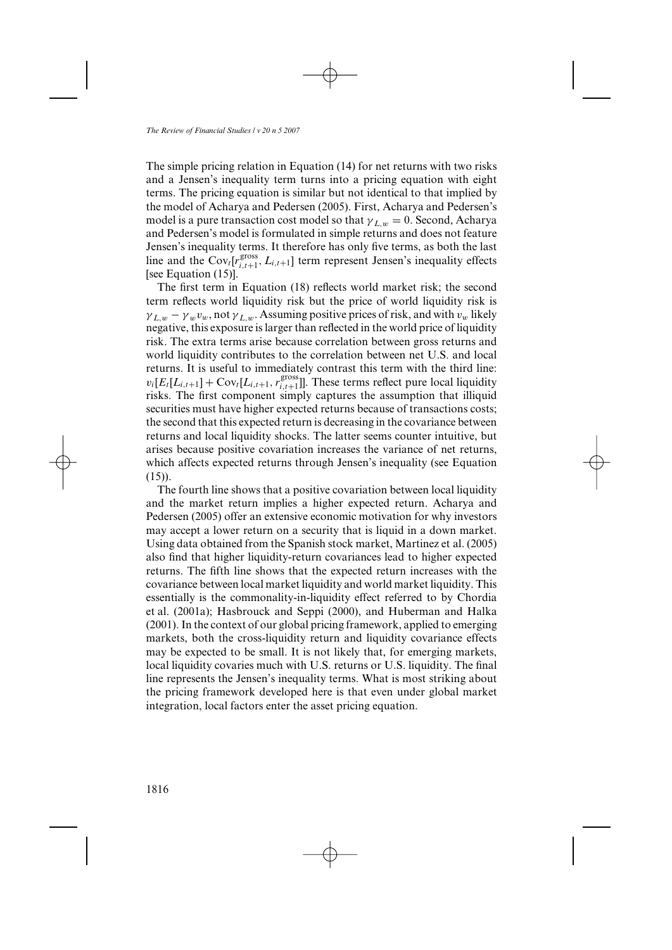The simple pricing relation in Equation (14) for net returns with two risks and a Jensen's inequality term turns into a pricing equation with eight terms. The pricing equation is similar but not identical to that implied by the model of Acharya and Pedersen (2005). First, Acharya and Pedersen's model is a pure transaction cost model so that  $\gamma_{L,w} = 0$ . Second, Acharya and Pedersen's model is formulated in simple returns and does not feature Jensen's inequality terms. It therefore has only five terms, as both the last line and the  $Cov_t[r_{i,t+1}^{\text{gross}}, L_{i,t+1}]$  term represent Jensen's inequality effects [see Equation (15)].

The first term in Equation (18) reflects world market risk; the second term reflects world liquidity risk but the price of world liquidity risk is  $\gamma_{L,w} - \gamma_w v_w$ , not  $\gamma_{L,w}$ . Assuming positive prices of risk, and with  $v_w$  likely negative, this exposure is larger than reflected in the world price of liquidity risk. The extra terms arise because correlation between gross returns and world liquidity contributes to the correlation between net U.S. and local returns. It is useful to immediately contrast this term with the third line:  $v_i[E_t[L_{i,t+1}] + \text{Cov}_t[L_{i,t+1}, r_{i,t+1}^{\text{gross}}]$ . These terms reflect pure local liquidity risks. The first component simply captures the assumption that illiquid securities must have higher expected returns because of transactions costs; the second that this expected return is decreasing in the covariance between returns and local liquidity shocks. The latter seems counter intuitive, but arises because positive covariation increases the variance of net returns, which affects expected returns through Jensen's inequality (see Equation  $(15)$ ).

The fourth line shows that a positive covariation between local liquidity and the market return implies a higher expected return. Acharya and Pedersen (2005) offer an extensive economic motivation for why investors may accept a lower return on a security that is liquid in a down market. Using data obtained from the Spanish stock market, Martinez et al. (2005) also find that higher liquidity-return covariances lead to higher expected returns. The fifth line shows that the expected return increases with the covariance between local market liquidity and world market liquidity. This essentially is the commonality-in-liquidity effect referred to by Chordia et al. (2001a); Hasbrouck and Seppi (2000), and Huberman and Halka (2001). In the context of our global pricing framework, applied to emerging markets, both the cross-liquidity return and liquidity covariance effects may be expected to be small. It is not likely that, for emerging markets, local liquidity covaries much with U.S. returns or U.S. liquidity. The final line represents the Jensen's inequality terms. What is most striking about the pricing framework developed here is that even under global market integration, local factors enter the asset pricing equation.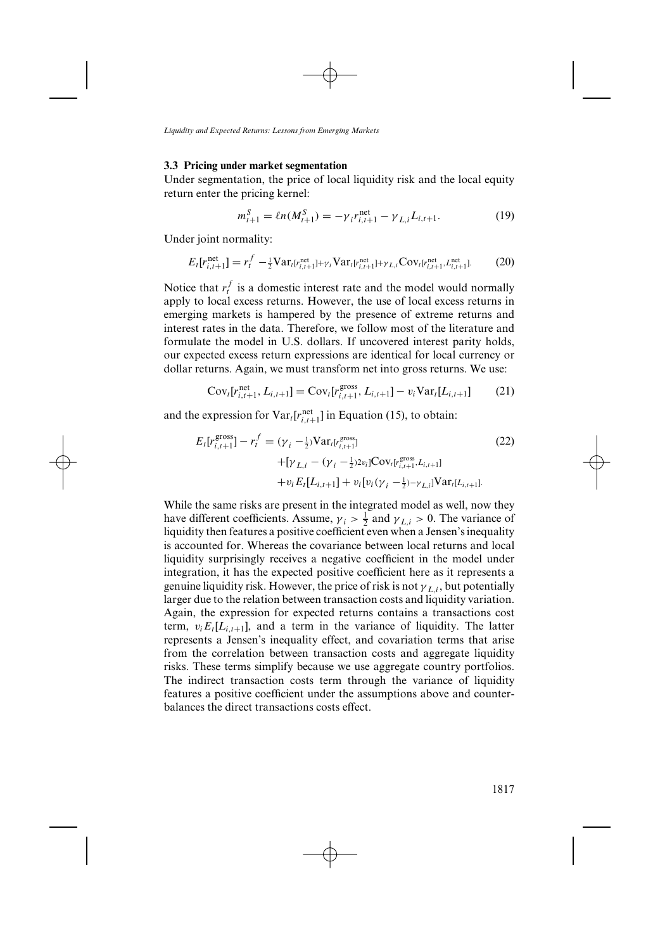#### **3.3 Pricing under market segmentation**

Under segmentation, the price of local liquidity risk and the local equity return enter the pricing kernel:

$$
m_{t+1}^{S} = \ln(M_{t+1}^{S}) = -\gamma_i r_{i,t+1}^{\text{net}} - \gamma_{L,i} L_{i,t+1}.
$$
 (19)

Under joint normality:

$$
E_t[r_{i,t+1}^{\text{net}}] = r_t^f - \frac{1}{2} \text{Var}_t[r_{i,t+1}^{\text{net}}] + \gamma_i \text{Var}_t[r_{i,t+1}^{\text{net}}] + \gamma_{L,i} \text{Cov}_t[r_{i,t+1}^{\text{net}}, L_{i,t+1}^{\text{net}}].
$$
 (20)

Notice that  $r_t^f$  is a domestic interest rate and the model would normally apply to local excess returns. However, the use of local excess returns in emerging markets is hampered by the presence of extreme returns and interest rates in the data. Therefore, we follow most of the literature and formulate the model in U.S. dollars. If uncovered interest parity holds, our expected excess return expressions are identical for local currency or dollar returns. Again, we must transform net into gross returns. We use:

$$
Covt[ri,t+1net, Li,t+1] = Covt[ri,t+1gross, Li,t+1] - viVart[Li,t+1] (21)
$$

and the expression for  $Var_t[r_{i,t+1}^{net}]$  in Equation (15), to obtain:

$$
E_t[r_{i,t+1}^{\text{gross}}] - r_t^f = (\gamma_i - \frac{1}{2}) \text{Var}_t[r_{i,t+1}^{\text{gross}}] + [\gamma_{L,i} - (\gamma_i - \frac{1}{2}) 2v_i] \text{Cov}_t[r_{i,t+1}^{\text{gross}}, L_{i,t+1}] + v_i E_t[L_{i,t+1}] + v_i[v_i(\gamma_i - \frac{1}{2}) - \gamma_{L,i}] \text{Var}_t[L_{i,t+1}].
$$
\n(22)

While the same risks are present in the integrated model as well, now they have different coefficients. Assume,  $\gamma_i > \frac{1}{2}$  and  $\gamma_{L,i} > 0$ . The variance of liquidity then features a positive coefficient even when a Jensen's inequality is accounted for. Whereas the covariance between local returns and local liquidity surprisingly receives a negative coefficient in the model under integration, it has the expected positive coefficient here as it represents a genuine liquidity risk. However, the price of risk is not  $\gamma_{L,i}$ , but potentially larger due to the relation between transaction costs and liquidity variation. Again, the expression for expected returns contains a transactions cost term,  $v_i E_t[L_{i,t+1}]$ , and a term in the variance of liquidity. The latter represents a Jensen's inequality effect, and covariation terms that arise from the correlation between transaction costs and aggregate liquidity risks. These terms simplify because we use aggregate country portfolios. The indirect transaction costs term through the variance of liquidity features a positive coefficient under the assumptions above and counterbalances the direct transactions costs effect.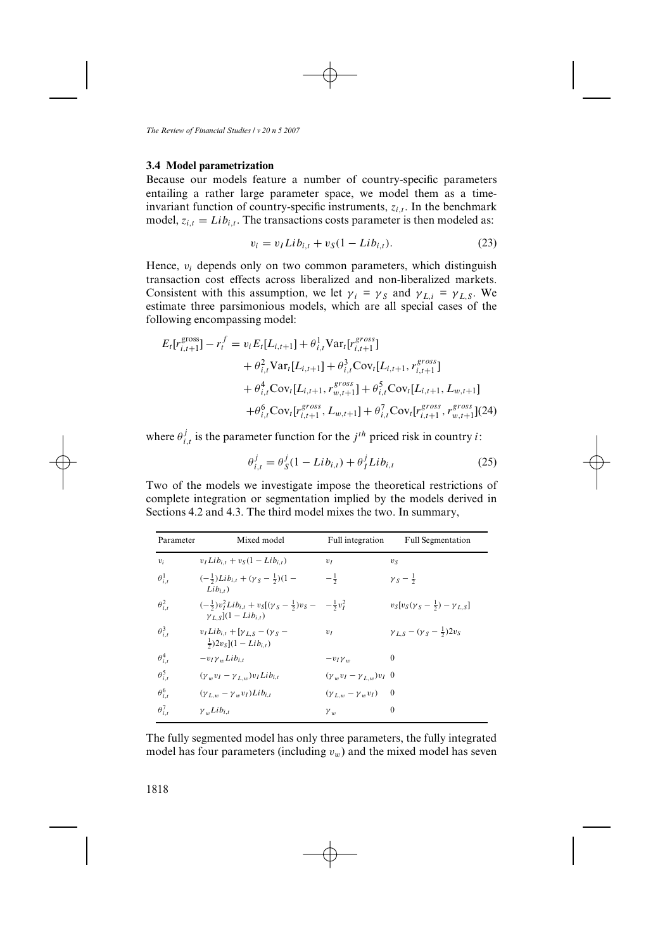#### **3.4 Model parametrization**

Because our models feature a number of country-specific parameters entailing a rather large parameter space, we model them as a timeinvariant function of country-specific instruments,  $z_{i,t}$ . In the benchmark model,  $z_{i,t} = Lib_{i,t}$ . The transactions costs parameter is then modeled as:

$$
v_i = v_I L i b_{i,t} + v_S (1 - L i b_{i,t}). \tag{23}
$$

Hence, *vi* depends only on two common parameters, which distinguish transaction cost effects across liberalized and non-liberalized markets. Consistent with this assumption, we let  $\gamma_i = \gamma_s$  and  $\gamma_i = \gamma_i$  *s*. We estimate three parsimonious models, which are all special cases of the following encompassing model:

$$
E_{t}[r_{i,t+1}^{\text{gross}}] - r_{t}^{f} = v_{i} E_{t}[L_{i,t+1}] + \theta_{i,t}^{1} \text{Var}_{t}[r_{i,t+1}^{cross}]
$$
  
+  $\theta_{i,t}^{2} \text{Var}_{t}[L_{i,t+1}] + \theta_{i,t}^{3} \text{Cov}_{t}[L_{i,t+1}, r_{i,t+1}^{gross}]$   
+  $\theta_{i,t}^{4} \text{Cov}_{t}[L_{i,t+1}, r_{w,t+1}^{gross}] + \theta_{i,t}^{5} \text{Cov}_{t}[L_{i,t+1}, L_{w,t+1}]$   
+  $\theta_{i,t}^{6} \text{Cov}_{t}[r_{i,t+1}^{gross}, L_{w,t+1}] + \theta_{i,t}^{7} \text{Cov}_{t}[r_{i,t+1}^{cross}, r_{w,t+1}^{gross}] (24)$ 

where  $\theta_{i,t}^j$  is the parameter function for the  $j^{th}$  priced risk in country *i*:

$$
\theta_{i,t}^j = \theta_{S}^j (1 - Lib_{i,t}) + \theta_I^j Lib_{i,t}
$$
\n(25)

Two of the models we investigate impose the theoretical restrictions of complete integration or segmentation implied by the models derived in Sections 4.2 and 4.3. The third model mixes the two. In summary,

| Parameter        | Mixed model                                                                                                                                  | Full integration                      | Full Segmentation                                    |
|------------------|----------------------------------------------------------------------------------------------------------------------------------------------|---------------------------------------|------------------------------------------------------|
| $v_i$            | $v_I Lib_{i,t} + v_S(1 - Lib_{i,t})$                                                                                                         | $v_I$                                 | $v_{S}$                                              |
| $\theta_{i,t}^1$ | $\left(-\frac{1}{2}\right)Lib_{i,t} + \left(\gamma_5 - \frac{1}{2}\right)(1 -$<br>$Lib_{i,t})$                                               | $-\frac{1}{2}$                        | $\gamma_S - \frac{1}{2}$                             |
| $\theta_{i,t}^2$ | $\left(-\frac{1}{2}\right)v_i^2Lib_{i,t} + v_s[(\gamma_s - \frac{1}{2})v_s - \frac{1}{2}v_t^2]$<br>$\gamma_{L, S}$ [(1 – Lib <sub>it</sub> ) |                                       | $v_S[v_S(\gamma_S - \frac{1}{2}) - \gamma_I_s]$      |
| $\theta_{i,t}^3$ | $v_I Lib_{i,t} + [y_{I,s} - (y_s -$<br>$(\frac{1}{2})2v_S[(1 - Lib_{i,t})]$                                                                  | $v_I$                                 | $\gamma_{L, S} - (\gamma_{S} - \frac{1}{2}) 2 v_{S}$ |
| $\theta_{i,t}^4$ | $-v_Iv_wLib_{i,t}$                                                                                                                           | $-v_I \gamma_w$                       | $\theta$                                             |
| $\theta_{i,t}^5$ | $(\gamma_w v_I - \gamma_{I_w w}) v_I Lib_{i,t}$                                                                                              | $(\gamma_w v_I - \gamma_{I,w}) v_I$ 0 |                                                      |
| $\theta_{i,t}^6$ | $(\gamma_{L,w}-\gamma_w v_I)Lib_{i,t}$                                                                                                       | $(\gamma_{L,w}-\gamma_w v_I) = 0$     |                                                      |
| $\theta_{i,t}^7$ | $\gamma$ <sub>w</sub> Lib <sub>it</sub>                                                                                                      | $\gamma_{w}$                          | $\mathbf{0}$                                         |

The fully segmented model has only three parameters, the fully integrated model has four parameters (including  $v_w$ ) and the mixed model has seven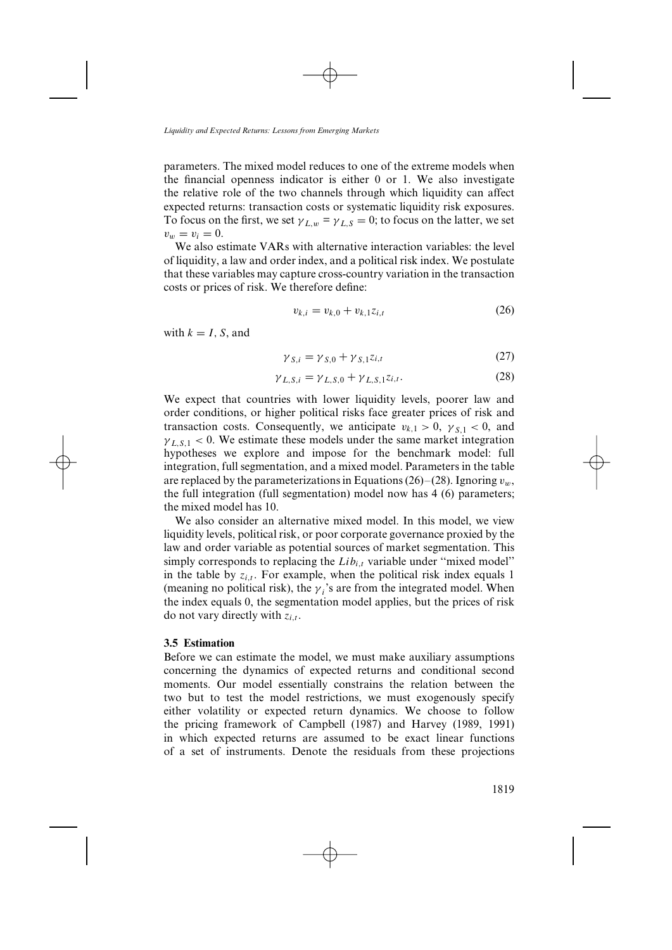parameters. The mixed model reduces to one of the extreme models when the financial openness indicator is either 0 or 1. We also investigate the relative role of the two channels through which liquidity can affect expected returns: transaction costs or systematic liquidity risk exposures. To focus on the first, we set  $\gamma_{L,w} = \gamma_{L,S} = 0$ ; to focus on the latter, we set  $v_w = v_i = 0.$ 

We also estimate VARs with alternative interaction variables: the level of liquidity, a law and order index, and a political risk index. We postulate that these variables may capture cross-country variation in the transaction costs or prices of risk. We therefore define:

$$
v_{k,i} = v_{k,0} + v_{k,1} z_{i,t}
$$
 (26)

with  $k = I$ , *S*, and

$$
\gamma_{S,i} = \gamma_{S,0} + \gamma_{S,1} z_{i,t} \tag{27}
$$

$$
\gamma_{L,S,i} = \gamma_{L,S,0} + \gamma_{L,S,1} z_{i,t}.
$$
\n(28)

We expect that countries with lower liquidity levels, poorer law and order conditions, or higher political risks face greater prices of risk and transaction costs. Consequently, we anticipate  $v_{k,1} > 0$ ,  $\gamma_{s,1} < 0$ , and  $\gamma_{L, S, 1}$  < 0. We estimate these models under the same market integration hypotheses we explore and impose for the benchmark model: full integration, full segmentation, and a mixed model. Parameters in the table are replaced by the parameterizations in Equations (26)–(28). Ignoring  $v_w$ , the full integration (full segmentation) model now has 4 (6) parameters; the mixed model has 10.

We also consider an alternative mixed model. In this model, we view liquidity levels, political risk, or poor corporate governance proxied by the law and order variable as potential sources of market segmentation. This simply corresponds to replacing the  $Lib_{i,t}$  variable under "mixed model" in the table by  $z_{i,t}$ . For example, when the political risk index equals 1 (meaning no political risk), the  $\gamma_i$ 's are from the integrated model. When the index equals 0, the segmentation model applies, but the prices of risk do not vary directly with *zi,t* .

#### **3.5 Estimation**

Before we can estimate the model, we must make auxiliary assumptions concerning the dynamics of expected returns and conditional second moments. Our model essentially constrains the relation between the two but to test the model restrictions, we must exogenously specify either volatility or expected return dynamics. We choose to follow the pricing framework of Campbell (1987) and Harvey (1989, 1991) in which expected returns are assumed to be exact linear functions of a set of instruments. Denote the residuals from these projections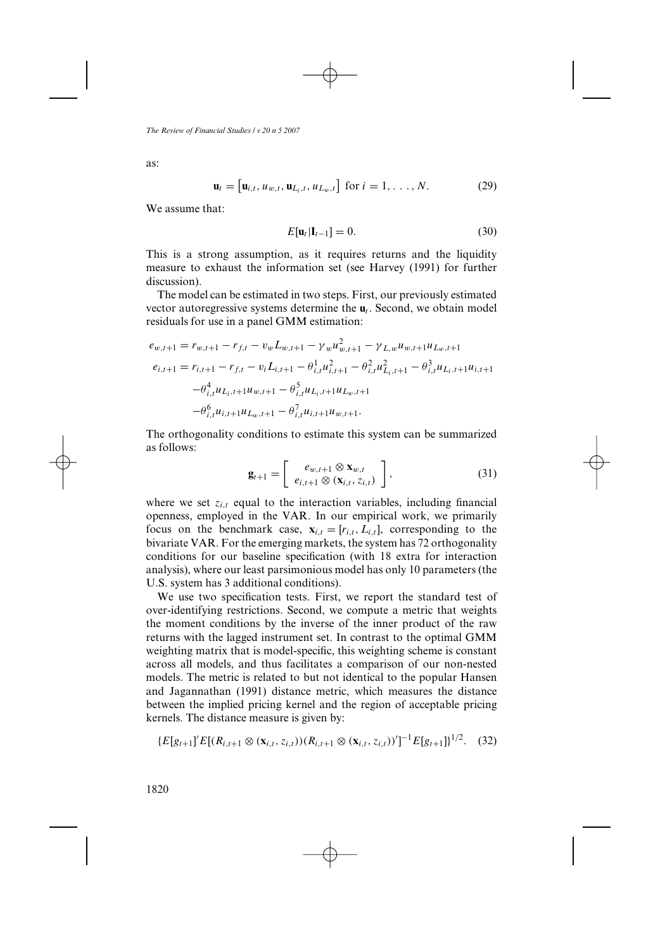as:

$$
\mathbf{u}_t = \begin{bmatrix} \mathbf{u}_{i,t}, u_{w,t}, \mathbf{u}_{L_i,t}, u_{L_w,t} \end{bmatrix} \text{ for } i = 1, \dots, N. \tag{29}
$$

We assume that:

$$
E[\mathbf{u}_t|\mathbf{I}_{t-1}] = 0. \tag{30}
$$

This is a strong assumption, as it requires returns and the liquidity measure to exhaust the information set (see Harvey (1991) for further discussion).

The model can be estimated in two steps. First, our previously estimated vector autoregressive systems determine the  $\mathbf{u}_t$ . Second, we obtain model residuals for use in a panel GMM estimation:

$$
e_{w,t+1} = r_{w,t+1} - r_{f,t} - v_w L_{w,t+1} - \gamma_w u_{w,t+1}^2 - \gamma_{L,w} u_{w,t+1} u_{L_w,t+1}
$$
  
\n
$$
e_{i,t+1} = r_{i,t+1} - r_{f,t} - v_i L_{i,t+1} - \theta_{i,t}^1 u_{i,t+1}^2 - \theta_{i,t}^2 u_{L_i,t+1}^2 - \theta_{i,t}^3 u_{L_i,t+1} u_{i,t+1}
$$
  
\n
$$
-\theta_{i,t}^4 u_{L_i,t+1} u_{w,t+1} - \theta_{i,t}^5 u_{L_i,t+1} u_{L_w,t+1}
$$
  
\n
$$
-\theta_{i,t}^6 u_{i,t+1} u_{L_w,t+1} - \theta_{i,t}^7 u_{i,t+1} u_{w,t+1}.
$$

The orthogonality conditions to estimate this system can be summarized as follows:

$$
\mathbf{g}_{t+1} = \left[ \begin{array}{c} e_{w,t+1} \otimes \mathbf{x}_{w,t} \\ e_{i,t+1} \otimes (\mathbf{x}_{i,t}, z_{i,t}) \end{array} \right], \tag{31}
$$

where we set  $z_{i,t}$  equal to the interaction variables, including financial openness, employed in the VAR. In our empirical work, we primarily focus on the benchmark case,  $\mathbf{x}_{i,t} = [r_{i,t}, L_{i,t}]$ , corresponding to the bivariate VAR. For the emerging markets, the system has 72 orthogonality conditions for our baseline specification (with 18 extra for interaction analysis), where our least parsimonious model has only 10 parameters (the U.S. system has 3 additional conditions).

We use two specification tests. First, we report the standard test of over-identifying restrictions. Second, we compute a metric that weights the moment conditions by the inverse of the inner product of the raw returns with the lagged instrument set. In contrast to the optimal GMM weighting matrix that is model-specific, this weighting scheme is constant across all models, and thus facilitates a comparison of our non-nested models. The metric is related to but not identical to the popular Hansen and Jagannathan (1991) distance metric, which measures the distance between the implied pricing kernel and the region of acceptable pricing kernels. The distance measure is given by:

$$
\{E[g_{t+1}]\big/E[(R_{i,t+1}\otimes(\mathbf{x}_{i,t},z_{i,t})) (R_{i,t+1}\otimes(\mathbf{x}_{i,t},z_{i,t}))']^{-1}E[g_{t+1}]\big\}^{1/2}.
$$
 (32)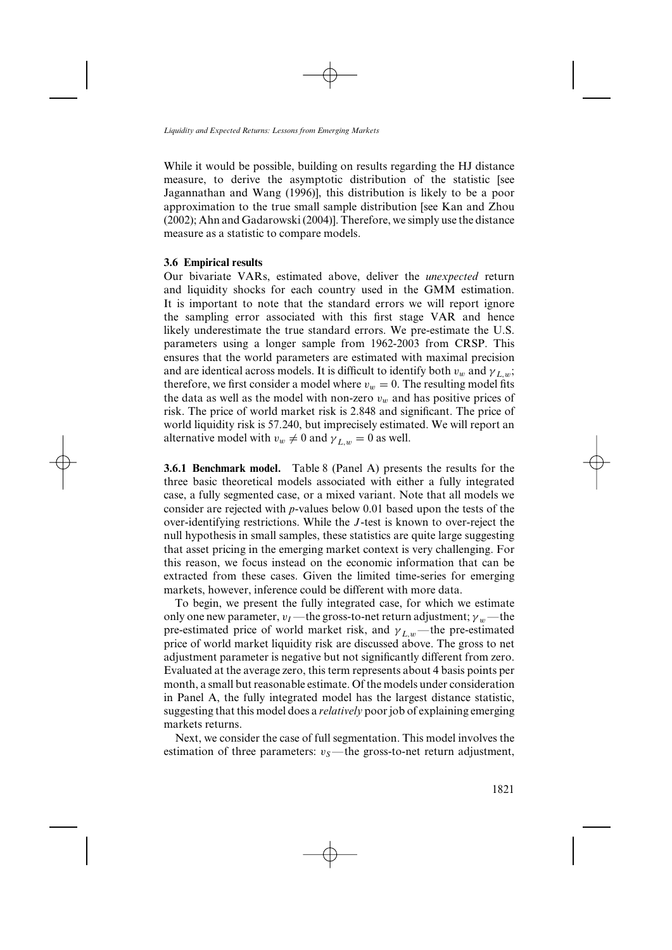While it would be possible, building on results regarding the HJ distance measure, to derive the asymptotic distribution of the statistic [see Jagannathan and Wang (1996)], this distribution is likely to be a poor approximation to the true small sample distribution [see Kan and Zhou (2002); Ahn and Gadarowski (2004)]. Therefore, we simply use the distance measure as a statistic to compare models.

### **3.6 Empirical results**

Our bivariate VARs, estimated above, deliver the *unexpected* return and liquidity shocks for each country used in the GMM estimation. It is important to note that the standard errors we will report ignore the sampling error associated with this first stage VAR and hence likely underestimate the true standard errors. We pre-estimate the U.S. parameters using a longer sample from 1962-2003 from CRSP. This ensures that the world parameters are estimated with maximal precision and are identical across models. It is difficult to identify both  $v_w$  and  $\gamma_{L,w}$ ; therefore, we first consider a model where  $v_w = 0$ . The resulting model fits the data as well as the model with non-zero  $v_w$  and has positive prices of risk. The price of world market risk is 2.848 and significant. The price of world liquidity risk is 57.240, but imprecisely estimated. We will report an alternative model with  $v_w \neq 0$  and  $\gamma_{L,w} = 0$  as well.

**3.6.1 Benchmark model.** Table 8 (Panel A) presents the results for the three basic theoretical models associated with either a fully integrated case, a fully segmented case, or a mixed variant. Note that all models we consider are rejected with *p*-values below 0.01 based upon the tests of the over-identifying restrictions. While the *J* -test is known to over-reject the null hypothesis in small samples, these statistics are quite large suggesting that asset pricing in the emerging market context is very challenging. For this reason, we focus instead on the economic information that can be extracted from these cases. Given the limited time-series for emerging markets, however, inference could be different with more data.

To begin, we present the fully integrated case, for which we estimate only one new parameter,  $v_I$ —the gross-to-net return adjustment;  $\gamma_w$ —the pre-estimated price of world market risk, and  $\gamma_{L,w}$ —the pre-estimated price of world market liquidity risk are discussed above. The gross to net adjustment parameter is negative but not significantly different from zero. Evaluated at the average zero, this term represents about 4 basis points per month, a small but reasonable estimate. Of the models under consideration in Panel A, the fully integrated model has the largest distance statistic, suggesting that this model does a *relatively* poor job of explaining emerging markets returns.

Next, we consider the case of full segmentation. This model involves the estimation of three parameters:  $v_s$ —the gross-to-net return adjustment,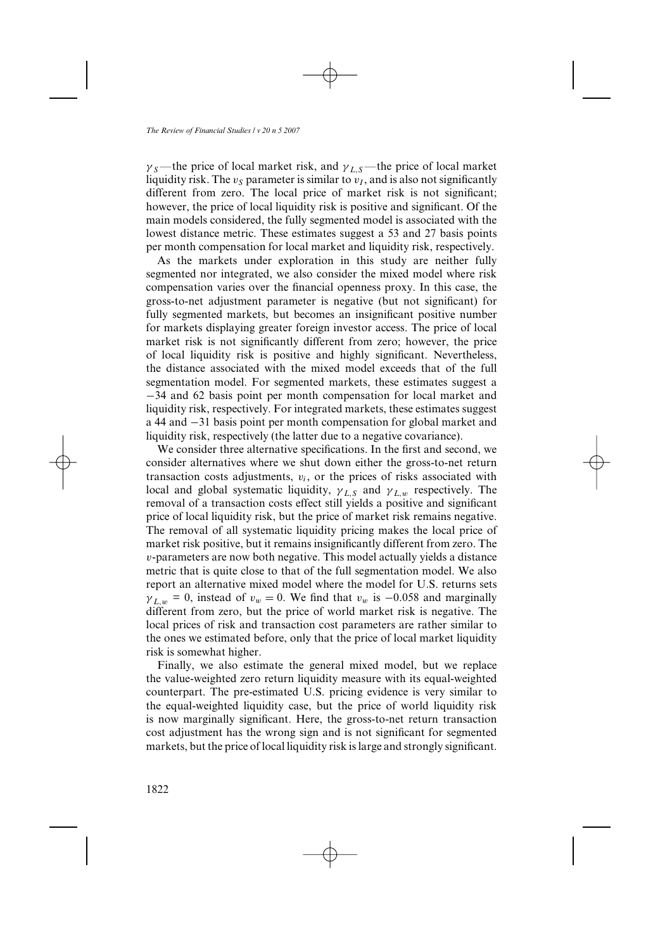*γ*<sub>S</sub>—the price of local market risk, and *γ<sub>L</sub>*<sub>S</sub>—the price of local market liquidity risk. The  $v_S$  parameter is similar to  $v_I$ , and is also not significantly different from zero. The local price of market risk is not significant; however, the price of local liquidity risk is positive and significant. Of the main models considered, the fully segmented model is associated with the lowest distance metric. These estimates suggest a 53 and 27 basis points per month compensation for local market and liquidity risk, respectively.

As the markets under exploration in this study are neither fully segmented nor integrated, we also consider the mixed model where risk compensation varies over the financial openness proxy. In this case, the gross-to-net adjustment parameter is negative (but not significant) for fully segmented markets, but becomes an insignificant positive number for markets displaying greater foreign investor access. The price of local market risk is not significantly different from zero; however, the price of local liquidity risk is positive and highly significant. Nevertheless, the distance associated with the mixed model exceeds that of the full segmentation model. For segmented markets, these estimates suggest a −34 and 62 basis point per month compensation for local market and liquidity risk, respectively. For integrated markets, these estimates suggest a 44 and −31 basis point per month compensation for global market and liquidity risk, respectively (the latter due to a negative covariance).

We consider three alternative specifications. In the first and second, we consider alternatives where we shut down either the gross-to-net return transaction costs adjustments,  $v_i$ , or the prices of risks associated with local and global systematic liquidity,  $\gamma_{LS}$  and  $\gamma_{L,w}$  respectively. The removal of a transaction costs effect still yields a positive and significant price of local liquidity risk, but the price of market risk remains negative. The removal of all systematic liquidity pricing makes the local price of market risk positive, but it remains insignificantly different from zero. The *v*-parameters are now both negative. This model actually yields a distance metric that is quite close to that of the full segmentation model. We also report an alternative mixed model where the model for U.S. returns sets  $\gamma_{L,w}$  = 0, instead of  $v_w$  = 0. We find that  $v_w$  is −0.058 and marginally different from zero, but the price of world market risk is negative. The local prices of risk and transaction cost parameters are rather similar to the ones we estimated before, only that the price of local market liquidity risk is somewhat higher.

Finally, we also estimate the general mixed model, but we replace the value-weighted zero return liquidity measure with its equal-weighted counterpart. The pre-estimated U.S. pricing evidence is very similar to the equal-weighted liquidity case, but the price of world liquidity risk is now marginally significant. Here, the gross-to-net return transaction cost adjustment has the wrong sign and is not significant for segmented markets, but the price of local liquidity risk is large and strongly significant.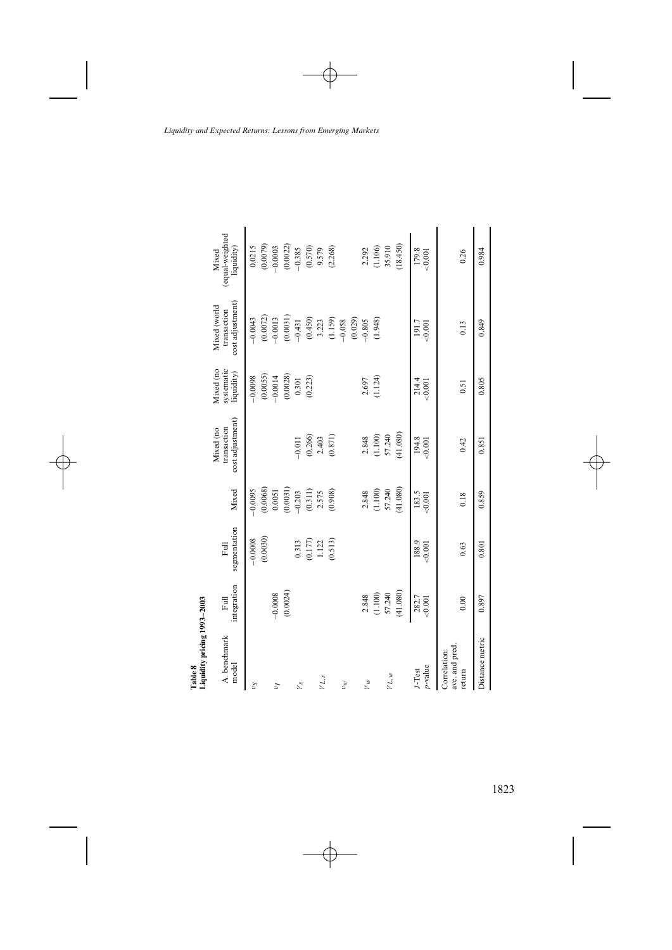| Liquidity pricing 1993-2003<br>Table 8 |                     |                      |           |                                              |                                       |                                                 |                                        |
|----------------------------------------|---------------------|----------------------|-----------|----------------------------------------------|---------------------------------------|-------------------------------------------------|----------------------------------------|
| A. benchmark<br>model                  | integration<br>Full | segmentation<br>Full | Mixed     | cost adjustment)<br>transaction<br>Mixed (no | Mixed (no<br>systematic<br>liquidity) | cost adjustment)<br>Mixed (world<br>transaction | (equal-weighted<br>liquidity)<br>Mixed |
| $\mathfrak{a}_a$                       |                     | $-0.0008$            | $-0.0095$ |                                              | $-0.0098$                             | $-0.0043$                                       | 0.0215                                 |
|                                        |                     | (0.0030)             | (0.0068)  |                                              | (0.0055)                              | (0.0072)                                        | (0.0079)                               |
| <sup>1</sup> a                         | $-0.0008$           |                      | 0.0051    |                                              | $-0.0014$                             | $-0.0013$                                       | $-0.0003$                              |
|                                        | (0.0024)            |                      | (0.0031)  |                                              | (0.0028)                              | (0.0031)                                        | (0.0022)                               |
| γs                                     |                     | 0.313                | $-0.203$  | $-0.011$                                     | 0.301                                 | $-0.431$                                        | $-0.385$                               |
|                                        |                     | (0.177)              | (0.311)   | (0.266)                                      | (0.223)                               | (0.450)                                         | $(0.570)$                              |
| $V_{L,s}$                              |                     | 1.122                | 2.575     | 2.403                                        |                                       | 3.223                                           | 9.579                                  |
|                                        |                     | (0.513)              | (0.908)   | (0.871)                                      |                                       | (1.159)                                         | (2.268)                                |
| $v_w$                                  |                     |                      |           |                                              |                                       | $-0.058$                                        |                                        |
|                                        |                     |                      |           |                                              |                                       | (0.029)                                         |                                        |
| $\nu \chi$                             | 2.848               |                      | 2.848     | 2.848                                        | 2.697                                 | $-0.805$                                        | 2.292                                  |
|                                        | (1.100)             |                      | (1.100)   | (1.100)                                      | (1.124)                               | (1.948)                                         | (1.106)                                |
| $\gamma_{L,w}$                         | 57.240              |                      | 57.240    | 57.240                                       |                                       |                                                 | 35.910                                 |
|                                        | (41.080)            |                      | (41.080)  | (41.080)                                     |                                       |                                                 | (18.450)                               |
| J-Test                                 | 282.7               | 188.9                | 183.5     | 194.8                                        |                                       | 191.7                                           | 179.8                                  |
| p-value                                | 0.001               | 0.001                | 0.001     | 0.001                                        | $214.4$<br><0.001                     | 0.001                                           | 0.001                                  |
| ave. and pred<br>Correlation:          |                     |                      |           |                                              |                                       |                                                 |                                        |
| return                                 | 0.00                | 0.63                 | 0.18      | 0.42                                         | 0.51                                  | 0.13                                            | 0.26                                   |
| Distance metric                        | 0.897               | 0.801                | 0.859     | 0.851                                        | 0.805                                 | 0.849                                           | 0.984                                  |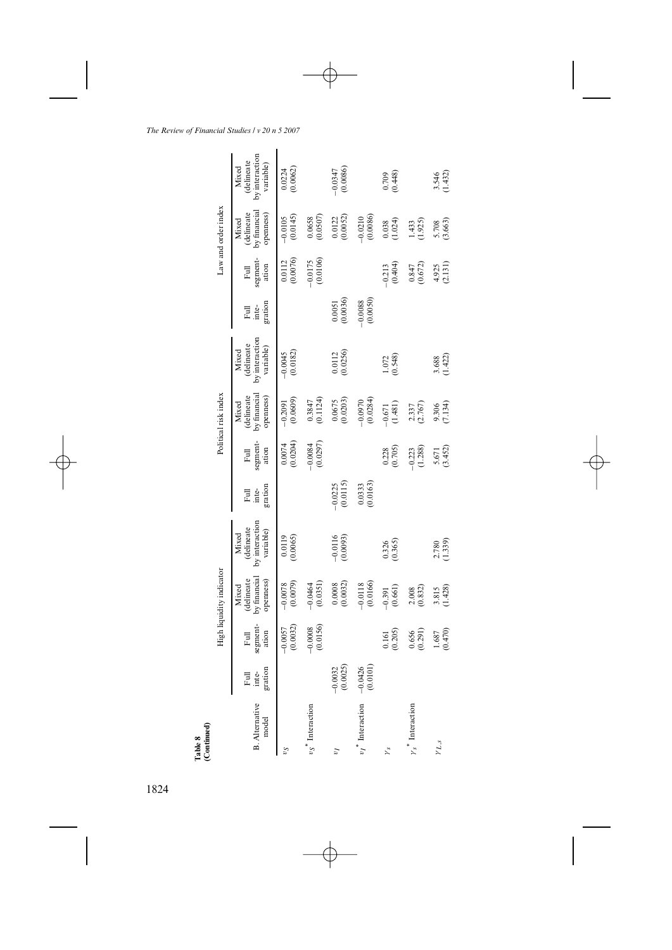| (Continued)<br>Table 8         |                          |                           |                                                  |                                                    |                                                 |                                               |                                                   |                                                    |                                                 |                           |                                                  |                                                    |
|--------------------------------|--------------------------|---------------------------|--------------------------------------------------|----------------------------------------------------|-------------------------------------------------|-----------------------------------------------|---------------------------------------------------|----------------------------------------------------|-------------------------------------------------|---------------------------|--------------------------------------------------|----------------------------------------------------|
|                                |                          |                           | High liquidity indicator                         |                                                    |                                                 |                                               | Political risk index                              |                                                    |                                                 |                           | Law and order index                              |                                                    |
| <b>B.</b> Alternative<br>model | gration<br>Full<br>inte- | segment-<br>ation<br>Full | by financial<br>(delineate<br>openness)<br>Mixed | by interaction<br>(delineate<br>variable)<br>Mixed | gration<br>inte-<br>Full                        | Full<br>segment-<br>ation                     | Mixed<br>(delineate<br>by financial<br>openness)  | by interaction<br>variable)<br>(delineate<br>Mixed | gration<br>inte-<br>Full                        | segment-<br>ation<br>Full | (delineate<br>by financial<br>openness)<br>Mixed | (delineate<br>by interaction<br>variable)<br>Mixed |
| $\mathfrak{a}_a$               |                          | $-0.0057$<br>$(0.0032)$   | (0.0079)<br>$-0.0078$                            | $0.0119$<br>$(0.0065)$                             |                                                 | (0.0074)                                      | $-0.2091$<br>(0.0609)                             | (0.0182)<br>$-0.0045$                              |                                                 | (0.0076)<br>0.0112        | (0.0145)<br>$-0.0105$                            | (0.0062)<br>0.0224                                 |
| $v_S$ <sup>-</sup> Interaction |                          | $-0.0008$<br>(0.0156)     | $-0.0464$<br>(0.0351)                            |                                                    |                                                 | $-0.0084$<br>(0.0297)                         | $0.3847$<br>$(0.1124)$                            |                                                    |                                                 | $-0.0175$<br>(0.0106)     | $0.0658$<br>$(0.0507)$                           |                                                    |
| z                              | $-0.0032$<br>(0.0025)    |                           | $(0.0008$<br>$(0.0032)$                          | $-0.0116$<br>$(0.0093)$                            | $-0.0225$<br>(0.0115)                           |                                               | $\begin{array}{c} 0.0675 \\ (0.0203) \end{array}$ | $\frac{0.0112}{(0.0256)}$                          | $\begin{array}{c} 0.0051 \\ 0.0036 \end{array}$ |                           | $\frac{0.0122}{(0.0052)}$                        | $-0.0347$<br>(0.0086)                              |
| $v_I$ <sup>*</sup> Interaction | $-0.0426$<br>(0.0101)    |                           | (0.0166)<br>$-0.0118$                            |                                                    | $\begin{array}{c} 0.0333 \\ 0.0163 \end{array}$ |                                               | $-0.0970$<br>(0.0284)                             |                                                    | $-0.0088$<br>(0.0050)                           |                           | $-0.0210$<br>(0.0086)                            |                                                    |
| γs                             |                          | (0.205)<br>0.161          | (0.661)<br>$-0.391$                              | $\begin{array}{c} 0.326 \\ 0.365 \end{array}$      |                                                 | $\begin{array}{c} 0.228 \\ 0.705 \end{array}$ | $\frac{-0.671}{(1.481)}$                          | $\frac{1.072}{(0.548)}$                            |                                                 | $-0.213$<br>$(0.404)$     | (1.024)                                          | $\begin{array}{c} 0.709 \\ 0.448 \end{array}$      |
| $y_s^*$ Interaction            |                          | (0.291)<br>0.656          | $\frac{2.008}{(0.832)}$                          |                                                    |                                                 | $-0.223$<br>(1.288)                           | $2.337$<br>$(2.767)$                              |                                                    |                                                 | $\frac{0.847}{(0.672)}$   | $1.433$<br>$(1.925)$                             |                                                    |
|                                |                          | (0.470)<br>1.687          | $3.815$<br>(1.428)                               | 2.780<br>(1.339)                                   |                                                 | 5.671<br>(3.452)                              | 9.306<br>(7.134)                                  | $3.688$<br>(1.422)                                 |                                                 | $4.925$<br>(2.131)        | 5.708<br>(3.663)                                 | $3.546$<br>(1.432)                                 |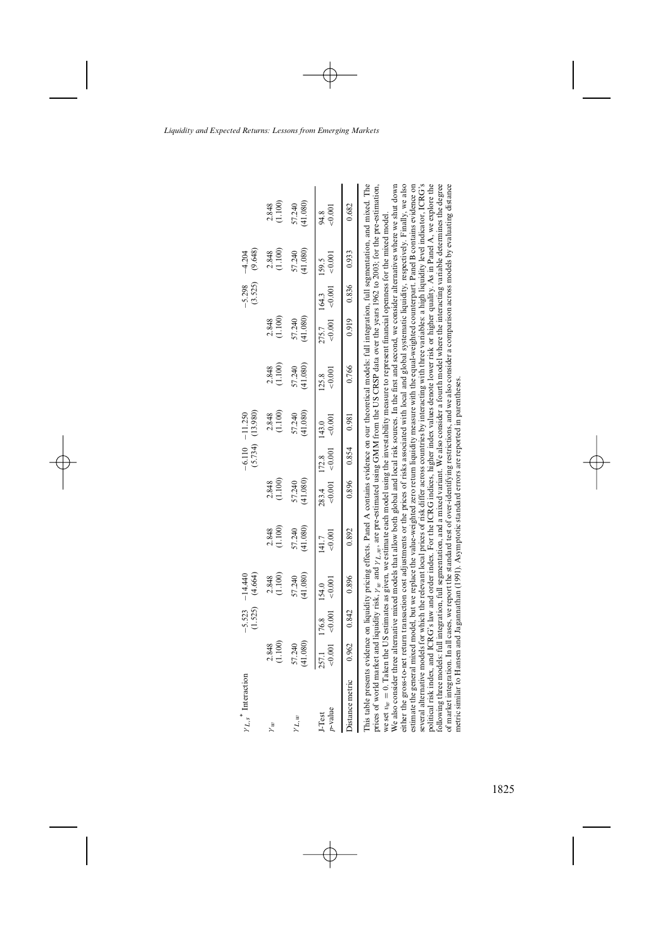|                                           | 2.848<br>(1.100) | (41.080)<br>57.240 | <0.001<br>94.8           | 0.682           | This table presents evidence on liquidity pricing effects. Panel A contains evidence on our theoretical models: full integration, full segmentation, and mixed. The<br>We also consider three alternative mixed models that allow both global and local risk sources. In the first and second, we consider alternatives where we shut down<br>either the gross-to-net return transaction cost adjustments or the prices of risks associated with local and global systematic liquidity, respectively. Finally, we also<br>several alternative models for which the relevant local prices of risk differ across countries by interacting with three variables: a high liquidity level indicator, ICRG's<br>oolitical risk index, and ICRG's law and order index. For the ICRG indices, higher index values denote lower risk or higher quality. As in Panel A, we explore the<br>following three models: full integration, full segmentation, and a mixed variant. We also consider a fourth model where the interacting variable determines the degree<br>of market integration. In all cases, we report the standard test of over-identifying restrictions, and we also consider a comparison across models by evaluating distance<br>estimate the general mixed model, but we replace the value-weighted zero return liquidity measure with the equal-weighted counterpart. Panel B contains evidence on<br>prices of world market and liquidity risk, $\gamma_w$ and $\gamma_{L,w}$ , are pre-estimated using GMM from the US CRSP data over the years 1962 to 2003; for the pre-estimation, |
|-------------------------------------------|------------------|--------------------|--------------------------|-----------------|-------------------------------------------------------------------------------------------------------------------------------------------------------------------------------------------------------------------------------------------------------------------------------------------------------------------------------------------------------------------------------------------------------------------------------------------------------------------------------------------------------------------------------------------------------------------------------------------------------------------------------------------------------------------------------------------------------------------------------------------------------------------------------------------------------------------------------------------------------------------------------------------------------------------------------------------------------------------------------------------------------------------------------------------------------------------------------------------------------------------------------------------------------------------------------------------------------------------------------------------------------------------------------------------------------------------------------------------------------------------------------------------------------------------------------------------------------------------------------------------------------------------------------------------------------------------------------------------------|
| (9.648)<br>$-4.204$                       | (1.100)<br>2.848 | (41.080)<br>57.240 | $\leq 0.001$<br>159.5    | 0.933           |                                                                                                                                                                                                                                                                                                                                                                                                                                                                                                                                                                                                                                                                                                                                                                                                                                                                                                                                                                                                                                                                                                                                                                                                                                                                                                                                                                                                                                                                                                                                                                                                 |
| (3.525)<br>$-5.298$                       |                  |                    | 164.3                    | 0.836           |                                                                                                                                                                                                                                                                                                                                                                                                                                                                                                                                                                                                                                                                                                                                                                                                                                                                                                                                                                                                                                                                                                                                                                                                                                                                                                                                                                                                                                                                                                                                                                                                 |
|                                           | (1.100)<br>2.848 | (41.080)<br>57.240 | < 0.001 < 0.001<br>275.7 | 0.919           |                                                                                                                                                                                                                                                                                                                                                                                                                                                                                                                                                                                                                                                                                                                                                                                                                                                                                                                                                                                                                                                                                                                                                                                                                                                                                                                                                                                                                                                                                                                                                                                                 |
|                                           | (1.100)<br>2.848 | (41.080)<br>57.240 | $\leq 0.001$<br>125.8    | 0.766           |                                                                                                                                                                                                                                                                                                                                                                                                                                                                                                                                                                                                                                                                                                                                                                                                                                                                                                                                                                                                                                                                                                                                                                                                                                                                                                                                                                                                                                                                                                                                                                                                 |
| $(5.734)$ $(13.980)$<br>$-6.110 - 11.250$ | (1.100)<br>2.848 | (41.080)<br>57.240 | $-0.001$<br>143.0        | 0.981           |                                                                                                                                                                                                                                                                                                                                                                                                                                                                                                                                                                                                                                                                                                                                                                                                                                                                                                                                                                                                                                                                                                                                                                                                                                                                                                                                                                                                                                                                                                                                                                                                 |
|                                           |                  |                    | &0.001<br>172.8          | 0.854           |                                                                                                                                                                                                                                                                                                                                                                                                                                                                                                                                                                                                                                                                                                                                                                                                                                                                                                                                                                                                                                                                                                                                                                                                                                                                                                                                                                                                                                                                                                                                                                                                 |
|                                           | (1.100)<br>2.848 | (41.080)<br>57.240 | $-0.001$<br>283.4        | 0.896           |                                                                                                                                                                                                                                                                                                                                                                                                                                                                                                                                                                                                                                                                                                                                                                                                                                                                                                                                                                                                                                                                                                                                                                                                                                                                                                                                                                                                                                                                                                                                                                                                 |
|                                           | (1.100)<br>2.848 | 41.080)<br>57.240  | (0.00)<br>141.7          | 0.892           |                                                                                                                                                                                                                                                                                                                                                                                                                                                                                                                                                                                                                                                                                                                                                                                                                                                                                                                                                                                                                                                                                                                                                                                                                                                                                                                                                                                                                                                                                                                                                                                                 |
| (4.664)                                   | (1.100)<br>2.848 | (41.080)<br>57.240 | $\leq 0.001$<br>154.0    | 0.896           |                                                                                                                                                                                                                                                                                                                                                                                                                                                                                                                                                                                                                                                                                                                                                                                                                                                                                                                                                                                                                                                                                                                                                                                                                                                                                                                                                                                                                                                                                                                                                                                                 |
| $-5.523 - 14.440$<br>(1.525)              |                  |                    | 0.001<br>176.8           | 0.842           |                                                                                                                                                                                                                                                                                                                                                                                                                                                                                                                                                                                                                                                                                                                                                                                                                                                                                                                                                                                                                                                                                                                                                                                                                                                                                                                                                                                                                                                                                                                                                                                                 |
|                                           | (1.100)<br>2.848 | (41.080)<br>57.240 | 257.1<br>$-0.001$        | 0.962           |                                                                                                                                                                                                                                                                                                                                                                                                                                                                                                                                                                                                                                                                                                                                                                                                                                                                                                                                                                                                                                                                                                                                                                                                                                                                                                                                                                                                                                                                                                                                                                                                 |
| $y_{L,s}$ Interaction                     | $\frac{1}{2}$    | $V_{L,w}$          | p-value<br>J-Test        | Distance metric | we set $v_m = 0$ . Taken the US estimates as given, we estimate each model using the investability measure to represent financial openness for the mixed model.                                                                                                                                                                                                                                                                                                                                                                                                                                                                                                                                                                                                                                                                                                                                                                                                                                                                                                                                                                                                                                                                                                                                                                                                                                                                                                                                                                                                                                 |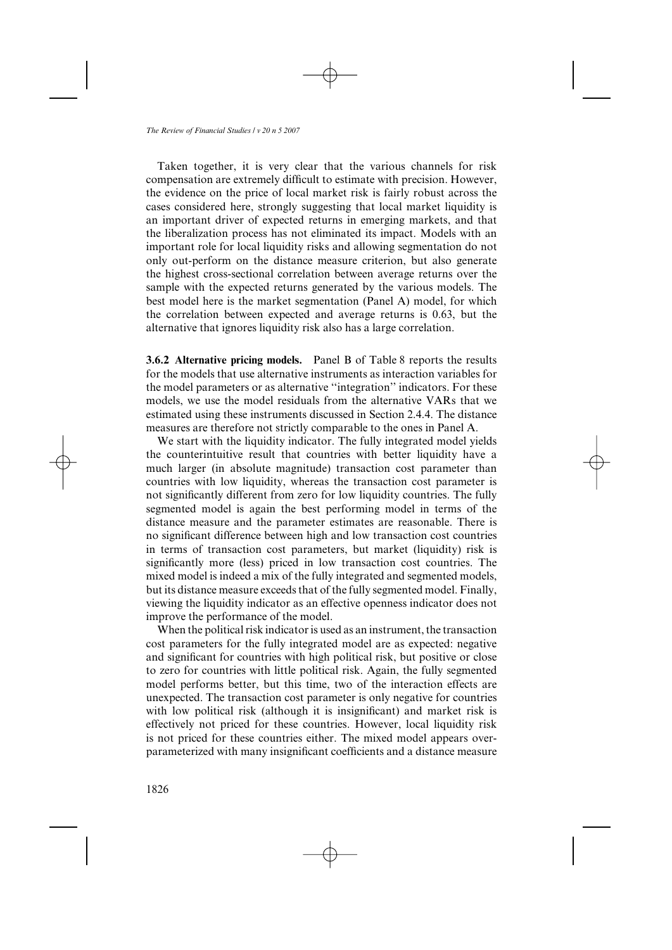Taken together, it is very clear that the various channels for risk compensation are extremely difficult to estimate with precision. However, the evidence on the price of local market risk is fairly robust across the cases considered here, strongly suggesting that local market liquidity is an important driver of expected returns in emerging markets, and that the liberalization process has not eliminated its impact. Models with an important role for local liquidity risks and allowing segmentation do not only out-perform on the distance measure criterion, but also generate the highest cross-sectional correlation between average returns over the sample with the expected returns generated by the various models. The best model here is the market segmentation (Panel A) model, for which the correlation between expected and average returns is 0.63, but the alternative that ignores liquidity risk also has a large correlation.

**3.6.2 Alternative pricing models.** Panel B of Table 8 reports the results for the models that use alternative instruments as interaction variables for the model parameters or as alternative ''integration'' indicators. For these models, we use the model residuals from the alternative VARs that we estimated using these instruments discussed in Section 2.4.4. The distance measures are therefore not strictly comparable to the ones in Panel A.

We start with the liquidity indicator. The fully integrated model yields the counterintuitive result that countries with better liquidity have a much larger (in absolute magnitude) transaction cost parameter than countries with low liquidity, whereas the transaction cost parameter is not significantly different from zero for low liquidity countries. The fully segmented model is again the best performing model in terms of the distance measure and the parameter estimates are reasonable. There is no significant difference between high and low transaction cost countries in terms of transaction cost parameters, but market (liquidity) risk is significantly more (less) priced in low transaction cost countries. The mixed model is indeed a mix of the fully integrated and segmented models, but its distance measure exceeds that of the fully segmented model. Finally, viewing the liquidity indicator as an effective openness indicator does not improve the performance of the model.

When the political risk indicator is used as an instrument, the transaction cost parameters for the fully integrated model are as expected: negative and significant for countries with high political risk, but positive or close to zero for countries with little political risk. Again, the fully segmented model performs better, but this time, two of the interaction effects are unexpected. The transaction cost parameter is only negative for countries with low political risk (although it is insignificant) and market risk is effectively not priced for these countries. However, local liquidity risk is not priced for these countries either. The mixed model appears overparameterized with many insignificant coefficients and a distance measure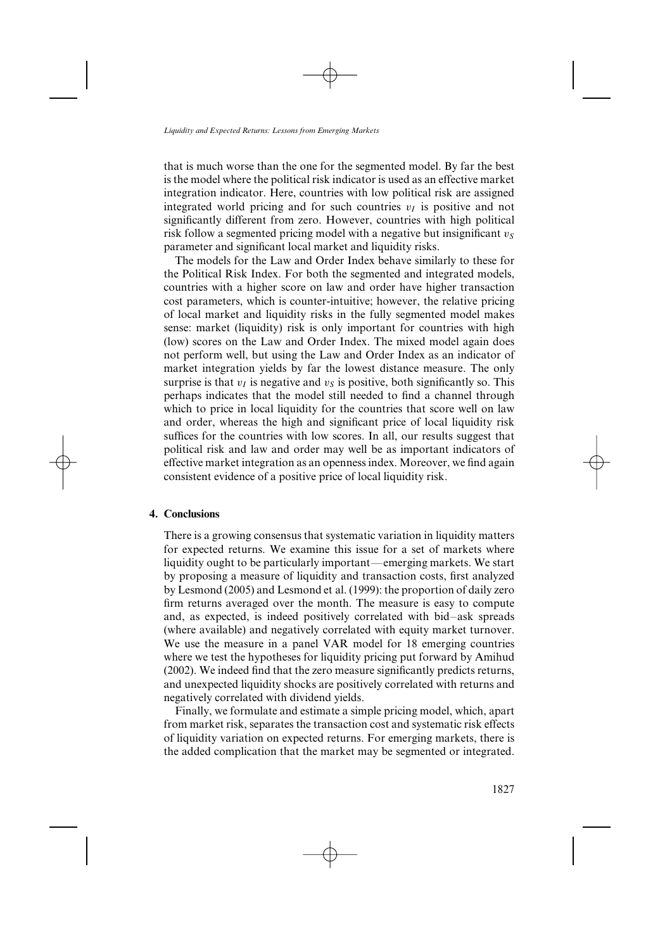that is much worse than the one for the segmented model. By far the best is the model where the political risk indicator is used as an effective market integration indicator. Here, countries with low political risk are assigned integrated world pricing and for such countries  $v_I$  is positive and not significantly different from zero. However, countries with high political risk follow a segmented pricing model with a negative but insignificant  $v<sub>S</sub>$ parameter and significant local market and liquidity risks.

The models for the Law and Order Index behave similarly to these for the Political Risk Index. For both the segmented and integrated models, countries with a higher score on law and order have higher transaction cost parameters, which is counter-intuitive; however, the relative pricing of local market and liquidity risks in the fully segmented model makes sense: market (liquidity) risk is only important for countries with high (low) scores on the Law and Order Index. The mixed model again does not perform well, but using the Law and Order Index as an indicator of market integration yields by far the lowest distance measure. The only surprise is that  $v_I$  is negative and  $v_S$  is positive, both significantly so. This perhaps indicates that the model still needed to find a channel through which to price in local liquidity for the countries that score well on law and order, whereas the high and significant price of local liquidity risk suffices for the countries with low scores. In all, our results suggest that political risk and law and order may well be as important indicators of effective market integration as an openness index. Moreover, we find again consistent evidence of a positive price of local liquidity risk.

# **4. Conclusions**

There is a growing consensus that systematic variation in liquidity matters for expected returns. We examine this issue for a set of markets where liquidity ought to be particularly important—emerging markets. We start by proposing a measure of liquidity and transaction costs, first analyzed by Lesmond (2005) and Lesmond et al. (1999): the proportion of daily zero firm returns averaged over the month. The measure is easy to compute and, as expected, is indeed positively correlated with bid–ask spreads (where available) and negatively correlated with equity market turnover. We use the measure in a panel VAR model for 18 emerging countries where we test the hypotheses for liquidity pricing put forward by Amihud (2002). We indeed find that the zero measure significantly predicts returns, and unexpected liquidity shocks are positively correlated with returns and negatively correlated with dividend yields.

Finally, we formulate and estimate a simple pricing model, which, apart from market risk, separates the transaction cost and systematic risk effects of liquidity variation on expected returns. For emerging markets, there is the added complication that the market may be segmented or integrated.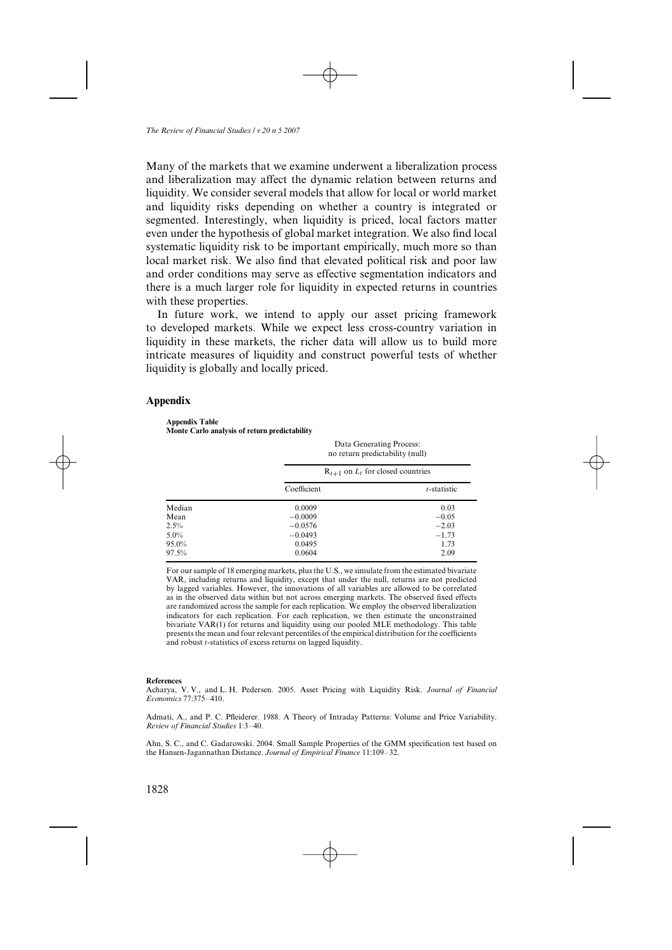Many of the markets that we examine underwent a liberalization process and liberalization may affect the dynamic relation between returns and liquidity. We consider several models that allow for local or world market and liquidity risks depending on whether a country is integrated or segmented. Interestingly, when liquidity is priced, local factors matter even under the hypothesis of global market integration. We also find local systematic liquidity risk to be important empirically, much more so than local market risk. We also find that elevated political risk and poor law and order conditions may serve as effective segmentation indicators and there is a much larger role for liquidity in expected returns in countries with these properties.

In future work, we intend to apply our asset pricing framework to developed markets. While we expect less cross-country variation in liquidity in these markets, the richer data will allow us to build more intricate measures of liquidity and construct powerful tests of whether liquidity is globally and locally priced.

#### **Appendix**

**Appendix Table Monte Carlo analysis of return predictability**

> Data Generating Process: no return predictability (null)

|         | $R_{t+1}$ on $L_t$ for closed countries |                |  |
|---------|-----------------------------------------|----------------|--|
|         | Coefficient                             | $t$ -statistic |  |
| Median  | 0.0009                                  | 0.03           |  |
| Mean    | $-0.0009$                               | $-0.05$        |  |
| $2.5\%$ | $-0.0576$                               | $-2.03$        |  |
| $5.0\%$ | $-0.0493$                               | $-1.73$        |  |
| 95.0%   | 0.0495                                  | 1.73           |  |
| 97.5%   | 0.0604                                  | 2.09           |  |

For our sample of 18 emerging markets, plus the U.S., we simulate from the estimated bivariate VAR, including returns and liquidity, except that under the null, returns are not predicted by lagged variables. However, the innovations of all variables are allowed to be correlated as in the observed data within but not across emerging markets. The observed fixed effects are randomized across the sample for each replication. We employ the observed liberalization indicators for each replication. For each replication, we then estimate the unconstrained bivariate VAR(1) for returns and liquidity using our pooled MLE methodology. This table presents the mean and four relevant percentiles of the empirical distribution for the coefficients and robust *t*-statistics of excess returns on lagged liquidity.

#### **References**

Acharya, V. V., and L. H. Pedersen. 2005. Asset Pricing with Liquidity Risk. *Journal of Financial Economics* 77:375–410.

Admati, A., and P. C. Pfleiderer. 1988. A Theory of Intraday Patterns: Volume and Price Variability. *Review of Financial Studies* 1:3–40.

Ahn, S. C., and C. Gadarowski. 2004. Small Sample Properties of the GMM specification test based on the Hansen-Jagannathan Distance. *Journal of Empirical Finance* 11:109–32.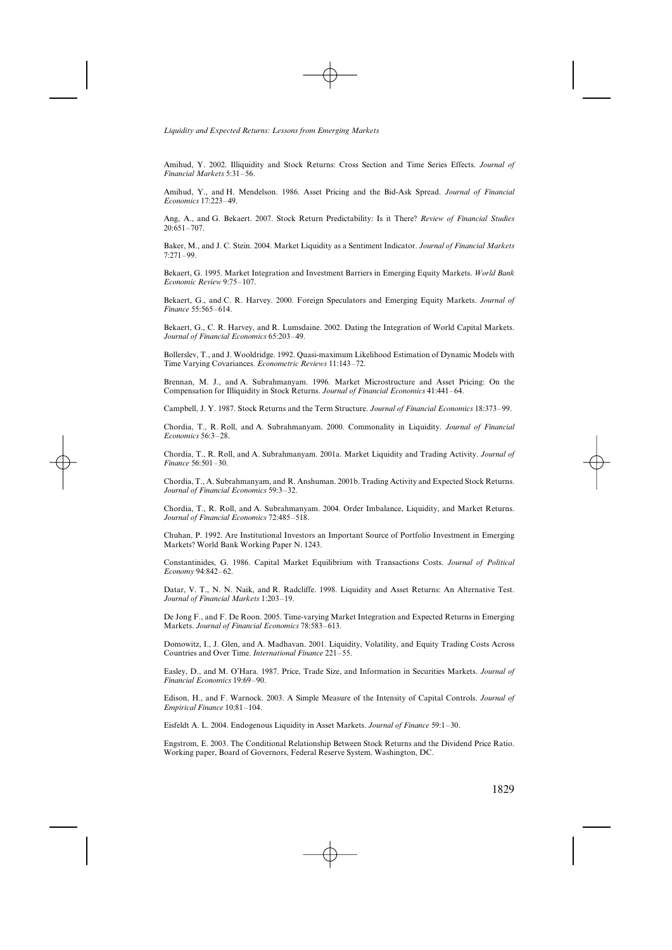Amihud, Y. 2002. Illiquidity and Stock Returns: Cross Section and Time Series Effects. *Journal of Financial Markets* 5:31–56.

Amihud, Y., and H. Mendelson. 1986. Asset Pricing and the Bid-Ask Spread. *Journal of Financial Economics* 17:223–49.

Ang, A., and G. Bekaert. 2007. Stock Return Predictability: Is it There? *Review of Financial Studies*  $20:651-707$ .

Baker, M., and J. C. Stein. 2004. Market Liquidity as a Sentiment Indicator. *Journal of Financial Markets* 7:271–99.

Bekaert, G. 1995. Market Integration and Investment Barriers in Emerging Equity Markets. *World Bank Economic Review* 9:75–107.

Bekaert, G., and C. R. Harvey. 2000. Foreign Speculators and Emerging Equity Markets. *Journal of Finance* 55:565–614.

Bekaert, G., C. R. Harvey, and R. Lumsdaine. 2002. Dating the Integration of World Capital Markets. *Journal of Financial Economics* 65:203–49.

Bollerslev, T., and J. Wooldridge. 1992. Quasi-maximum Likelihood Estimation of Dynamic Models with Time Varying Covariances. *Econometric Reviews* 11:143–72.

Brennan, M. J., and A. Subrahmanyam. 1996. Market Microstructure and Asset Pricing: On the Compensation for Illiquidity in Stock Returns. *Journal of Financial Economics* 41:441–64.

Campbell, J. Y. 1987. Stock Returns and the Term Structure. *Journal of Financial Economics* 18:373–99.

Chordia, T., R. Roll, and A. Subrahmanyam. 2000. Commonality in Liquidity. *Journal of Financial Economics* 56:3–28.

Chordia, T., R. Roll, and A. Subrahmanyam. 2001a. Market Liquidity and Trading Activity. *Journal of Finance* 56:501–30.

Chordia, T., A. Subrahmanyam, and R. Anshuman. 2001b. Trading Activity and Expected Stock Returns. *Journal of Financial Economics* 59:3–32.

Chordia, T., R. Roll, and A. Subrahmanyam. 2004. Order Imbalance, Liquidity, and Market Returns. *Journal of Financial Economics* 72:485–518.

Chuhan, P. 1992. Are Institutional Investors an Important Source of Portfolio Investment in Emerging Markets? World Bank Working Paper N. 1243.

Constantinides, G. 1986. Capital Market Equilibrium with Transactions Costs. *Journal of Political Economy* 94:842–62.

Datar, V. T., N. N. Naik, and R. Radcliffe. 1998. Liquidity and Asset Returns: An Alternative Test. *Journal of Financial Markets* 1:203–19.

De Jong F., and F. De Roon. 2005. Time-varying Market Integration and Expected Returns in Emerging Markets. *Journal of Financial Economics* 78:583–613.

Domowitz, I., J. Glen, and A. Madhavan. 2001. Liquidity, Volatility, and Equity Trading Costs Across Countries and Over Time. *International Finance* 221–55.

Easley, D., and M. O'Hara. 1987. Price, Trade Size, and Information in Securities Markets. *Journal of Financial Economics* 19:69–90.

Edison, H., and F. Warnock. 2003. A Simple Measure of the Intensity of Capital Controls. *Journal of Empirical Finance* 10:81–104.

Eisfeldt A. L. 2004. Endogenous Liquidity in Asset Markets. *Journal of Finance* 59:1–30.

Engstrom, E. 2003. The Conditional Relationship Between Stock Returns and the Dividend Price Ratio. Working paper, Board of Governors, Federal Reserve System, Washington, DC.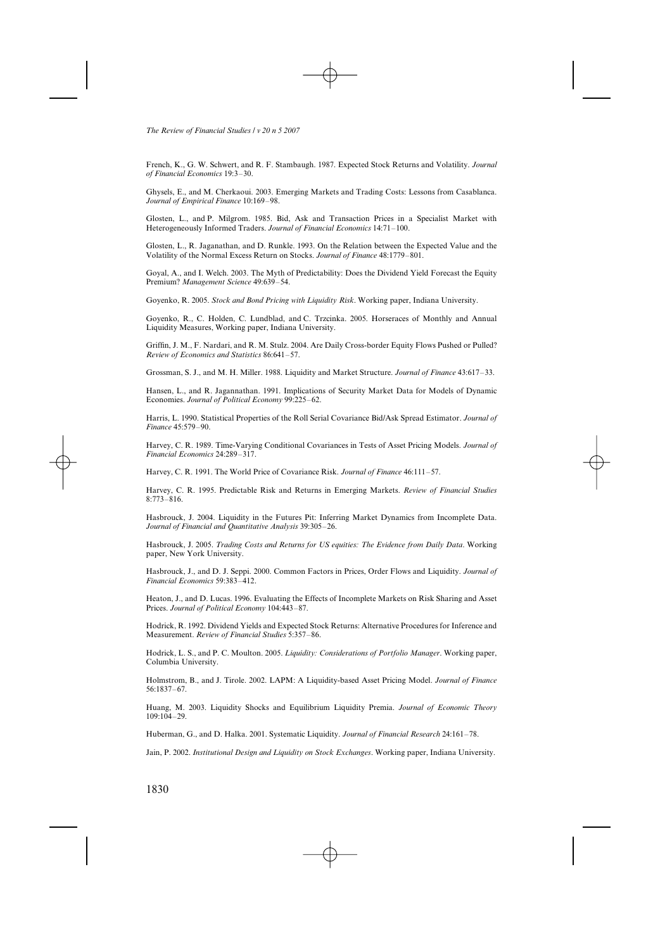French, K., G. W. Schwert, and R. F. Stambaugh. 1987. Expected Stock Returns and Volatility. *Journal of Financial Economics* 19:3–30.

Ghysels, E., and M. Cherkaoui. 2003. Emerging Markets and Trading Costs: Lessons from Casablanca. *Journal of Empirical Finance* 10:169–98.

Glosten, L., and P. Milgrom. 1985. Bid, Ask and Transaction Prices in a Specialist Market with Heterogeneously Informed Traders. *Journal of Financial Economics* 14:71–100.

Glosten, L., R. Jaganathan, and D. Runkle. 1993. On the Relation between the Expected Value and the Volatility of the Normal Excess Return on Stocks. *Journal of Finance* 48:1779–801.

Goyal, A., and I. Welch. 2003. The Myth of Predictability: Does the Dividend Yield Forecast the Equity Premium? *Management Science* 49:639–54.

Goyenko, R. 2005. *Stock and Bond Pricing with Liquidity Risk*. Working paper, Indiana University.

Goyenko, R., C. Holden, C. Lundblad, and C. Trzcinka. 2005. Horseraces of Monthly and Annual Liquidity Measures, Working paper, Indiana University.

Griffin, J. M., F. Nardari, and R. M. Stulz. 2004. Are Daily Cross-border Equity Flows Pushed or Pulled? *Review of Economics and Statistics* 86:641–57.

Grossman, S. J., and M. H. Miller. 1988. Liquidity and Market Structure. *Journal of Finance* 43:617–33.

Hansen, L., and R. Jagannathan. 1991. Implications of Security Market Data for Models of Dynamic Economies. *Journal of Political Economy* 99:225–62.

Harris, L. 1990. Statistical Properties of the Roll Serial Covariance Bid/Ask Spread Estimator. *Journal of Finance* 45:579–90.

Harvey, C. R. 1989. Time-Varying Conditional Covariances in Tests of Asset Pricing Models. *Journal of Financial Economics* 24:289–317.

Harvey, C. R. 1991. The World Price of Covariance Risk. *Journal of Finance* 46:111–57.

Harvey, C. R. 1995. Predictable Risk and Returns in Emerging Markets. *Review of Financial Studies* 8:773–816.

Hasbrouck, J. 2004. Liquidity in the Futures Pit: Inferring Market Dynamics from Incomplete Data. *Journal of Financial and Quantitative Analysis* 39:305–26.

Hasbrouck, J. 2005. *Trading Costs and Returns for US equities: The Evidence from Daily Data*. Working paper, New York University.

Hasbrouck, J., and D. J. Seppi. 2000. Common Factors in Prices, Order Flows and Liquidity. *Journal of Financial Economics* 59:383–412.

Heaton, J., and D. Lucas. 1996. Evaluating the Effects of Incomplete Markets on Risk Sharing and Asset Prices. *Journal of Political Economy* 104:443–87.

Hodrick, R. 1992. Dividend Yields and Expected Stock Returns: Alternative Procedures for Inference and Measurement. *Review of Financial Studies* 5:357–86.

Hodrick, L. S., and P. C. Moulton. 2005. *Liquidity: Considerations of Portfolio Manager*. Working paper, Columbia University.

Holmstrom, B., and J. Tirole. 2002. LAPM: A Liquidity-based Asset Pricing Model. *Journal of Finance* 56:1837–67.

Huang, M. 2003. Liquidity Shocks and Equilibrium Liquidity Premia. *Journal of Economic Theory* 109:104–29.

Huberman, G., and D. Halka. 2001. Systematic Liquidity. *Journal of Financial Research* 24:161–78.

Jain, P. 2002. *Institutional Design and Liquidity on Stock Exchanges*. Working paper, Indiana University.